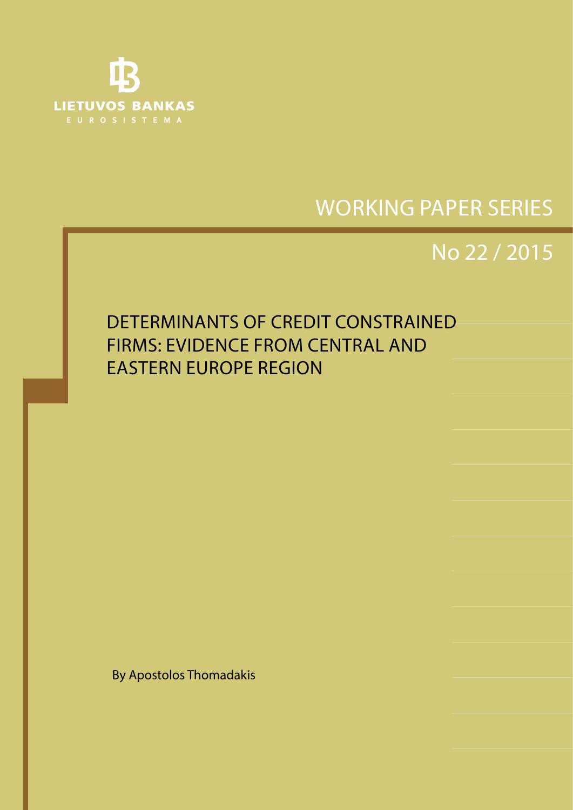

No 1 / 2008 SHORT-TERM FORECASTING OF GDP USING LARGE MONTHLY DATASETS: A PSEUDO REAL-TIME FORECAST EVALUATION EXERCISE

# WORKING PAPER SERIES

# No 22 / 2015

## DETERMINANTS OF CREDIT CONSTRAINED FIRMS: EVIDENCE FROM CENTRAL AND EASTERN EUROPE REGION

By Apostolos Thomadakis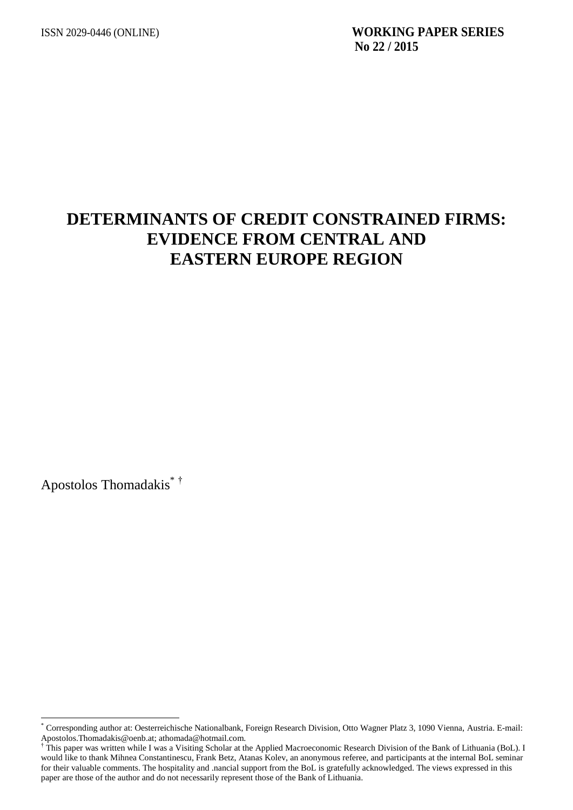## **DETERMINANTS OF CREDIT CONSTRAINED FIRMS: EVIDENCE FROM CENTRAL AND EASTERN EUROPE REGION**

Apostolos Thomadakis\* †

 $\overline{a}$ 

<sup>\*</sup> Corresponding author at: Oesterreichische Nationalbank, Foreign Research Division, Otto Wagner Platz 3, 1090 Vienna, Austria. E-mail: Apostolos.Thomadakis@oenb.at; athomada@hotmail.com.

<sup>&</sup>lt;sup>†</sup> This paper was written while I was a Visiting Scholar at the Applied Macroeconomic Research Division of the Bank of Lithuania (BoL). I would like to thank Mihnea Constantinescu, Frank Betz, Atanas Kolev, an anonymous referee, and participants at the internal BoL seminar for their valuable comments. The hospitality and .nancial support from the BoL is gratefully acknowledged. The views expressed in this paper are those of the author and do not necessarily represent those of the Bank of Lithuania.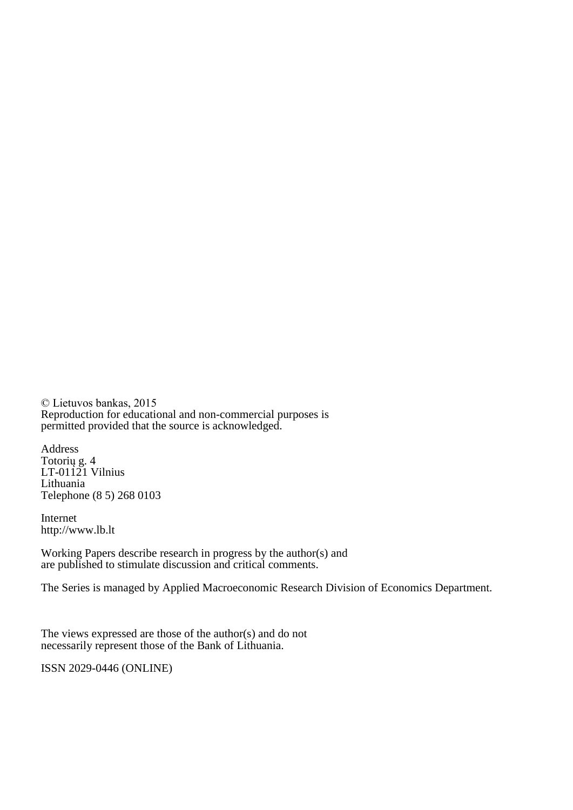© Lietuvos bankas, 2015 Reproduction for educational and non-commercial purposes is permitted provided that the source is acknowledged.

Address Totorių g. 4 LT-01121 Vilnius Lithuania Telephone (8 5) 268 0103

Internet http://www.lb.lt

Working Papers describe research in progress by the author(s) and are published to stimulate discussion and critical comments.

The Series is managed by Applied Macroeconomic Research Division of Economics Department.

The views expressed are those of the author(s) and do not necessarily represent those of the Bank of Lithuania.

ISSN 2029-0446 (ONLINE)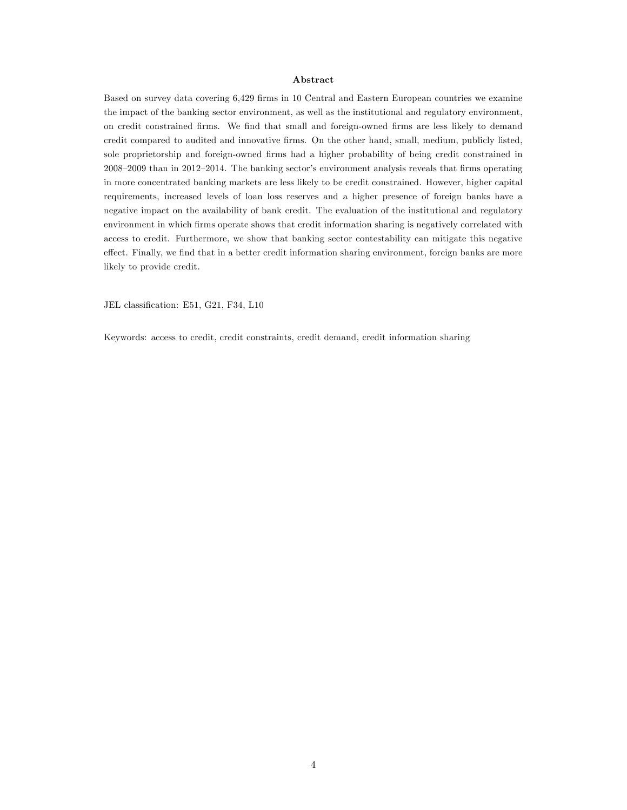#### Abstract

Based on survey data covering 6,429 firms in 10 Central and Eastern European countries we examine the impact of the banking sector environment, as well as the institutional and regulatory environment, on credit constrained Örms. We Önd that small and foreign-owned Örms are less likely to demand credit compared to audited and innovative firms. On the other hand, small, medium, publicly listed, sole proprietorship and foreign-owned Örms had a higher probability of being credit constrained in 2008–2009 than in 2012–2014. The banking sector's environment analysis reveals that firms operating in more concentrated banking markets are less likely to be credit constrained. However, higher capital requirements, increased levels of loan loss reserves and a higher presence of foreign banks have a negative impact on the availability of bank credit. The evaluation of the institutional and regulatory environment in which firms operate shows that credit information sharing is negatively correlated with access to credit. Furthermore, we show that banking sector contestability can mitigate this negative effect. Finally, we find that in a better credit information sharing environment, foreign banks are more likely to provide credit.

JEL classification: E51, G21, F34, L10

Keywords: access to credit, credit constraints, credit demand, credit information sharing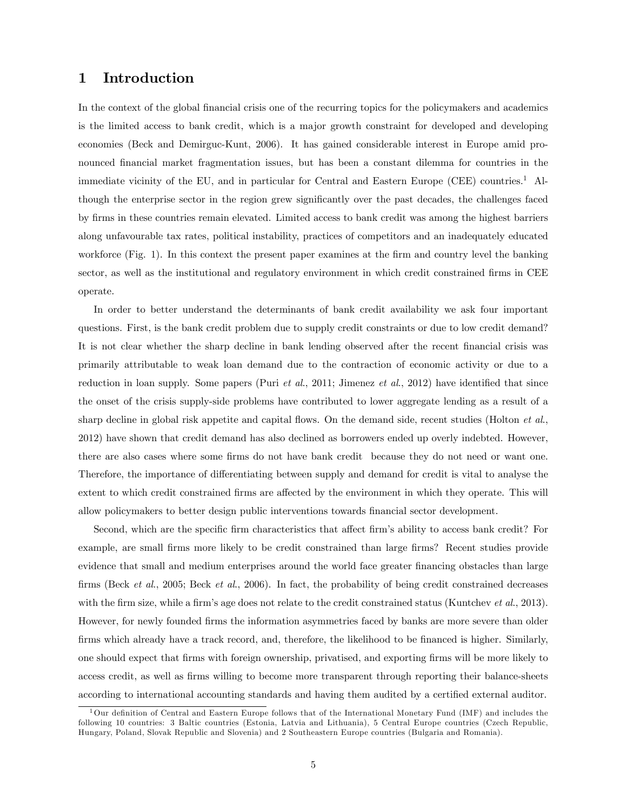## 1 Introduction

In the context of the global financial crisis one of the recurring topics for the policymakers and academics is the limited access to bank credit, which is a major growth constraint for developed and developing economies (Beck and Demirguc-Kunt, 2006). It has gained considerable interest in Europe amid pronounced financial market fragmentation issues, but has been a constant dilemma for countries in the immediate vicinity of the EU, and in particular for Central and Eastern Europe (CEE) countries.<sup>1</sup> Although the enterprise sector in the region grew significantly over the past decades, the challenges faced by Örms in these countries remain elevated. Limited access to bank credit was among the highest barriers along unfavourable tax rates, political instability, practices of competitors and an inadequately educated workforce (Fig. 1). In this context the present paper examines at the firm and country level the banking sector, as well as the institutional and regulatory environment in which credit constrained firms in CEE operate.

In order to better understand the determinants of bank credit availability we ask four important questions. First, is the bank credit problem due to supply credit constraints or due to low credit demand? It is not clear whether the sharp decline in bank lending observed after the recent financial crisis was primarily attributable to weak loan demand due to the contraction of economic activity or due to a reduction in loan supply. Some papers (Puri et al., 2011; Jimenez et al., 2012) have identified that since the onset of the crisis supply-side problems have contributed to lower aggregate lending as a result of a sharp decline in global risk appetite and capital flows. On the demand side, recent studies (Holton *et al.*, 2012) have shown that credit demand has also declined as borrowers ended up overly indebted. However, there are also cases where some firms do not have bank credit because they do not need or want one. Therefore, the importance of differentiating between supply and demand for credit is vital to analyse the extent to which credit constrained firms are affected by the environment in which they operate. This will allow policymakers to better design public interventions towards Önancial sector development.

Second, which are the specific firm characteristics that affect firm's ability to access bank credit? For example, are small firms more likely to be credit constrained than large firms? Recent studies provide evidence that small and medium enterprises around the world face greater financing obstacles than large firms (Beck et al., 2005; Beck et al., 2006). In fact, the probability of being credit constrained decreases with the firm size, while a firm's age does not relate to the credit constrained status (Kuntchev et al., 2013). However, for newly founded firms the information asymmetries faced by banks are more severe than older firms which already have a track record, and, therefore, the likelihood to be financed is higher. Similarly, one should expect that firms with foreign ownership, privatised, and exporting firms will be more likely to access credit, as well as firms willing to become more transparent through reporting their balance-sheets according to international accounting standards and having them audited by a certified external auditor.

 $1$ Our definition of Central and Eastern Europe follows that of the International Monetary Fund (IMF) and includes the following 10 countries: 3 Baltic countries (Estonia, Latvia and Lithuania), 5 Central Europe countries (Czech Republic, Hungary, Poland, Slovak Republic and Slovenia) and 2 Southeastern Europe countries (Bulgaria and Romania).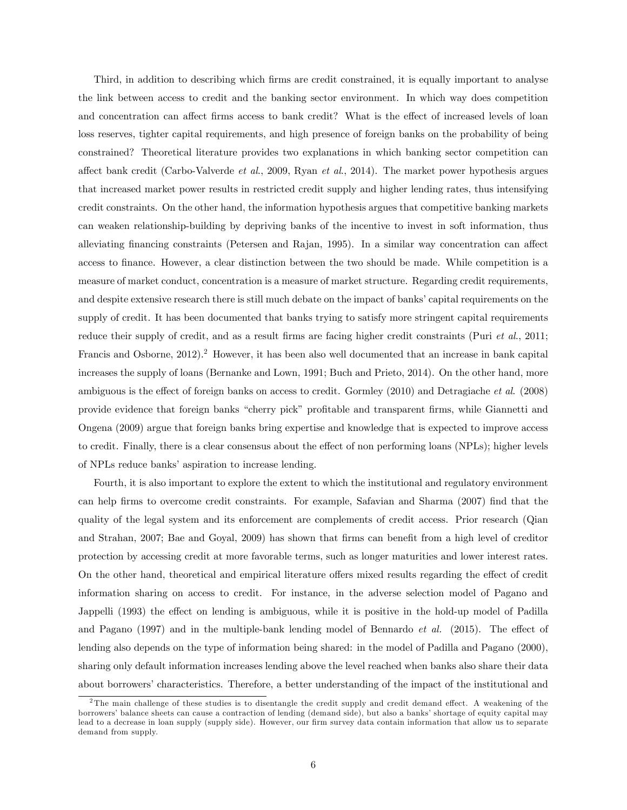Third, in addition to describing which Örms are credit constrained, it is equally important to analyse the link between access to credit and the banking sector environment. In which way does competition and concentration can affect firms access to bank credit? What is the effect of increased levels of loan loss reserves, tighter capital requirements, and high presence of foreign banks on the probability of being constrained? Theoretical literature provides two explanations in which banking sector competition can affect bank credit (Carbo-Valverde et al., 2009, Ryan et al., 2014). The market power hypothesis argues that increased market power results in restricted credit supply and higher lending rates, thus intensifying credit constraints. On the other hand, the information hypothesis argues that competitive banking markets can weaken relationship-building by depriving banks of the incentive to invest in soft information, thus alleviating financing constraints (Petersen and Rajan, 1995). In a similar way concentration can affect access to finance. However, a clear distinction between the two should be made. While competition is a measure of market conduct, concentration is a measure of market structure. Regarding credit requirements, and despite extensive research there is still much debate on the impact of banks' capital requirements on the supply of credit. It has been documented that banks trying to satisfy more stringent capital requirements reduce their supply of credit, and as a result firms are facing higher credit constraints (Puri et al., 2011; Francis and Osborne, 2012).<sup>2</sup> However, it has been also well documented that an increase in bank capital increases the supply of loans (Bernanke and Lown, 1991; Buch and Prieto, 2014). On the other hand, more ambiguous is the effect of foreign banks on access to credit. Gormley  $(2010)$  and Detragiache *et al.*  $(2008)$ provide evidence that foreign banks "cherry pick" profitable and transparent firms, while Giannetti and Ongena (2009) argue that foreign banks bring expertise and knowledge that is expected to improve access to credit. Finally, there is a clear consensus about the effect of non performing loans (NPLs); higher levels of NPLs reduce banks' aspiration to increase lending.

Fourth, it is also important to explore the extent to which the institutional and regulatory environment can help firms to overcome credit constraints. For example, Safavian and Sharma (2007) find that the quality of the legal system and its enforcement are complements of credit access. Prior research (Qian and Strahan, 2007; Bae and Goyal, 2009) has shown that firms can benefit from a high level of creditor protection by accessing credit at more favorable terms, such as longer maturities and lower interest rates. On the other hand, theoretical and empirical literature offers mixed results regarding the effect of credit information sharing on access to credit. For instance, in the adverse selection model of Pagano and Jappelli (1993) the effect on lending is ambiguous, while it is positive in the hold-up model of Padilla and Pagano  $(1997)$  and in the multiple-bank lending model of Bennardo *et al.*  $(2015)$ . The effect of lending also depends on the type of information being shared: in the model of Padilla and Pagano (2000), sharing only default information increases lending above the level reached when banks also share their data about borrowers' characteristics. Therefore, a better understanding of the impact of the institutional and

<sup>&</sup>lt;sup>2</sup>The main challenge of these studies is to disentangle the credit supply and credit demand effect. A weakening of the borrowers' balance sheets can cause a contraction of lending (demand side), but also a banks' shortage of equity capital may lead to a decrease in loan supply (supply side). However, our firm survey data contain information that allow us to separate demand from supply.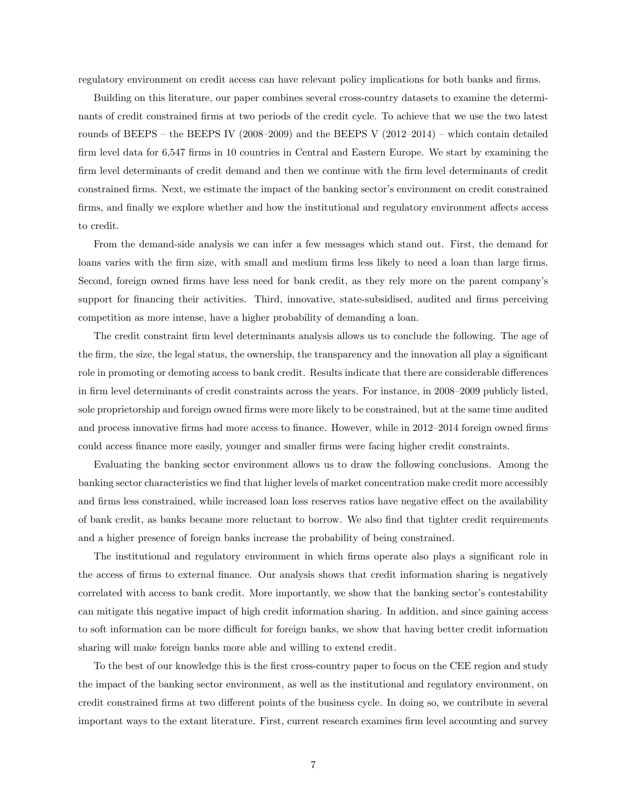regulatory environment on credit access can have relevant policy implications for both banks and firms.

Building on this literature, our paper combines several cross-country datasets to examine the determinants of credit constrained Örms at two periods of the credit cycle. To achieve that we use the two latest rounds of BEEPS – the BEEPS IV (2008–2009) and the BEEPS V (2012–2014) – which contain detailed firm level data for 6,547 firms in 10 countries in Central and Eastern Europe. We start by examining the firm level determinants of credit demand and then we continue with the firm level determinants of credit constrained firms. Next, we estimate the impact of the banking sector's environment on credit constrained firms, and finally we explore whether and how the institutional and regulatory environment affects access to credit.

From the demand-side analysis we can infer a few messages which stand out. First, the demand for loans varies with the firm size, with small and medium firms less likely to need a loan than large firms. Second, foreign owned firms have less need for bank credit, as they rely more on the parent company's support for financing their activities. Third, innovative, state-subsidised, audited and firms perceiving competition as more intense, have a higher probability of demanding a loan.

The credit constraint firm level determinants analysis allows us to conclude the following. The age of the firm, the size, the legal status, the ownership, the transparency and the innovation all play a significant role in promoting or demoting access to bank credit. Results indicate that there are considerable differences in firm level determinants of credit constraints across the years. For instance, in 2008–2009 publicly listed, sole proprietorship and foreign owned firms were more likely to be constrained, but at the same time audited and process innovative firms had more access to finance. However, while in 2012–2014 foreign owned firms could access finance more easily, younger and smaller firms were facing higher credit constraints.

Evaluating the banking sector environment allows us to draw the following conclusions. Among the banking sector characteristics we find that higher levels of market concentration make credit more accessibly and firms less constrained, while increased loan loss reserves ratios have negative effect on the availability of bank credit, as banks became more reluctant to borrow. We also Önd that tighter credit requirements and a higher presence of foreign banks increase the probability of being constrained.

The institutional and regulatory environment in which firms operate also plays a significant role in the access of firms to external finance. Our analysis shows that credit information sharing is negatively correlated with access to bank credit. More importantly, we show that the banking sector's contestability can mitigate this negative impact of high credit information sharing. In addition, and since gaining access to soft information can be more difficult for foreign banks, we show that having better credit information sharing will make foreign banks more able and willing to extend credit.

To the best of our knowledge this is the first cross-country paper to focus on the CEE region and study the impact of the banking sector environment, as well as the institutional and regulatory environment, on credit constrained firms at two different points of the business cycle. In doing so, we contribute in several important ways to the extant literature. First, current research examines firm level accounting and survey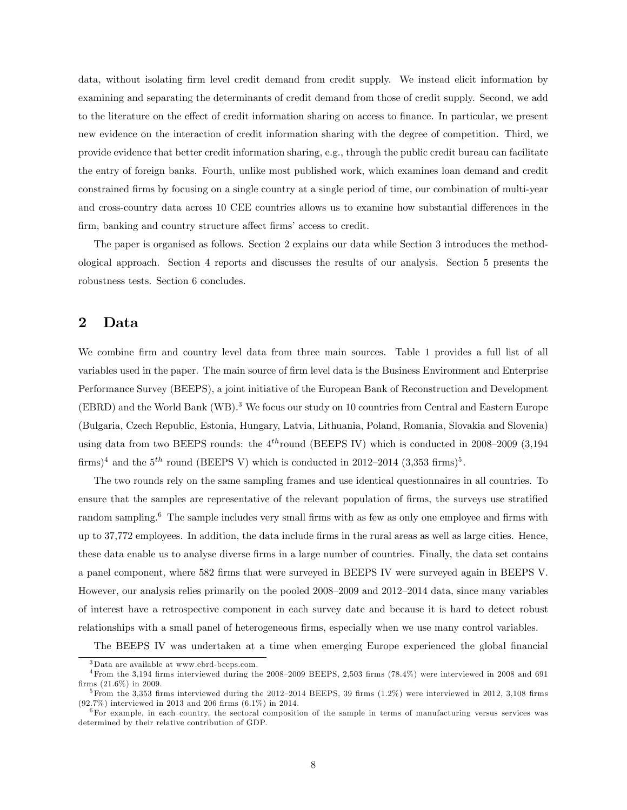data, without isolating firm level credit demand from credit supply. We instead elicit information by examining and separating the determinants of credit demand from those of credit supply. Second, we add to the literature on the effect of credit information sharing on access to finance. In particular, we present new evidence on the interaction of credit information sharing with the degree of competition. Third, we provide evidence that better credit information sharing, e.g., through the public credit bureau can facilitate the entry of foreign banks. Fourth, unlike most published work, which examines loan demand and credit constrained Örms by focusing on a single country at a single period of time, our combination of multi-year and cross-country data across 10 CEE countries allows us to examine how substantial differences in the firm, banking and country structure affect firms' access to credit.

The paper is organised as follows. Section 2 explains our data while Section 3 introduces the methodological approach. Section 4 reports and discusses the results of our analysis. Section 5 presents the robustness tests. Section 6 concludes.

## 2 Data

We combine firm and country level data from three main sources. Table 1 provides a full list of all variables used in the paper. The main source of firm level data is the Business Environment and Enterprise Performance Survey (BEEPS), a joint initiative of the European Bank of Reconstruction and Development  $(EBRD)$  and the World Bank  $(WB)$ .<sup>3</sup> We focus our study on 10 countries from Central and Eastern Europe (Bulgaria, Czech Republic, Estonia, Hungary, Latvia, Lithuania, Poland, Romania, Slovakia and Slovenia) using data from two BEEPS rounds: the  $4^{th}$ round (BEEPS IV) which is conducted in 2008–2009 (3.194 firms)<sup>4</sup> and the  $5<sup>th</sup>$  round (BEEPS V) which is conducted in 2012–2014 (3,353 firms)<sup>5</sup>.

The two rounds rely on the same sampling frames and use identical questionnaires in all countries. To ensure that the samples are representative of the relevant population of firms, the surveys use stratified random sampling.<sup>6</sup> The sample includes very small firms with as few as only one employee and firms with up to 37,772 employees. In addition, the data include Örms in the rural areas as well as large cities. Hence, these data enable us to analyse diverse firms in a large number of countries. Finally, the data set contains a panel component, where 582 Örms that were surveyed in BEEPS IV were surveyed again in BEEPS V. However, our analysis relies primarily on the pooled 2008–2009 and 2012–2014 data, since many variables of interest have a retrospective component in each survey date and because it is hard to detect robust relationships with a small panel of heterogeneous firms, especially when we use many control variables.

The BEEPS IV was undertaken at a time when emerging Europe experienced the global financial

<sup>3</sup>Data are available at www.ebrd-beeps.com.

 $4$ From the 3,194 firms interviewed during the 2008–2009 BEEPS, 2,503 firms (78.4%) were interviewed in 2008 and 691 firms  $(21.6\%)$  in 2009.

<sup>&</sup>lt;sup>5</sup> From the 3,353 firms interviewed during the 2012–2014 BEEPS, 39 firms  $(1.2\%)$  were interviewed in 2012, 3,108 firms  $(92.7\%)$  interviewed in 2013 and 206 firms  $(6.1\%)$  in 2014.

 $6$ For example, in each country, the sectoral composition of the sample in terms of manufacturing versus services was determined by their relative contribution of GDP.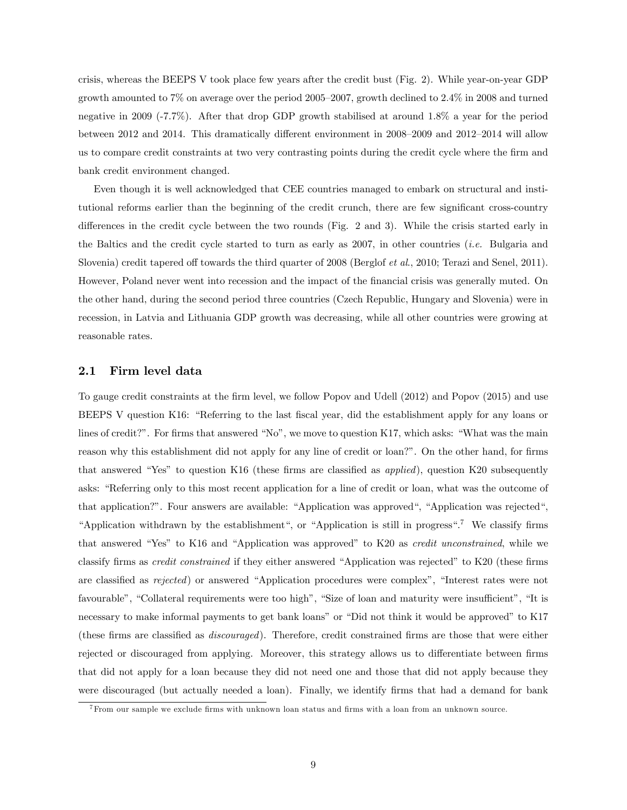crisis, whereas the BEEPS V took place few years after the credit bust (Fig. 2). While year-on-year GDP growth amounted to  $7\%$  on average over the period 2005–2007, growth declined to  $2.4\%$  in 2008 and turned negative in 2009 (-7.7%). After that drop GDP growth stabilised at around 1.8% a year for the period between 2012 and 2014. This dramatically different environment in  $2008-2009$  and  $2012-2014$  will allow us to compare credit constraints at two very contrasting points during the credit cycle where the firm and bank credit environment changed.

Even though it is well acknowledged that CEE countries managed to embark on structural and institutional reforms earlier than the beginning of the credit crunch, there are few significant cross-country differences in the credit cycle between the two rounds (Fig. 2 and 3). While the crisis started early in the Baltics and the credit cycle started to turn as early as 2007, in other countries *(i.e.* Bulgaria and Slovenia) credit tapered off towards the third quarter of 2008 (Berglof *et al.*, 2010; Terazi and Senel, 2011). However, Poland never went into recession and the impact of the financial crisis was generally muted. On the other hand, during the second period three countries (Czech Republic, Hungary and Slovenia) were in recession, in Latvia and Lithuania GDP growth was decreasing, while all other countries were growing at reasonable rates.

#### 2.1 Firm level data

To gauge credit constraints at the Örm level, we follow Popov and Udell (2012) and Popov (2015) and use BEEPS V question K16: "Referring to the last fiscal year, did the establishment apply for any loans or lines of credit?". For firms that answered "No", we move to question K17, which asks: "What was the main reason why this establishment did not apply for any line of credit or loan?". On the other hand, for firms that answered "Yes" to question K16 (these firms are classified as *applied*), question K20 subsequently asks: "Referring only to this most recent application for a line of credit or loan, what was the outcome of that application?". Four answers are available: "Application was approved", "Application was rejected", "Application withdrawn by the establishment", or "Application is still in progress".<sup>7</sup> We classify firms that answered "Yes" to K16 and "Application was approved" to K20 as *credit unconstrained*, while we classify firms as *credit constrained* if they either answered "Application was rejected" to K20 (these firms are classified as rejected) or answered "Application procedures were complex", "Interest rates were not favourable", "Collateral requirements were too high", "Size of loan and maturity were insufficient", "It is necessary to make informal payments to get bank loans" or "Did not think it would be approved" to K17 (these firms are classified as *discouraged*). Therefore, credit constrained firms are those that were either rejected or discouraged from applying. Moreover, this strategy allows us to differentiate between firms that did not apply for a loan because they did not need one and those that did not apply because they were discouraged (but actually needed a loan). Finally, we identify firms that had a demand for bank

<sup>&</sup>lt;sup>7</sup> From our sample we exclude firms with unknown loan status and firms with a loan from an unknown source.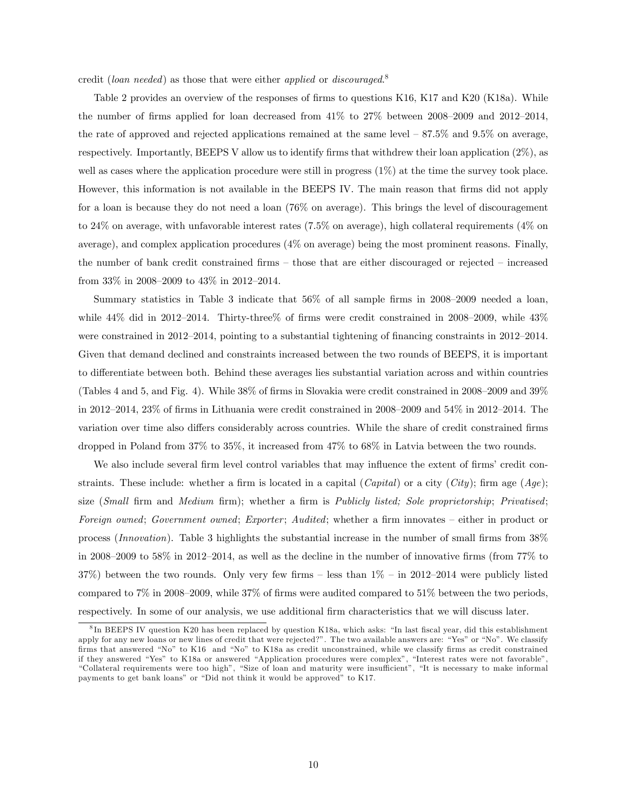credit (loan needed) as those that were either applied or discouraged.<sup>8</sup>

Table 2 provides an overview of the responses of firms to questions K16, K17 and K20 (K18a). While the number of firms applied for loan decreased from  $41\%$  to  $27\%$  between  $2008-2009$  and  $2012-2014$ , the rate of approved and rejected applications remained at the same level  $-87.5\%$  and  $9.5\%$  on average, respectively. Importantly, BEEPS V allow us to identify firms that withdrew their loan application  $(2\%)$ , as well as cases where the application procedure were still in progress (1%) at the time the survey took place. However, this information is not available in the BEEPS IV. The main reason that firms did not apply for a loan is because they do not need a loan (76% on average). This brings the level of discouragement to 24% on average, with unfavorable interest rates (7.5% on average), high collateral requirements (4% on average), and complex application procedures (4% on average) being the most prominent reasons. Finally, the number of bank credit constrained firms  $-$  those that are either discouraged or rejected  $-$  increased from  $33\%$  in 2008–2009 to  $43\%$  in 2012–2014.

Summary statistics in Table 3 indicate that  $56\%$  of all sample firms in 2008–2009 needed a loan, while  $44\%$  did in 2012–2014. Thirty-three  $\%$  of firms were credit constrained in 2008–2009, while  $43\%$ were constrained in 2012–2014, pointing to a substantial tightening of financing constraints in 2012–2014. Given that demand declined and constraints increased between the two rounds of BEEPS, it is important to differentiate between both. Behind these averages lies substantial variation across and within countries (Tables 4 and 5, and Fig. 4). While  $38\%$  of firms in Slovakia were credit constrained in  $2008-2009$  and  $39\%$ in 2012–2014, 23% of firms in Lithuania were credit constrained in 2008–2009 and 54% in 2012–2014. The variation over time also differs considerably across countries. While the share of credit constrained firms dropped in Poland from 37% to 35%, it increased from 47% to 68% in Latvia between the two rounds.

We also include several firm level control variables that may influence the extent of firms' credit constraints. These include: whether a firm is located in a capital (*Capital*) or a city (*City*); firm age (*Age*); size (Small firm and Medium firm); whether a firm is Publicly listed; Sole proprietorship; Privatised; Foreign owned; Government owned; Exporter; Audited; whether a firm innovates – either in product or process (Innovation). Table 3 highlights the substantial increase in the number of small firms from  $38\%$ in 2008–2009 to 58% in 2012–2014, as well as the decline in the number of innovative firms (from  $77\%$  to 37%) between the two rounds. Only very few firms – less than  $1\%$  – in 2012–2014 were publicly listed compared to  $7\%$  in 2008–2009, while  $37\%$  of firms were audited compared to  $51\%$  between the two periods, respectively. In some of our analysis, we use additional firm characteristics that we will discuss later.

<sup>&</sup>lt;sup>8</sup>In BEEPS IV question K20 has been replaced by question K18a, which asks: "In last fiscal year, did this establishment apply for any new loans or new lines of credit that were rejected?". The two available answers are: "Yes" or "No". We classify firms that answered "No" to K16 and "No" to K18a as credit unconstrained, while we classify firms as credit constrained if they answered "Yes" to K18a or answered "Application procedures were complex", "Interest rates were not favorable", ìCollateral requirements were too highî, ìSize of loan and maturity were insu¢ cientî, ìIt is necessary to make informal payments to get bank loans" or "Did not think it would be approved" to K17.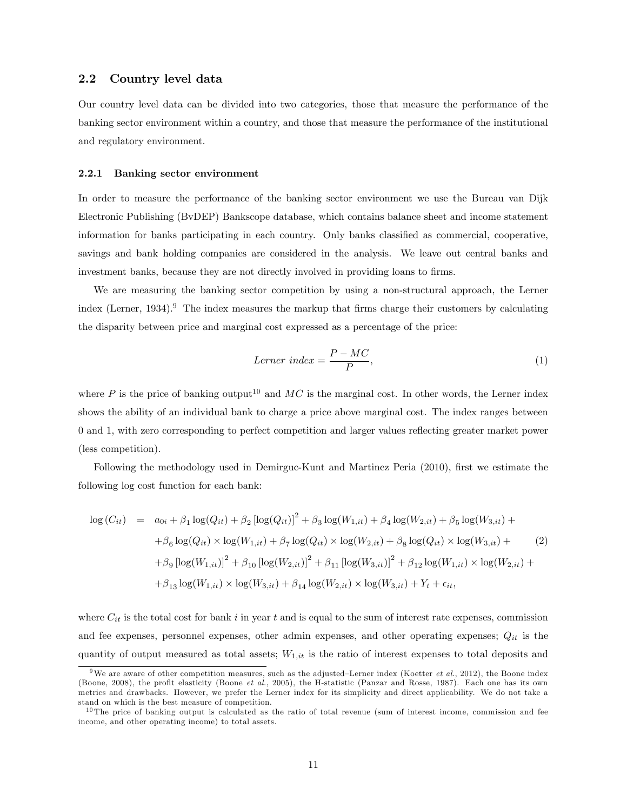#### 2.2 Country level data

Our country level data can be divided into two categories, those that measure the performance of the banking sector environment within a country, and those that measure the performance of the institutional and regulatory environment.

#### 2.2.1 Banking sector environment

In order to measure the performance of the banking sector environment we use the Bureau van Dijk Electronic Publishing (BvDEP) Bankscope database, which contains balance sheet and income statement information for banks participating in each country. Only banks classified as commercial, cooperative, savings and bank holding companies are considered in the analysis. We leave out central banks and investment banks, because they are not directly involved in providing loans to firms.

We are measuring the banking sector competition by using a non-structural approach, the Lerner index (Lerner, 1934).<sup>9</sup> The index measures the markup that firms charge their customers by calculating the disparity between price and marginal cost expressed as a percentage of the price:

$$
Lerner\ index = \frac{P - MC}{P},\tag{1}
$$

where P is the price of banking output<sup>10</sup> and  $MC$  is the marginal cost. In other words, the Lerner index shows the ability of an individual bank to charge a price above marginal cost. The index ranges between 0 and 1, with zero corresponding to perfect competition and larger values reáecting greater market power (less competition).

Following the methodology used in Demirguc-Kunt and Martinez Peria (2010), first we estimate the following log cost function for each bank:

$$
\log (C_{it}) = a_{0i} + \beta_1 \log(Q_{it}) + \beta_2 [\log(Q_{it})]^2 + \beta_3 \log(W_{1,it}) + \beta_4 \log(W_{2,it}) + \beta_5 \log(W_{3,it}) +
$$
  
+ 
$$
\beta_6 \log(Q_{it}) \times \log(W_{1,it}) + \beta_7 \log(Q_{it}) \times \log(W_{2,it}) + \beta_8 \log(Q_{it}) \times \log(W_{3,it}) +
$$
  
+ 
$$
\beta_9 [\log(W_{1,it})]^2 + \beta_{10} [\log(W_{2,it})]^2 + \beta_{11} [\log(W_{3,it})]^2 + \beta_{12} \log(W_{1,it}) \times \log(W_{2,it}) +
$$
  
+ 
$$
\beta_{13} \log(W_{1,it}) \times \log(W_{3,it}) + \beta_{14} \log(W_{2,it}) \times \log(W_{3,it}) + Y_t + \epsilon_{it},
$$
 (2)

where  $C_{it}$  is the total cost for bank i in year t and is equal to the sum of interest rate expenses, commission and fee expenses, personnel expenses, other admin expenses, and other operating expenses;  $Q_{it}$  is the quantity of output measured as total assets;  $W_{1,it}$  is the ratio of interest expenses to total deposits and

<sup>&</sup>lt;sup>9</sup>We are aware of other competition measures, such as the adjusted–Lerner index (Koetter *et al.*, 2012), the Boone index (Boone, 2008), the profit elasticity (Boone et al., 2005), the H-statistic (Panzar and Rosse, 1987). Each one has its own metrics and drawbacks. However, we prefer the Lerner index for its simplicity and direct applicability. We do not take a stand on which is the best measure of competition.

 $10$  The price of banking output is calculated as the ratio of total revenue (sum of interest income, commission and fee income, and other operating income) to total assets.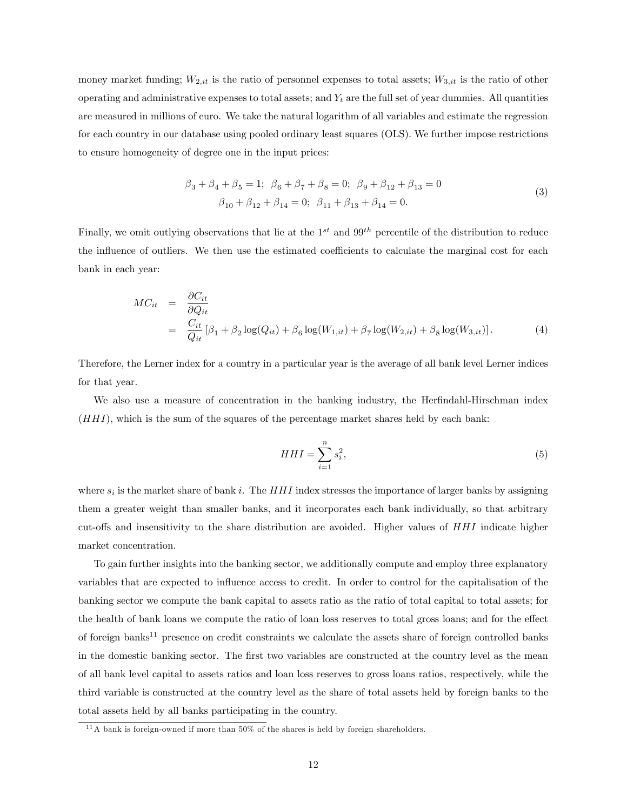money market funding;  $W_{2,it}$  is the ratio of personnel expenses to total assets;  $W_{3,it}$  is the ratio of other operating and administrative expenses to total assets; and  $Y_t$  are the full set of year dummies. All quantities are measured in millions of euro. We take the natural logarithm of all variables and estimate the regression for each country in our database using pooled ordinary least squares (OLS). We further impose restrictions to ensure homogeneity of degree one in the input prices:

$$
\beta_3 + \beta_4 + \beta_5 = 1; \ \beta_6 + \beta_7 + \beta_8 = 0; \ \beta_9 + \beta_{12} + \beta_{13} = 0
$$
  

$$
\beta_{10} + \beta_{12} + \beta_{14} = 0; \ \beta_{11} + \beta_{13} + \beta_{14} = 0.
$$
 (3)

Finally, we omit outlying observations that lie at the  $1^{st}$  and  $99^{th}$  percentile of the distribution to reduce the influence of outliers. We then use the estimated coefficients to calculate the marginal cost for each bank in each year:

$$
MC_{it} = \frac{\partial C_{it}}{\partial Q_{it}}
$$
  
= 
$$
\frac{C_{it}}{Q_{it}} [\beta_1 + \beta_2 \log(Q_{it}) + \beta_6 \log(W_{1,it}) + \beta_7 \log(W_{2,it}) + \beta_8 \log(W_{3,it})].
$$
 (4)

Therefore, the Lerner index for a country in a particular year is the average of all bank level Lerner indices for that year.

We also use a measure of concentration in the banking industry, the Herfindahl-Hirschman index  $(HHI)$ , which is the sum of the squares of the percentage market shares held by each bank:

$$
HHI = \sum_{i=1}^{n} s_i^2,\tag{5}
$$

where  $s_i$  is the market share of bank i. The  $HHI$  index stresses the importance of larger banks by assigning them a greater weight than smaller banks, and it incorporates each bank individually, so that arbitrary cut-offs and insensitivity to the share distribution are avoided. Higher values of  $HHI$  indicate higher market concentration.

To gain further insights into the banking sector, we additionally compute and employ three explanatory variables that are expected to ináuence access to credit. In order to control for the capitalisation of the banking sector we compute the bank capital to assets ratio as the ratio of total capital to total assets; for the health of bank loans we compute the ratio of loan loss reserves to total gross loans; and for the effect of foreign banks<sup>11</sup> presence on credit constraints we calculate the assets share of foreign controlled banks in the domestic banking sector. The first two variables are constructed at the country level as the mean of all bank level capital to assets ratios and loan loss reserves to gross loans ratios, respectively, while the third variable is constructed at the country level as the share of total assets held by foreign banks to the total assets held by all banks participating in the country.

 $11$ A bank is foreign-owned if more than  $50\%$  of the shares is held by foreign shareholders.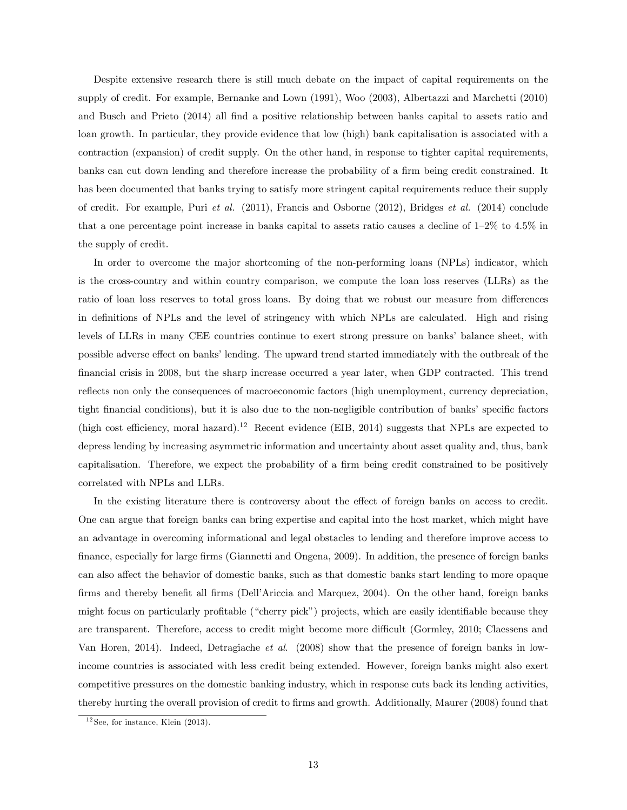Despite extensive research there is still much debate on the impact of capital requirements on the supply of credit. For example, Bernanke and Lown (1991), Woo (2003), Albertazzi and Marchetti (2010) and Busch and Prieto (2014) all find a positive relationship between banks capital to assets ratio and loan growth. In particular, they provide evidence that low (high) bank capitalisation is associated with a contraction (expansion) of credit supply. On the other hand, in response to tighter capital requirements, banks can cut down lending and therefore increase the probability of a firm being credit constrained. It has been documented that banks trying to satisfy more stringent capital requirements reduce their supply of credit. For example, Puri et al. (2011), Francis and Osborne (2012), Bridges et al. (2014) conclude that a one percentage point increase in banks capital to assets ratio causes a decline of  $1-2\%$  to  $4.5\%$  in the supply of credit.

In order to overcome the major shortcoming of the non-performing loans (NPLs) indicator, which is the cross-country and within country comparison, we compute the loan loss reserves (LLRs) as the ratio of loan loss reserves to total gross loans. By doing that we robust our measure from differences in definitions of NPLs and the level of stringency with which NPLs are calculated. High and rising levels of LLRs in many CEE countries continue to exert strong pressure on banks' balance sheet, with possible adverse effect on banks' lending. The upward trend started immediately with the outbreak of the Önancial crisis in 2008, but the sharp increase occurred a year later, when GDP contracted. This trend reflects non only the consequences of macroeconomic factors (high unemployment, currency depreciation, tight financial conditions), but it is also due to the non-negligible contribution of banks' specific factors (high cost efficiency, moral hazard).<sup>12</sup> Recent evidence (EIB, 2014) suggests that NPLs are expected to depress lending by increasing asymmetric information and uncertainty about asset quality and, thus, bank capitalisation. Therefore, we expect the probability of a firm being credit constrained to be positively correlated with NPLs and LLRs.

In the existing literature there is controversy about the effect of foreign banks on access to credit. One can argue that foreign banks can bring expertise and capital into the host market, which might have an advantage in overcoming informational and legal obstacles to lending and therefore improve access to finance, especially for large firms (Giannetti and Ongena, 2009). In addition, the presence of foreign banks can also affect the behavior of domestic banks, such as that domestic banks start lending to more opaque firms and thereby benefit all firms (Dell'Ariccia and Marquez, 2004). On the other hand, foreign banks might focus on particularly profitable ("cherry pick") projects, which are easily identifiable because they are transparent. Therefore, access to credit might become more difficult (Gormley, 2010; Claessens and Van Horen, 2014). Indeed, Detragiache et al. (2008) show that the presence of foreign banks in lowincome countries is associated with less credit being extended. However, foreign banks might also exert competitive pressures on the domestic banking industry, which in response cuts back its lending activities, thereby hurting the overall provision of credit to firms and growth. Additionally, Maurer (2008) found that

 $12$  See, for instance, Klein (2013).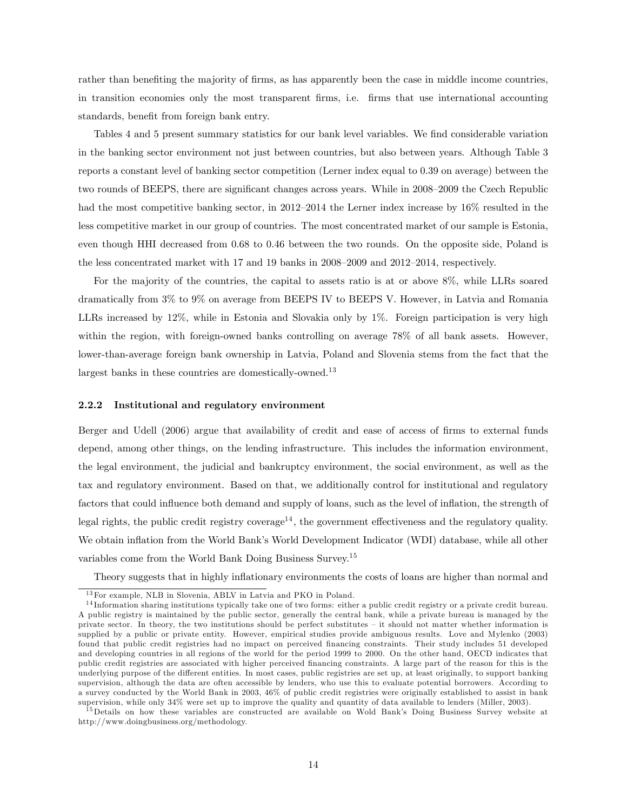rather than benefiting the majority of firms, as has apparently been the case in middle income countries, in transition economies only the most transparent Örms, i.e. Örms that use international accounting standards, benefit from foreign bank entry.

Tables 4 and 5 present summary statistics for our bank level variables. We find considerable variation in the banking sector environment not just between countries, but also between years. Although Table 3 reports a constant level of banking sector competition (Lerner index equal to 0.39 on average) between the two rounds of BEEPS, there are significant changes across years. While in 2008–2009 the Czech Republic had the most competitive banking sector, in 2012–2014 the Lerner index increase by  $16\%$  resulted in the less competitive market in our group of countries. The most concentrated market of our sample is Estonia, even though HHI decreased from 0.68 to 0.46 between the two rounds. On the opposite side, Poland is the less concentrated market with 17 and 19 banks in  $2008-2009$  and  $2012-2014$ , respectively.

For the majority of the countries, the capital to assets ratio is at or above 8%, while LLRs soared dramatically from 3% to 9% on average from BEEPS IV to BEEPS V. However, in Latvia and Romania LLRs increased by 12%, while in Estonia and Slovakia only by 1%. Foreign participation is very high within the region, with foreign-owned banks controlling on average 78% of all bank assets. However, lower-than-average foreign bank ownership in Latvia, Poland and Slovenia stems from the fact that the largest banks in these countries are domestically-owned.<sup>13</sup>

#### 2.2.2 Institutional and regulatory environment

Berger and Udell (2006) argue that availability of credit and ease of access of firms to external funds depend, among other things, on the lending infrastructure. This includes the information environment, the legal environment, the judicial and bankruptcy environment, the social environment, as well as the tax and regulatory environment. Based on that, we additionally control for institutional and regulatory factors that could influence both demand and supply of loans, such as the level of inflation, the strength of legal rights, the public credit registry coverage<sup>14</sup>, the government effectiveness and the regulatory quality. We obtain inflation from the World Bank's World Development Indicator (WDI) database, while all other variables come from the World Bank Doing Business Survey.<sup>15</sup>

Theory suggests that in highly inflationary environments the costs of loans are higher than normal and

<sup>&</sup>lt;sup>13</sup> For example, NLB in Slovenia, ABLV in Latvia and PKO in Poland.

<sup>&</sup>lt;sup>14</sup>Information sharing institutions typically take one of two forms: either a public credit registry or a private credit bureau. A public registry is maintained by the public sector, generally the central bank, while a private bureau is managed by the private sector. In theory, the two institutions should be perfect substitutes – it should not matter whether information is supplied by a public or private entity. However, empirical studies provide ambiguous results. Love and Mylenko (2003) found that public credit registries had no impact on perceived financing constraints. Their study includes 51 developed and developing countries in all regions of the world for the period 1999 to 2000. On the other hand, OECD indicates that public credit registries are associated with higher perceived financing constraints. A large part of the reason for this is the underlying purpose of the different entities. In most cases, public registries are set up, at least originally, to support banking supervision, although the data are often accessible by lenders, who use this to evaluate potential borrowers. According to a survey conducted by the World Bank in 2003, 46% of public credit registries were originally established to assist in bank supervision, while only 34% were set up to improve the quality and quantity of data available to lenders (Miller, 2003).

<sup>&</sup>lt;sup>15</sup>Details on how these variables are constructed are available on Wold Bank's Doing Business Survey website at http://www.doingbusiness.org/methodology.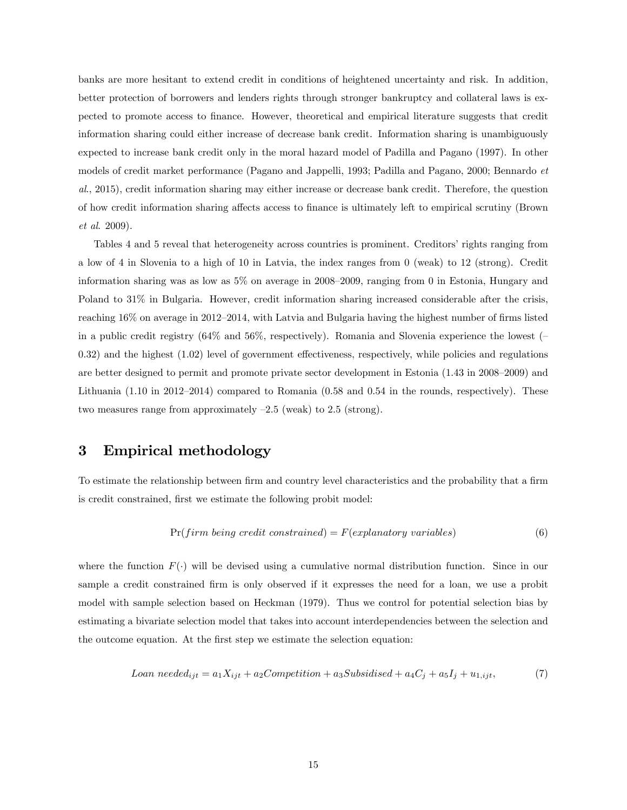banks are more hesitant to extend credit in conditions of heightened uncertainty and risk. In addition, better protection of borrowers and lenders rights through stronger bankruptcy and collateral laws is expected to promote access to Önance. However, theoretical and empirical literature suggests that credit information sharing could either increase of decrease bank credit. Information sharing is unambiguously expected to increase bank credit only in the moral hazard model of Padilla and Pagano (1997). In other models of credit market performance (Pagano and Jappelli, 1993; Padilla and Pagano, 2000; Bennardo et al., 2015), credit information sharing may either increase or decrease bank credit. Therefore, the question of how credit information sharing a§ects access to Önance is ultimately left to empirical scrutiny (Brown et al. 2009).

Tables 4 and 5 reveal that heterogeneity across countries is prominent. Creditors' rights ranging from a low of 4 in Slovenia to a high of 10 in Latvia, the index ranges from 0 (weak) to 12 (strong). Credit information sharing was as low as  $5\%$  on average in 2008–2009, ranging from 0 in Estonia, Hungary and Poland to 31% in Bulgaria. However, credit information sharing increased considerable after the crisis, reaching  $16\%$  on average in 2012–2014, with Latvia and Bulgaria having the highest number of firms listed in a public credit registry  $(64\%$  and  $56\%$ , respectively). Romania and Slovenia experience the lowest ( $\overline{\phantom{a}}$  $(0.32)$  and the highest  $(1.02)$  level of government effectiveness, respectively, while policies and regulations are better designed to permit and promote private sector development in Estonia  $(1.43 \text{ in } 2008-2009)$  and Lithuania  $(1.10 \text{ in } 2012-2014)$  compared to Romania  $(0.58 \text{ and } 0.54 \text{ in the rounds, respectively})$ . These two measures range from approximately  $-2.5$  (weak) to 2.5 (strong).

## 3 Empirical methodology

To estimate the relationship between firm and country level characteristics and the probability that a firm is credit constrained, first we estimate the following probit model:

$$
Pr(firm being credit constrained) = F(explanatory\ variables)
$$
\n(6)

where the function  $F(\cdot)$  will be devised using a cumulative normal distribution function. Since in our sample a credit constrained firm is only observed if it expresses the need for a loan, we use a probit model with sample selection based on Heckman (1979). Thus we control for potential selection bias by estimating a bivariate selection model that takes into account interdependencies between the selection and the outcome equation. At the first step we estimate the selection equation:

$$
Loan\ needed_{ijt} = a_1 X_{ijt} + a_2 Competition + a_3 Subsidised + a_4 C_j + a_5 I_j + u_{1,ijt},\tag{7}
$$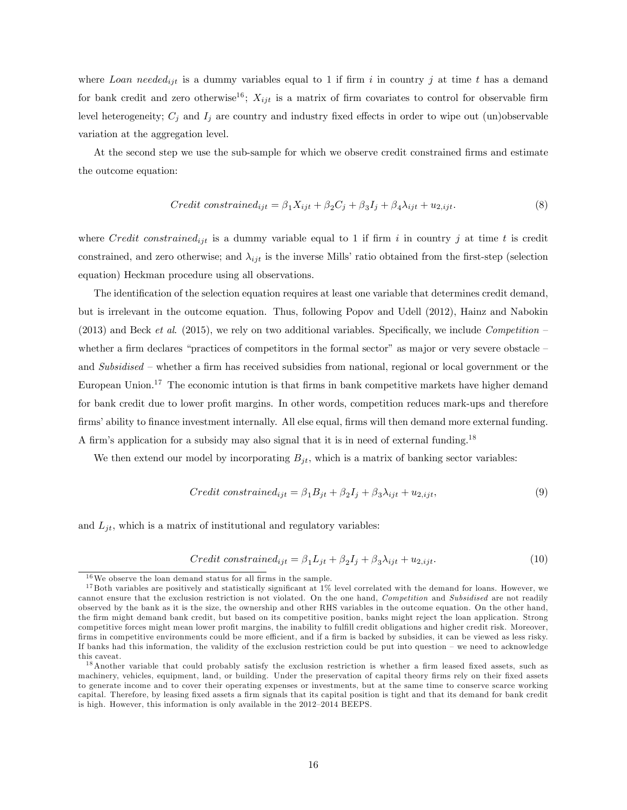where Loan needed<sub>ijt</sub> is a dummy variables equal to 1 if firm i in country j at time t has a demand for bank credit and zero otherwise<sup>16</sup>;  $X_{ijt}$  is a matrix of firm covariates to control for observable firm level heterogeneity;  $C_j$  and  $I_j$  are country and industry fixed effects in order to wipe out (un)observable variation at the aggregation level.

At the second step we use the sub-sample for which we observe credit constrained firms and estimate the outcome equation:

$$
Credit\ constrained_{ijt} = \beta_1 X_{ijt} + \beta_2 C_j + \beta_3 I_j + \beta_4 \lambda_{ijt} + u_{2,ijt}.
$$
\n
$$
(8)
$$

where Credit constrained<sub>ijt</sub> is a dummy variable equal to 1 if firm i in country j at time t is credit constrained, and zero otherwise; and  $\lambda_{ijt}$  is the inverse Mills' ratio obtained from the first-step (selection equation) Heckman procedure using all observations.

The identification of the selection equation requires at least one variable that determines credit demand, but is irrelevant in the outcome equation. Thus, following Popov and Udell (2012), Hainz and Nabokin (2013) and Beck et al. (2015), we rely on two additional variables. Specifically, we include Competition  $$ whether a firm declares "practices of competitors in the formal sector" as major or very severe obstacle  $$ and Subsidised – whether a firm has received subsidies from national, regional or local government or the European Union.<sup>17</sup> The economic intution is that firms in bank competitive markets have higher demand for bank credit due to lower profit margins. In other words, competition reduces mark-ups and therefore firms' ability to finance investment internally. All else equal, firms will then demand more external funding. A firm's application for a subsidy may also signal that it is in need of external funding.<sup>18</sup>

We then extend our model by incorporating  $B_{jt}$ , which is a matrix of banking sector variables:

$$
Credit\ constrained_{ijt} = \beta_1 B_{jt} + \beta_2 I_j + \beta_3 \lambda_{ijt} + u_{2,ijt},\tag{9}
$$

and  $L_{jt}$ , which is a matrix of institutional and regulatory variables:

$$
Credit\ constrained_{ijt} = \beta_1 L_{jt} + \beta_2 I_j + \beta_3 \lambda_{ijt} + u_{2,ijt}.
$$
\n
$$
(10)
$$

 $^{16}\mathrm{We}$  observe the loan demand status for all firms in the sample.

 $17$  Both variables are positively and statistically significant at  $1\%$  level correlated with the demand for loans. However, we cannot ensure that the exclusion restriction is not violated. On the one hand, Competition and Subsidised are not readily observed by the bank as it is the size, the ownership and other RHS variables in the outcome equation. On the other hand, the Örm might demand bank credit, but based on its competitive position, banks might reject the loan application. Strong competitive forces might mean lower profit margins, the inability to fulfill credit obligations and higher credit risk. Moreover, firms in competitive environments could be more efficient, and if a firm is backed by subsidies, it can be viewed as less risky. If banks had this information, the validity of the exclusion restriction could be put into question  $-$  we need to acknowledge this caveat.

<sup>&</sup>lt;sup>18</sup> Another variable that could probably satisfy the exclusion restriction is whether a firm leased fixed assets, such as machinery, vehicles, equipment, land, or building. Under the preservation of capital theory firms rely on their fixed assets to generate income and to cover their operating expenses or investments, but at the same time to conserve scarce working capital. Therefore, by leasing fixed assets a firm signals that its capital position is tight and that its demand for bank credit is high. However, this information is only available in the 2012-2014 BEEPS.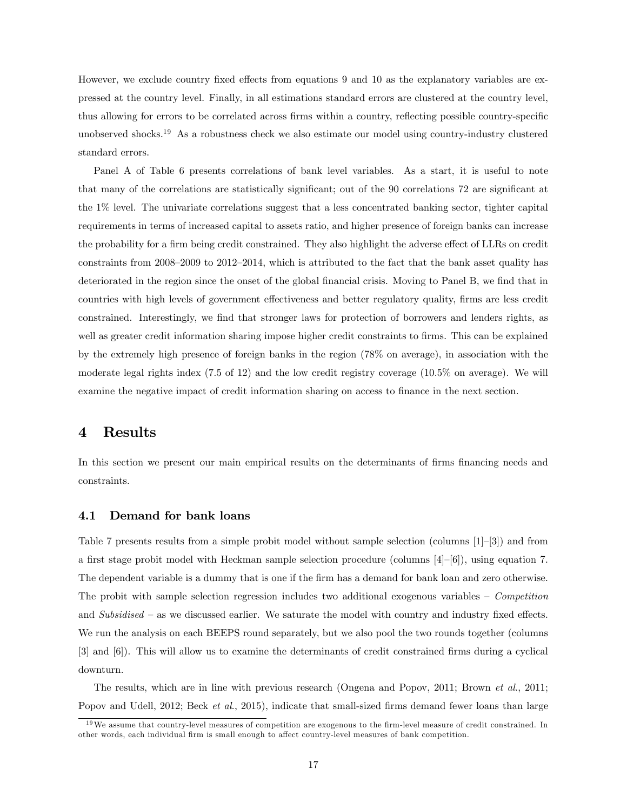However, we exclude country fixed effects from equations 9 and 10 as the explanatory variables are expressed at the country level. Finally, in all estimations standard errors are clustered at the country level, thus allowing for errors to be correlated across firms within a country, reflecting possible country-specific unobserved shocks.<sup>19</sup> As a robustness check we also estimate our model using country-industry clustered standard errors.

Panel A of Table 6 presents correlations of bank level variables. As a start, it is useful to note that many of the correlations are statistically significant; out of the 90 correlations 72 are significant at the 1% level. The univariate correlations suggest that a less concentrated banking sector, tighter capital requirements in terms of increased capital to assets ratio, and higher presence of foreign banks can increase the probability for a firm being credit constrained. They also highlight the adverse effect of LLRs on credit constraints from  $2008-2009$  to  $2012-2014$ , which is attributed to the fact that the bank asset quality has deteriorated in the region since the onset of the global financial crisis. Moving to Panel B, we find that in countries with high levels of government effectiveness and better regulatory quality, firms are less credit constrained. Interestingly, we find that stronger laws for protection of borrowers and lenders rights, as well as greater credit information sharing impose higher credit constraints to firms. This can be explained by the extremely high presence of foreign banks in the region (78% on average), in association with the moderate legal rights index (7.5 of 12) and the low credit registry coverage (10.5% on average). We will examine the negative impact of credit information sharing on access to finance in the next section.

## 4 Results

In this section we present our main empirical results on the determinants of firms financing needs and constraints.

#### 4.1 Demand for bank loans

Table 7 presents results from a simple probit model without sample selection (columns  $[1]-[3]$ ) and from a first stage probit model with Heckman sample selection procedure (columns  $[4]-[6]$ ), using equation 7. The dependent variable is a dummy that is one if the firm has a demand for bank loan and zero otherwise. The probit with sample selection regression includes two additional exogenous variables  $\sim$  Competition and Subsidised  $\overline{\phantom{a}}$  as we discussed earlier. We saturate the model with country and industry fixed effects. We run the analysis on each BEEPS round separately, but we also pool the two rounds together (columns [3] and [6]). This will allow us to examine the determinants of credit constrained Örms during a cyclical downturn.

The results, which are in line with previous research (Ongena and Popov, 2011; Brown et al., 2011; Popov and Udell, 2012; Beck *et al.*, 2015), indicate that small-sized firms demand fewer loans than large

 $19\,\text{We assume that country-level measures of competition are exogenous to the firm-level measure of credit constrained. In the other hand, the current time is 10\,\text{MeV} and 10\,\text{MeV} and 10\,\text{MeV} and 10\,\text{MeV} and 10\,\text{MeV} and 10\,\text{MeV} and 10\,\text{MeV} and 10\,\text{MeV} and 10\,\text{MeV} and 10\,\text{MeV} and 10\,\text{MeV} and 10\,\text{MeV} and 10\,\text{MeV} and 10\,\text{MeV} and 10\,\text{MeV} and 10\,\text{MeV} and 10\,\text{MeV$ other words, each individual firm is small enough to affect country-level measures of bank competition.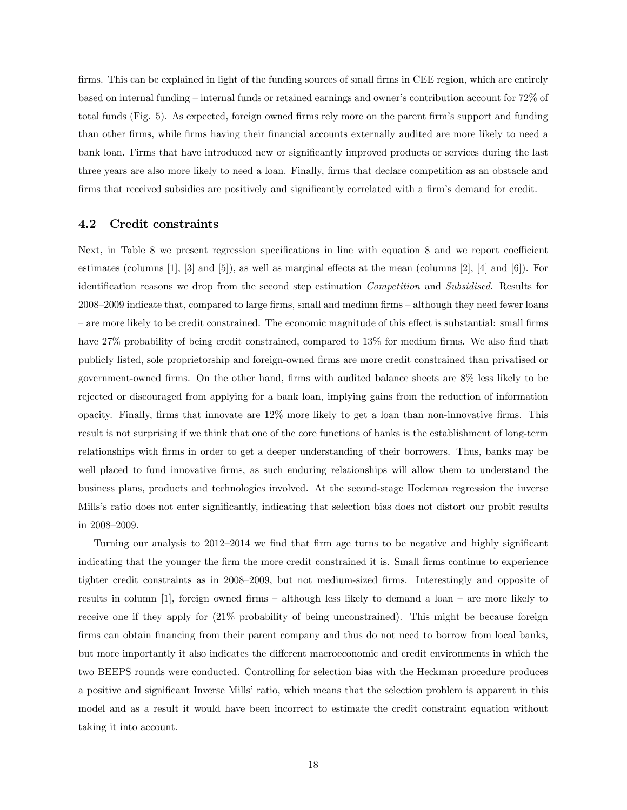firms. This can be explained in light of the funding sources of small firms in CEE region, which are entirely based on internal funding – internal funds or retained earnings and owner's contribution account for 72% of total funds (Fig. 5). As expected, foreign owned firms rely more on the parent firm's support and funding than other Örms, while Örms having their Önancial accounts externally audited are more likely to need a bank loan. Firms that have introduced new or significantly improved products or services during the last three years are also more likely to need a loan. Finally, firms that declare competition as an obstacle and firms that received subsidies are positively and significantly correlated with a firm's demand for credit.

#### 4.2 Credit constraints

Next, in Table 8 we present regression specifications in line with equation 8 and we report coefficient estimates (columns [1], [3] and [5]), as well as marginal effects at the mean (columns [2], [4] and [6]). For identification reasons we drop from the second step estimation Competition and Subsidised. Results for  $2008-2009$  indicate that, compared to large firms, small and medium firms  $-$  although they need fewer loans  $\alpha$  are more likely to be credit constrained. The economic magnitude of this effect is substantial: small firms have  $27\%$  probability of being credit constrained, compared to  $13\%$  for medium firms. We also find that publicly listed, sole proprietorship and foreign-owned firms are more credit constrained than privatised or government-owned Örms. On the other hand, Örms with audited balance sheets are 8% less likely to be rejected or discouraged from applying for a bank loan, implying gains from the reduction of information opacity. Finally, firms that innovate are  $12\%$  more likely to get a loan than non-innovative firms. This result is not surprising if we think that one of the core functions of banks is the establishment of long-term relationships with firms in order to get a deeper understanding of their borrowers. Thus, banks may be well placed to fund innovative firms, as such enduring relationships will allow them to understand the business plans, products and technologies involved. At the second-stage Heckman regression the inverse Mills's ratio does not enter significantly, indicating that selection bias does not distort our probit results in  $2008 - 2009$ .

Turning our analysis to 2012–2014 we find that firm age turns to be negative and highly significant indicating that the younger the firm the more credit constrained it is. Small firms continue to experience tighter credit constraints as in 2008–2009, but not medium-sized firms. Interestingly and opposite of results in column [1], foreign owned firms  $-$  although less likely to demand a loan  $-$  are more likely to receive one if they apply for (21% probability of being unconstrained). This might be because foreign firms can obtain financing from their parent company and thus do not need to borrow from local banks, but more importantly it also indicates the different macroeconomic and credit environments in which the two BEEPS rounds were conducted. Controlling for selection bias with the Heckman procedure produces a positive and significant Inverse Mills' ratio, which means that the selection problem is apparent in this model and as a result it would have been incorrect to estimate the credit constraint equation without taking it into account.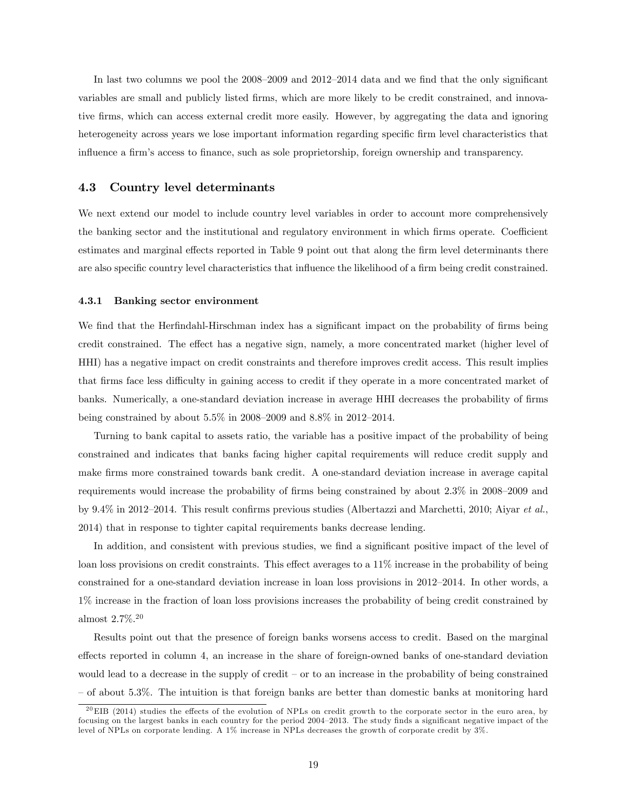In last two columns we pool the  $2008-2009$  and  $2012-2014$  data and we find that the only significant variables are small and publicly listed Örms, which are more likely to be credit constrained, and innovative Örms, which can access external credit more easily. However, by aggregating the data and ignoring heterogeneity across years we lose important information regarding specific firm level characteristics that influence a firm's access to finance, such as sole proprietorship, foreign ownership and transparency.

#### 4.3 Country level determinants

We next extend our model to include country level variables in order to account more comprehensively the banking sector and the institutional and regulatory environment in which firms operate. Coefficient estimates and marginal effects reported in Table 9 point out that along the firm level determinants there are also specific country level characteristics that influence the likelihood of a firm being credit constrained.

#### 4.3.1 Banking sector environment

We find that the Herfindahl-Hirschman index has a significant impact on the probability of firms being credit constrained. The effect has a negative sign, namely, a more concentrated market (higher level of HHI) has a negative impact on credit constraints and therefore improves credit access. This result implies that firms face less difficulty in gaining access to credit if they operate in a more concentrated market of banks. Numerically, a one-standard deviation increase in average HHI decreases the probability of firms being constrained by about  $5.5\%$  in 2008–2009 and  $8.8\%$  in 2012–2014.

Turning to bank capital to assets ratio, the variable has a positive impact of the probability of being constrained and indicates that banks facing higher capital requirements will reduce credit supply and make Örms more constrained towards bank credit. A one-standard deviation increase in average capital requirements would increase the probability of firms being constrained by about  $2.3\%$  in  $2008-2009$  and by 9.4% in 2012–2014. This result confirms previous studies (Albertazzi and Marchetti, 2010; Aiyar et al., 2014) that in response to tighter capital requirements banks decrease lending.

In addition, and consistent with previous studies, we find a significant positive impact of the level of loan loss provisions on credit constraints. This effect averages to a  $11\%$  increase in the probability of being constrained for a one-standard deviation increase in loan loss provisions in 2012–2014. In other words, a 1% increase in the fraction of loan loss provisions increases the probability of being credit constrained by almost 2.7%.<sup>20</sup>

Results point out that the presence of foreign banks worsens access to credit. Based on the marginal effects reported in column 4, an increase in the share of foreign-owned banks of one-standard deviation would lead to a decrease in the supply of credit  $-$  or to an increase in the probability of being constrained ñ of about 5.3%. The intuition is that foreign banks are better than domestic banks at monitoring hard

 $^{20}$ EIB (2014) studies the effects of the evolution of NPLs on credit growth to the corporate sector in the euro area, by focusing on the largest banks in each country for the period 2004–2013. The study finds a significant negative impact of the level of NPLs on corporate lending. A 1% increase in NPLs decreases the growth of corporate credit by 3%.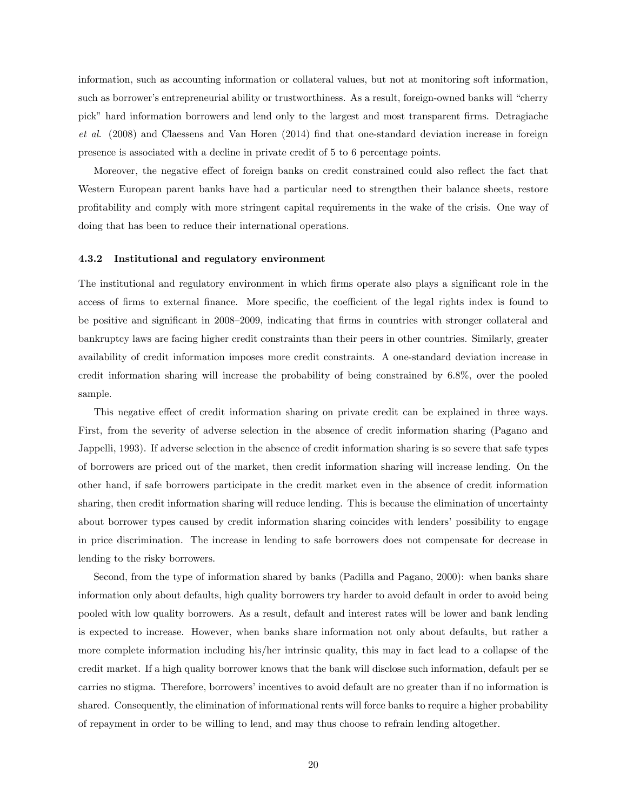information, such as accounting information or collateral values, but not at monitoring soft information, such as borrower's entrepreneurial ability or trustworthiness. As a result, foreign-owned banks will "cherry pick" hard information borrowers and lend only to the largest and most transparent firms. Detragiache et al. (2008) and Claessens and Van Horen (2014) find that one-standard deviation increase in foreign presence is associated with a decline in private credit of 5 to 6 percentage points.

Moreover, the negative effect of foreign banks on credit constrained could also reflect the fact that Western European parent banks have had a particular need to strengthen their balance sheets, restore proÖtability and comply with more stringent capital requirements in the wake of the crisis. One way of doing that has been to reduce their international operations.

#### 4.3.2 Institutional and regulatory environment

The institutional and regulatory environment in which firms operate also plays a significant role in the access of firms to external finance. More specific, the coefficient of the legal rights index is found to be positive and significant in 2008–2009, indicating that firms in countries with stronger collateral and bankruptcy laws are facing higher credit constraints than their peers in other countries. Similarly, greater availability of credit information imposes more credit constraints. A one-standard deviation increase in credit information sharing will increase the probability of being constrained by 6.8%, over the pooled sample.

This negative effect of credit information sharing on private credit can be explained in three ways. First, from the severity of adverse selection in the absence of credit information sharing (Pagano and Jappelli, 1993). If adverse selection in the absence of credit information sharing is so severe that safe types of borrowers are priced out of the market, then credit information sharing will increase lending. On the other hand, if safe borrowers participate in the credit market even in the absence of credit information sharing, then credit information sharing will reduce lending. This is because the elimination of uncertainty about borrower types caused by credit information sharing coincides with lendersí possibility to engage in price discrimination. The increase in lending to safe borrowers does not compensate for decrease in lending to the risky borrowers.

Second, from the type of information shared by banks (Padilla and Pagano, 2000): when banks share information only about defaults, high quality borrowers try harder to avoid default in order to avoid being pooled with low quality borrowers. As a result, default and interest rates will be lower and bank lending is expected to increase. However, when banks share information not only about defaults, but rather a more complete information including his/her intrinsic quality, this may in fact lead to a collapse of the credit market. If a high quality borrower knows that the bank will disclose such information, default per se carries no stigma. Therefore, borrowers' incentives to avoid default are no greater than if no information is shared. Consequently, the elimination of informational rents will force banks to require a higher probability of repayment in order to be willing to lend, and may thus choose to refrain lending altogether.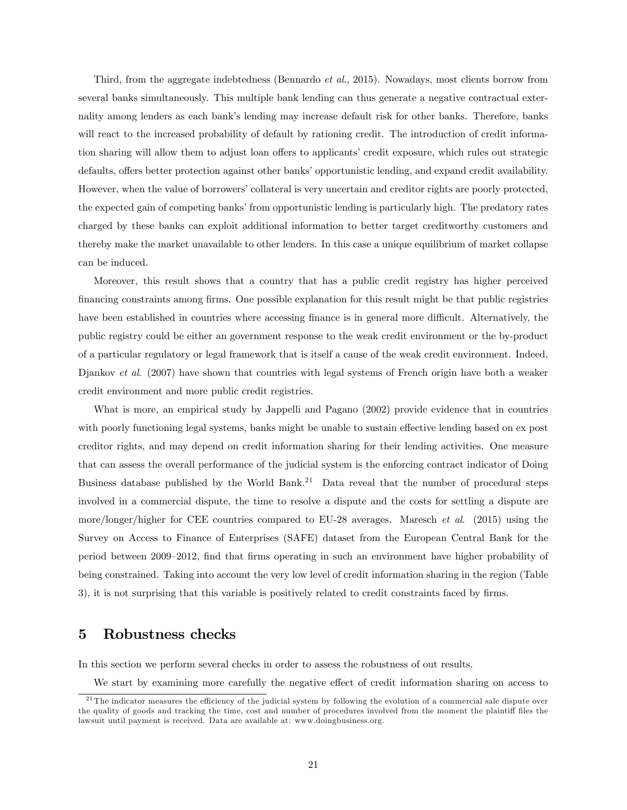Third, from the aggregate indebtedness (Bennardo *et al.*, 2015). Nowadays, most clients borrow from several banks simultaneously. This multiple bank lending can thus generate a negative contractual externality among lenders as each bank's lending may increase default risk for other banks. Therefore, banks will react to the increased probability of default by rationing credit. The introduction of credit information sharing will allow them to adjust loan offers to applicants' credit exposure, which rules out strategic defaults, offers better protection against other banks' opportunistic lending, and expand credit availability. However, when the value of borrowers' collateral is very uncertain and creditor rights are poorly protected, the expected gain of competing banks' from opportunistic lending is particularly high. The predatory rates charged by these banks can exploit additional information to better target creditworthy customers and thereby make the market unavailable to other lenders. In this case a unique equilibrium of market collapse can be induced.

Moreover, this result shows that a country that has a public credit registry has higher perceived Önancing constraints among Örms. One possible explanation for this result might be that public registries have been established in countries where accessing finance is in general more difficult. Alternatively, the public registry could be either an government response to the weak credit environment or the by-product of a particular regulatory or legal framework that is itself a cause of the weak credit environment. Indeed, Djankov et al. (2007) have shown that countries with legal systems of French origin have both a weaker credit environment and more public credit registries.

What is more, an empirical study by Jappelli and Pagano (2002) provide evidence that in countries with poorly functioning legal systems, banks might be unable to sustain effective lending based on ex post creditor rights, and may depend on credit information sharing for their lending activities. One measure that can assess the overall performance of the judicial system is the enforcing contract indicator of Doing Business database published by the World Bank.<sup>21</sup> Data reveal that the number of procedural steps involved in a commercial dispute, the time to resolve a dispute and the costs for settling a dispute are more/longer/higher for CEE countries compared to EU-28 averages. Maresch et al. (2015) using the Survey on Access to Finance of Enterprises (SAFE) dataset from the European Central Bank for the period between 2009–2012, find that firms operating in such an environment have higher probability of being constrained. Taking into account the very low level of credit information sharing in the region (Table 3), it is not surprising that this variable is positively related to credit constraints faced by firms.

## 5 Robustness checks

In this section we perform several checks in order to assess the robustness of out results.

We start by examining more carefully the negative effect of credit information sharing on access to

<sup>&</sup>lt;sup>21</sup> The indicator measures the efficiency of the judicial system by following the evolution of a commercial sale dispute over the quality of goods and tracking the time, cost and number of procedures involved from the moment the plaintiff files the lawsuit until payment is received. Data are available at: www.doingbusiness.org.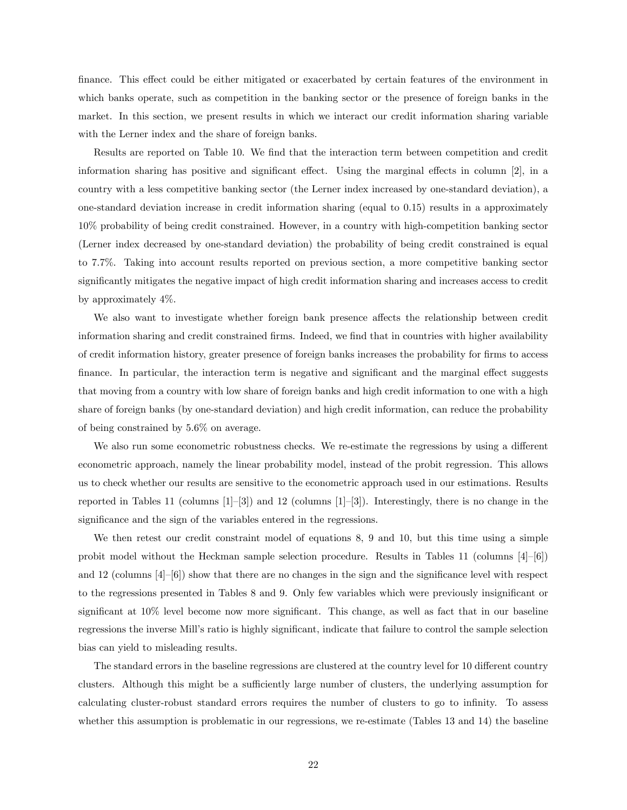finance. This effect could be either mitigated or exacerbated by certain features of the environment in which banks operate, such as competition in the banking sector or the presence of foreign banks in the market. In this section, we present results in which we interact our credit information sharing variable with the Lerner index and the share of foreign banks.

Results are reported on Table 10. We find that the interaction term between competition and credit information sharing has positive and significant effect. Using the marginal effects in column  $[2]$ , in a country with a less competitive banking sector (the Lerner index increased by one-standard deviation), a one-standard deviation increase in credit information sharing (equal to 0.15) results in a approximately 10% probability of being credit constrained. However, in a country with high-competition banking sector (Lerner index decreased by one-standard deviation) the probability of being credit constrained is equal to 7.7%. Taking into account results reported on previous section, a more competitive banking sector significantly mitigates the negative impact of high credit information sharing and increases access to credit by approximately 4%.

We also want to investigate whether foreign bank presence affects the relationship between credit information sharing and credit constrained firms. Indeed, we find that in countries with higher availability of credit information history, greater presence of foreign banks increases the probability for firms to access finance. In particular, the interaction term is negative and significant and the marginal effect suggests that moving from a country with low share of foreign banks and high credit information to one with a high share of foreign banks (by one-standard deviation) and high credit information, can reduce the probability of being constrained by 5.6% on average.

We also run some econometric robustness checks. We re-estimate the regressions by using a different econometric approach, namely the linear probability model, instead of the probit regression. This allows us to check whether our results are sensitive to the econometric approach used in our estimations. Results reported in Tables 11 (columns  $[1]-[3]$ ) and 12 (columns  $[1]-[3]$ ). Interestingly, there is no change in the significance and the sign of the variables entered in the regressions.

We then retest our credit constraint model of equations 8, 9 and 10, but this time using a simple probit model without the Heckman sample selection procedure. Results in Tables 11 (columns  $[4]-[6]$ ) and 12 (columns  $[4]-[6]$ ) show that there are no changes in the sign and the significance level with respect to the regressions presented in Tables 8 and 9. Only few variables which were previously insignificant or significant at 10% level become now more significant. This change, as well as fact that in our baseline regressions the inverse Mill's ratio is highly significant, indicate that failure to control the sample selection bias can yield to misleading results.

The standard errors in the baseline regressions are clustered at the country level for 10 different country clusters. Although this might be a sufficiently large number of clusters, the underlying assumption for calculating cluster-robust standard errors requires the number of clusters to go to infinity. To assess whether this assumption is problematic in our regressions, we re-estimate (Tables 13 and 14) the baseline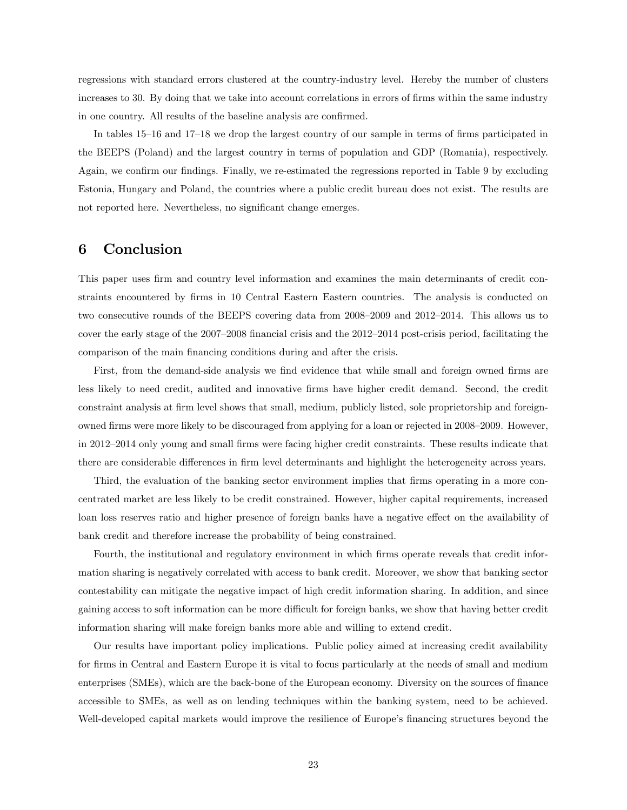regressions with standard errors clustered at the country-industry level. Hereby the number of clusters increases to 30. By doing that we take into account correlations in errors of firms within the same industry in one country. All results of the baseline analysis are confirmed.

In tables  $15–16$  and  $17–18$  we drop the largest country of our sample in terms of firms participated in the BEEPS (Poland) and the largest country in terms of population and GDP (Romania), respectively. Again, we confirm our findings. Finally, we re-estimated the regressions reported in Table 9 by excluding Estonia, Hungary and Poland, the countries where a public credit bureau does not exist. The results are not reported here. Nevertheless, no significant change emerges.

## 6 Conclusion

This paper uses firm and country level information and examines the main determinants of credit constraints encountered by Örms in 10 Central Eastern Eastern countries. The analysis is conducted on two consecutive rounds of the BEEPS covering data from 2008–2009 and 2012–2014. This allows us to cover the early stage of the  $2007-2008$  financial crisis and the  $2012-2014$  post-crisis period, facilitating the comparison of the main financing conditions during and after the crisis.

First, from the demand-side analysis we find evidence that while small and foreign owned firms are less likely to need credit, audited and innovative Örms have higher credit demand. Second, the credit constraint analysis at firm level shows that small, medium, publicly listed, sole proprietorship and foreignowned firms were more likely to be discouraged from applying for a loan or rejected in 2008–2009. However, in 2012–2014 only young and small firms were facing higher credit constraints. These results indicate that there are considerable differences in firm level determinants and highlight the heterogeneity across years.

Third, the evaluation of the banking sector environment implies that firms operating in a more concentrated market are less likely to be credit constrained. However, higher capital requirements, increased loan loss reserves ratio and higher presence of foreign banks have a negative effect on the availability of bank credit and therefore increase the probability of being constrained.

Fourth, the institutional and regulatory environment in which firms operate reveals that credit information sharing is negatively correlated with access to bank credit. Moreover, we show that banking sector contestability can mitigate the negative impact of high credit information sharing. In addition, and since gaining access to soft information can be more difficult for foreign banks, we show that having better credit information sharing will make foreign banks more able and willing to extend credit.

Our results have important policy implications. Public policy aimed at increasing credit availability for firms in Central and Eastern Europe it is vital to focus particularly at the needs of small and medium enterprises (SMEs), which are the back-bone of the European economy. Diversity on the sources of finance accessible to SMEs, as well as on lending techniques within the banking system, need to be achieved. Well-developed capital markets would improve the resilience of Europe's financing structures beyond the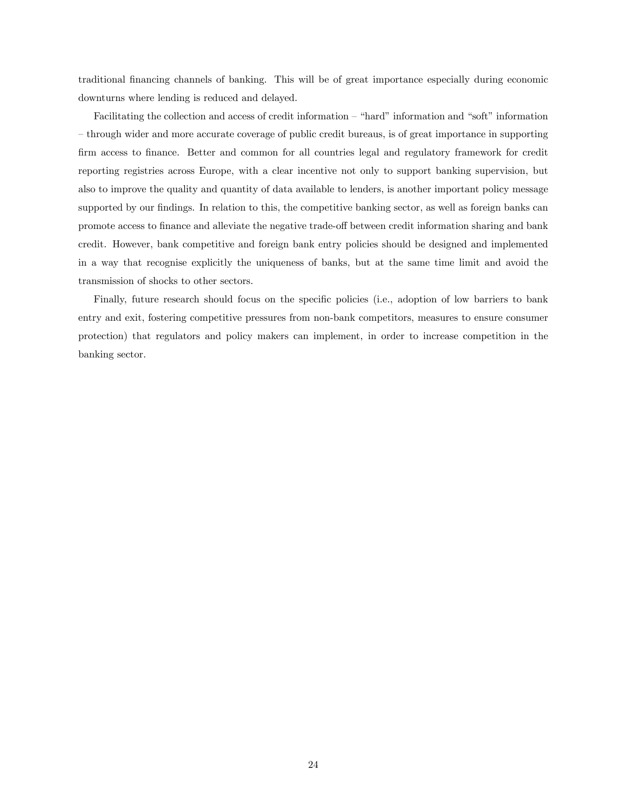traditional financing channels of banking. This will be of great importance especially during economic downturns where lending is reduced and delayed.

Facilitating the collection and access of credit information  $-$  "hard" information and "soft" information – through wider and more accurate coverage of public credit bureaus, is of great importance in supporting firm access to finance. Better and common for all countries legal and regulatory framework for credit reporting registries across Europe, with a clear incentive not only to support banking supervision, but also to improve the quality and quantity of data available to lenders, is another important policy message supported by our findings. In relation to this, the competitive banking sector, as well as foreign banks can promote access to finance and alleviate the negative trade-off between credit information sharing and bank credit. However, bank competitive and foreign bank entry policies should be designed and implemented in a way that recognise explicitly the uniqueness of banks, but at the same time limit and avoid the transmission of shocks to other sectors.

Finally, future research should focus on the specific policies (i.e., adoption of low barriers to bank entry and exit, fostering competitive pressures from non-bank competitors, measures to ensure consumer protection) that regulators and policy makers can implement, in order to increase competition in the banking sector.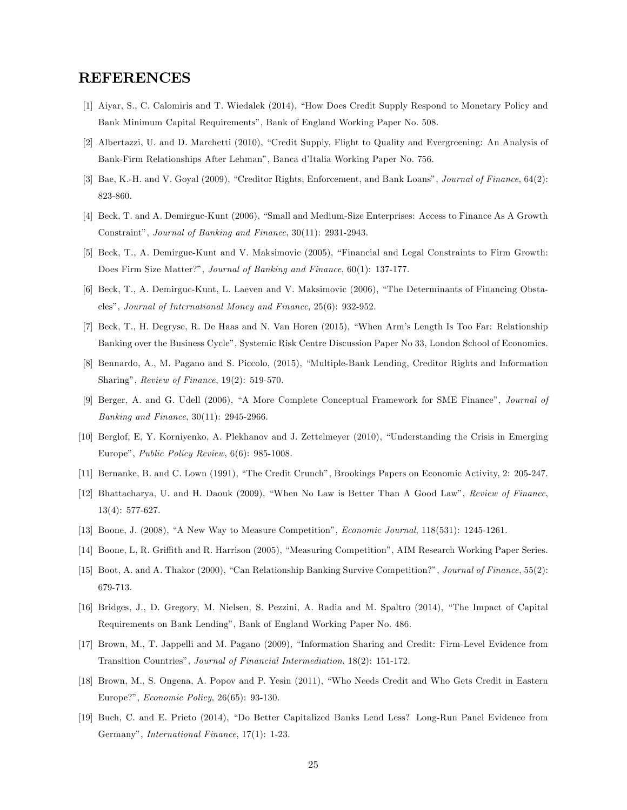### REFERENCES

- [1] Aiyar, S., C. Calomiris and T. Wiedalek (2014), "How Does Credit Supply Respond to Monetary Policy and Bank Minimum Capital Requirements", Bank of England Working Paper No. 508.
- [2] Albertazzi, U. and D. Marchetti (2010), "Credit Supply, Flight to Quality and Evergreening: An Analysis of Bank-Firm Relationships After Lehman<sup>n</sup>, Banca d'Italia Working Paper No. 756.
- [3] Bae, K.-H. and V. Goyal (2009), "Creditor Rights, Enforcement, and Bank Loans", Journal of Finance, 64(2): 823-860.
- [4] Beck, T. and A. Demirguc-Kunt (2006), "Small and Medium-Size Enterprises: Access to Finance As A Growth Constraint", Journal of Banking and Finance, 30(11): 2931-2943.
- [5] Beck, T., A. Demirguc-Kunt and V. Maksimovic (2005), "Financial and Legal Constraints to Firm Growth: Does Firm Size Matter?", Journal of Banking and Finance, 60(1): 137-177.
- [6] Beck, T., A. Demirguc-Kunt, L. Laeven and V. Maksimovic (2006), "The Determinants of Financing Obstaclesî, Journal of International Money and Finance, 25(6): 932-952.
- [7] Beck, T., H. Degryse, R. De Haas and N. Van Horen (2015), "When Arm's Length Is Too Far: Relationship Banking over the Business Cycleî, Systemic Risk Centre Discussion Paper No 33, London School of Economics.
- [8] Bennardo, A., M. Pagano and S. Piccolo, (2015), "Multiple-Bank Lending, Creditor Rights and Information Sharing", Review of Finance,  $19(2)$ : 519-570.
- [9] Berger, A. and G. Udell (2006), "A More Complete Conceptual Framework for SME Finance", Journal of Banking and Finance, 30(11): 2945-2966.
- [10] Berglof, E, Y. Korniyenko, A. Plekhanov and J. Zettelmeyer (2010), "Understanding the Crisis in Emerging Europe", *Public Policy Review*,  $6(6)$ : 985-1008.
- [11] Bernanke, B. and C. Lown (1991), "The Credit Crunch", Brookings Papers on Economic Activity, 2: 205-247.
- [12] Bhattacharya, U. and H. Daouk (2009), "When No Law is Better Than A Good Law", Review of Finance, 13(4): 577-627.
- [13] Boone, J. (2008), "A New Way to Measure Competition", *Economic Journal*, 118(531): 1245-1261.
- [14] Boone, L, R. Griffith and R. Harrison (2005), "Measuring Competition", AIM Research Working Paper Series.
- [15] Boot, A. and A. Thakor (2000), "Can Relationship Banking Survive Competition?", Journal of Finance, 55(2): 679-713.
- [16] Bridges, J., D. Gregory, M. Nielsen, S. Pezzini, A. Radia and M. Spaltro (2014), "The Impact of Capital Requirements on Bank Lendingî, Bank of England Working Paper No. 486.
- [17] Brown, M., T. Jappelli and M. Pagano (2009), "Information Sharing and Credit: Firm-Level Evidence from Transition Countries", Journal of Financial Intermediation, 18(2): 151-172.
- [18] Brown, M., S. Ongena, A. Popov and P. Yesin (2011), "Who Needs Credit and Who Gets Credit in Eastern Europe?", *Economic Policy*, 26(65): 93-130.
- [19] Buch, C. and E. Prieto (2014), "Do Better Capitalized Banks Lend Less? Long-Run Panel Evidence from Germanyî, International Finance, 17(1): 1-23.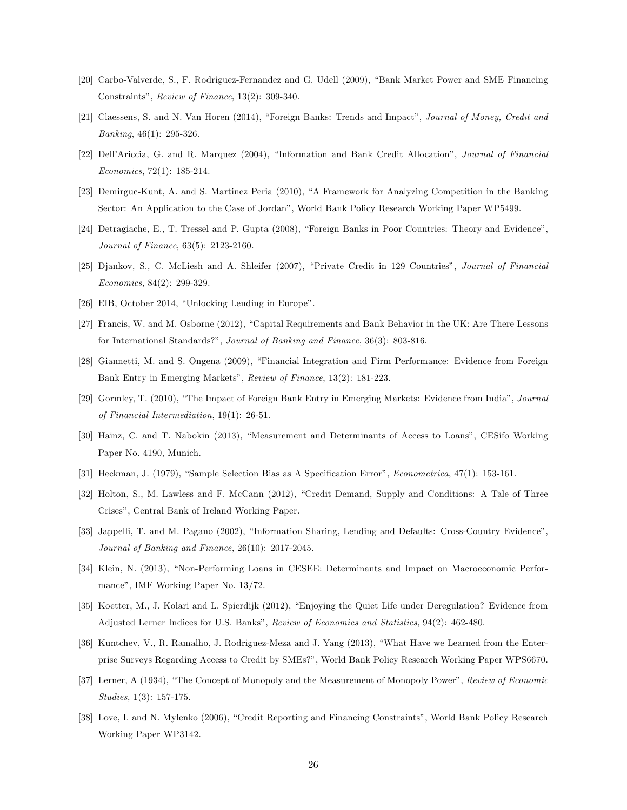- [20] Carbo-Valverde, S., F. Rodriguez-Fernandez and G. Udell (2009), "Bank Market Power and SME Financing Constraints", Review of Finance,  $13(2)$ : 309-340.
- [21] Claessens, S. and N. Van Horen (2014), "Foreign Banks: Trends and Impact", Journal of Money, Credit and Banking, 46(1): 295-326.
- [22] Dell'Ariccia, G. and R. Marquez (2004), "Information and Bank Credit Allocation", Journal of Financial Economics, 72(1): 185-214.
- [23] Demirguc-Kunt, A. and S. Martinez Peria (2010), "A Framework for Analyzing Competition in the Banking Sector: An Application to the Case of Jordanî, World Bank Policy Research Working Paper WP5499.
- [24] Detragiache, E., T. Tressel and P. Gupta (2008), "Foreign Banks in Poor Countries: Theory and Evidence", Journal of Finance, 63(5): 2123-2160.
- [25] Djankov, S., C. McLiesh and A. Shleifer (2007), "Private Credit in 129 Countries", Journal of Financial Economics, 84(2): 299-329.
- [26] EIB, October 2014, "Unlocking Lending in Europe".
- [27] Francis, W. and M. Osborne (2012), "Capital Requirements and Bank Behavior in the UK: Are There Lessons for International Standards?", Journal of Banking and Finance, 36(3): 803-816.
- [28] Giannetti, M. and S. Ongena (2009), "Financial Integration and Firm Performance: Evidence from Foreign Bank Entry in Emerging Markets", Review of Finance, 13(2): 181-223.
- [29] Gormley, T. (2010), "The Impact of Foreign Bank Entry in Emerging Markets: Evidence from India", Journal of Financial Intermediation, 19(1): 26-51.
- [30] Hainz, C. and T. Nabokin (2013), "Measurement and Determinants of Access to Loans", CESifo Working Paper No. 4190, Munich.
- [31] Heckman, J. (1979), "Sample Selection Bias as A Specification Error", *Econometrica*,  $47(1)$ : 153-161.
- [32] Holton, S., M. Lawless and F. McCann (2012), "Credit Demand, Supply and Conditions: A Tale of Three Crisesî, Central Bank of Ireland Working Paper.
- [33] Jappelli, T. and M. Pagano (2002), "Information Sharing, Lending and Defaults: Cross-Country Evidence". Journal of Banking and Finance, 26(10): 2017-2045.
- [34] Klein, N. (2013), "Non-Performing Loans in CESEE: Determinants and Impact on Macroeconomic Performance", IMF Working Paper No. 13/72.
- [35] Koetter, M., J. Kolari and L. Spierdijk (2012), "Enjoying the Quiet Life under Deregulation? Evidence from Adjusted Lerner Indices for U.S. Banks", Review of Economics and Statistics, 94(2): 462-480.
- [36] Kuntchev, V., R. Ramalho, J. Rodriguez-Meza and J. Yang (2013), "What Have we Learned from the Enterprise Surveys Regarding Access to Credit by SMEs?î, World Bank Policy Research Working Paper WPS6670.
- [37] Lerner, A (1934), "The Concept of Monopoly and the Measurement of Monopoly Power", Review of Economic Studies, 1(3): 157-175.
- [38] Love, I. and N. Mylenko (2006), "Credit Reporting and Financing Constraints", World Bank Policy Research Working Paper WP3142.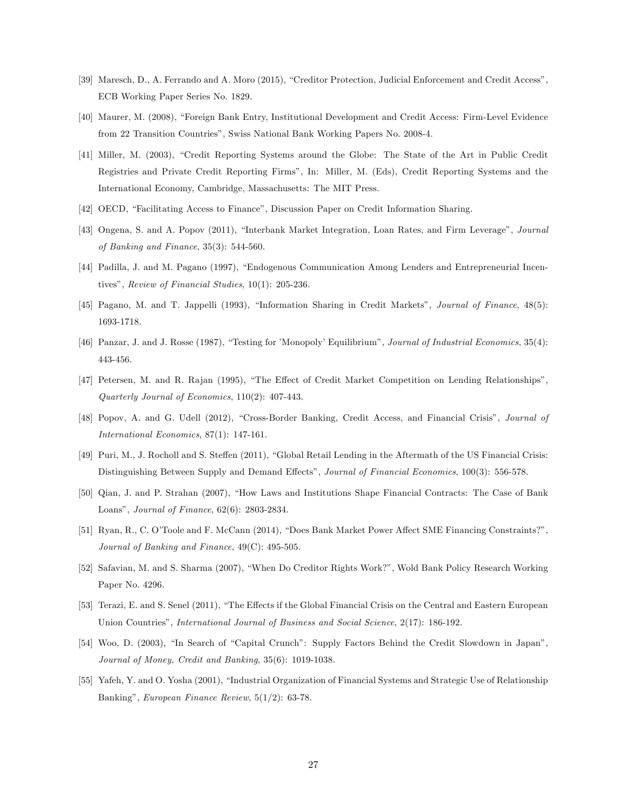- [39] Maresch, D., A. Ferrando and A. Moro (2015), "Creditor Protection, Judicial Enforcement and Credit Access", ECB Working Paper Series No. 1829.
- [40] Maurer, M. (2008), "Foreign Bank Entry, Institutional Development and Credit Access: Firm-Level Evidence from 22 Transition Countriesî, Swiss National Bank Working Papers No. 2008-4.
- [41] Miller, M. (2003), "Credit Reporting Systems around the Globe: The State of the Art in Public Credit Registries and Private Credit Reporting Firmsî, In: Miller, M. (Eds), Credit Reporting Systems and the International Economy, Cambridge, Massachusetts: The MIT Press.
- [42] OECD, "Facilitating Access to Finance", Discussion Paper on Credit Information Sharing.
- [43] Ongena, S. and A. Popov (2011), "Interbank Market Integration, Loan Rates, and Firm Leverage", Journal of Banking and Finance, 35(3): 544-560.
- [44] Padilla, J. and M. Pagano (1997), "Endogenous Communication Among Lenders and Entrepreneurial Incentives", Review of Financial Studies,  $10(1)$ : 205-236.
- [45] Pagano, M. and T. Jappelli (1993), "Information Sharing in Credit Markets", *Journal of Finance*, 48(5): 1693-1718.
- [46] Panzar, J. and J. Rosse (1987), "Testing for 'Monopoly' Equilibrium", Journal of Industrial Economics, 35(4): 443-456.
- [47] Petersen, M. and R. Rajan (1995), "The Effect of Credit Market Competition on Lending Relationships", Quarterly Journal of Economics, 110(2): 407-443.
- [48] Popov, A. and G. Udell (2012), "Cross-Border Banking, Credit Access, and Financial Crisis", Journal of International Economics, 87(1): 147-161.
- [49] Puri, M., J. Rocholl and S. Steffen (2011), "Global Retail Lending in the Aftermath of the US Financial Crisis: Distinguishing Between Supply and Demand Effects", Journal of Financial Economics, 100(3): 556-578.
- [50] Qian, J. and P. Strahan (2007), "How Laws and Institutions Shape Financial Contracts: The Case of Bank Loans", Journal of Finance, 62(6): 2803-2834.
- [51] Ryan, R., C. O'Toole and F. McCann (2014), "Does Bank Market Power Affect SME Financing Constraints?", Journal of Banking and Finance, 49(C): 495-505.
- [52] Safavian, M. and S. Sharma (2007), "When Do Creditor Rights Work?", Wold Bank Policy Research Working Paper No. 4296.
- [53] Terazi, E. and S. Senel (2011), "The Effects if the Global Financial Crisis on the Central and Eastern European Union Countries", *International Journal of Business and Social Science*, 2(17): 186-192.
- [54] Woo, D. (2003), "In Search of "Capital Crunch": Supply Factors Behind the Credit Slowdown in Japan", Journal of Money, Credit and Banking, 35(6): 1019-1038.
- [55] Yafeh, Y. and O. Yosha (2001), "Industrial Organization of Financial Systems and Strategic Use of Relationship Banking", European Finance Review,  $5(1/2)$ : 63-78.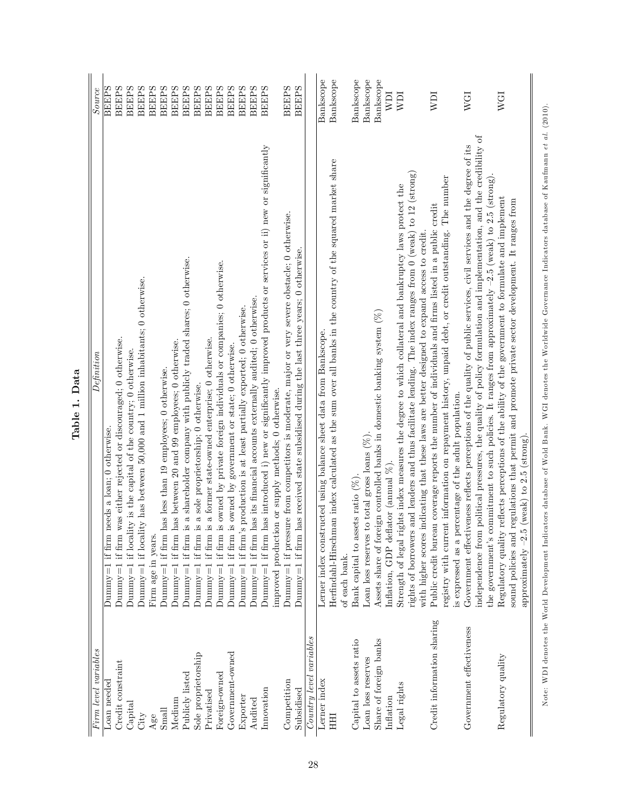| Firm level variables       | Define a                                                                                                                                                                                                                                        | Source       |
|----------------------------|-------------------------------------------------------------------------------------------------------------------------------------------------------------------------------------------------------------------------------------------------|--------------|
|                            |                                                                                                                                                                                                                                                 |              |
| Loan needed                | Dummy=1 if firm needs a loan; $0$ otherwise.                                                                                                                                                                                                    | <b>BEEPS</b> |
| Credit constraint          | Dummy=1 if firm was either rejected or discouraged; $0$ otherwise.                                                                                                                                                                              | <b>BEEPS</b> |
| Capital                    | Dummy=1 if locality is the capital of the country; $0$ otherwise.                                                                                                                                                                               | <b>BEEPS</b> |
| City                       | Dummy=1 if locality has between 50,000 and 1 million inhabitants; 0 otherwise.                                                                                                                                                                  | <b>BEEPS</b> |
| $A$ ge                     | Firm age in years.                                                                                                                                                                                                                              | <b>BEEPS</b> |
| Small                      | Dummy=1 if firm has less than 19 employees; 0 otherwise.                                                                                                                                                                                        | <b>BEEPS</b> |
| Medium                     | Dummy=1 if firm has between 20 and 99 employees; 0 otherwise.                                                                                                                                                                                   | <b>BEEPS</b> |
| Publicly listed            | Dummy=1 if firm is a shareholder company with publicly traded shares; 0 otherwise.                                                                                                                                                              | <b>BEEPS</b> |
| Sole proprietorship        | a sole proprietorship; 0 otherwise.<br>Dummy= $1$ if firm is                                                                                                                                                                                    | <b>BEEPS</b> |
| Privatised                 | a former state-owned enterprise; 0 otherwise.<br>Dummy= $1$ if firm is                                                                                                                                                                          | <b>BEEPS</b> |
| Foreign-owned              | Dummy=1 if firm is owned by private foreign individuals or companies; 0 otherwise.                                                                                                                                                              | <b>BEEPS</b> |
| Government-owned           | owned by government or state; 0 otherwise.<br>Dummy $=1$ if firm is                                                                                                                                                                             | <b>BEEPS</b> |
| Exporter                   | production is at least partially exported; 0 otherwise.<br>Dummy= $1$ if firm's                                                                                                                                                                 | <b>BEEPS</b> |
| Audited                    | Dummy=1 if firm has its financial accounts externally audited; $0$ otherwise.                                                                                                                                                                   | <b>BEEPS</b> |
| Innovation                 | Dummy=1 if firm has introduced i) new or significantly improved products or services or ii) new or significantly                                                                                                                                | <b>BEEPS</b> |
|                            | improved production or supply methods; 0 otherwise.                                                                                                                                                                                             |              |
| Competition                | Dummy=1 if pressure from competitors is moderate, major or very severe obstacle; $0$ otherwise.                                                                                                                                                 | <b>BEEPS</b> |
| Subsidised                 | Dummy=1 if firm has received state subsidised during the last three years; 0 otherwise.                                                                                                                                                         | <b>BEEPS</b> |
| $Country$ level variables  |                                                                                                                                                                                                                                                 |              |
| Lerner index               | Lerner index constructed using balance sheet data from Bankscope.                                                                                                                                                                               | Bankscope    |
| HHI                        | Herfindahl-Hirschman index calculated as the sum over all banks in the country of the squared market share                                                                                                                                      | Bankscope    |
|                            | of each bank.                                                                                                                                                                                                                                   |              |
| Capital to assets ratio    | Bank capital to assets ratio (%)                                                                                                                                                                                                                | Bankscope    |
| Loan loss reserves         | Loan loss reserves to total gross loans $(\%)$                                                                                                                                                                                                  | Bankscope    |
| Share of foreign banks     | Assets share of foreign controlled banks in domestic banking system $(\%)$                                                                                                                                                                      | Bankscope    |
| Inflation                  | inflation, GDP deflator (annual $\%$ ).                                                                                                                                                                                                         | <b>NDI</b>   |
| Legal rights               | Strength of legal rights index measures the degree to which collateral and bankruptcy laws protect the                                                                                                                                          | NDI          |
|                            | and lenders and thus facilitate lending. The index ranges from $0$ (weak) to $12$ (strong)<br>with higher scores indicating that these laws are better designed to expand access to credit.<br>rights of borrowers                              |              |
| Credit information sharing | Public credit bureau coverage reports the number of individuals and firms listed in a public credit                                                                                                                                             | NDI          |
|                            | The number<br>registry with current information on repayment history, unpaid debt, or credit outstanding.                                                                                                                                       |              |
|                            | is expressed as a percentage of the adult population.                                                                                                                                                                                           |              |
| Government effectiveness   | political pressures, the quality of policy formulation and implementation, and the credibility of<br>Government effectiveness reflects perceptions of the quality of public services, civil services and the degree of its<br>independence from | <b>WGI</b>   |
|                            | the government's commitment to such policies. It ranges from approximately $-2.5$ (weak) to 2.5 (strong).                                                                                                                                       |              |
| Regulatory quality         | reflects perceptions of the ability of the government to formulate and implement<br>sound policies and regulations that permit and promote private sector development. It ranges from<br>Regulatory quality                                     | WGI          |
|                            | $(\text{weak})$ to 2.5 $(\text{strong})$<br>approximately $-2.5$                                                                                                                                                                                |              |
|                            |                                                                                                                                                                                                                                                 |              |

Table 1. Data Table 1. Data Note: WDI denotes the World Development Indicators database of Wold Bank. WGI denotes the Worldwide Governance Indicators database of Kaufmann et al. (2010). Note: WD I denotes the World Development Indicators database of Wold Bank. WG I denotes the Worldwide Governance Indicators database of Kaufm ann e t al. (2010).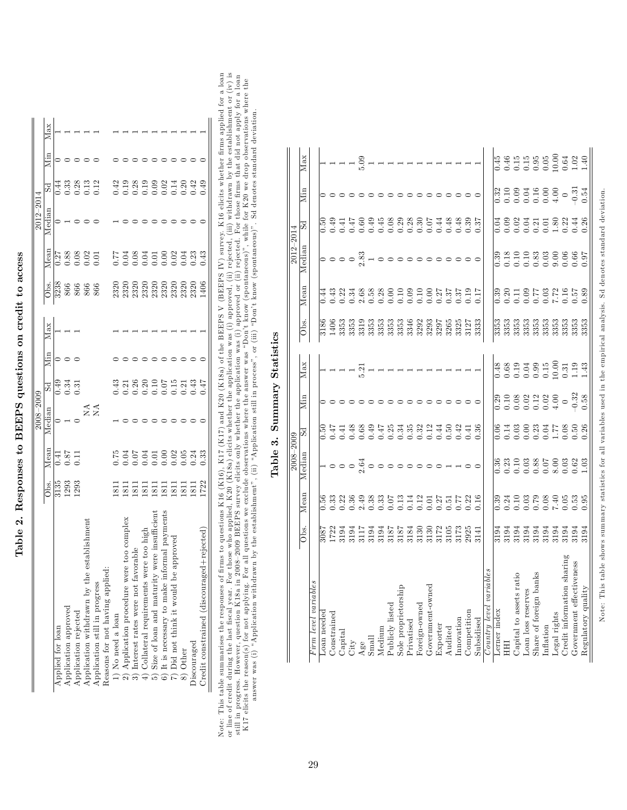| くくくくし                      |
|----------------------------|
|                            |
|                            |
|                            |
| じょう こうしょう りょうしゅう<br>ſ      |
|                            |
|                            |
| てーーー<br>i                  |
|                            |
| くていこく<br>ł,<br>י<br>י<br>Í |
|                            |

|                                           |                     |                                                     | 2008–2009  |        |     |     |                                                           |                                                                              | $2012 - 201$ |                             |     |  |
|-------------------------------------------|---------------------|-----------------------------------------------------|------------|--------|-----|-----|-----------------------------------------------------------|------------------------------------------------------------------------------|--------------|-----------------------------|-----|--|
|                                           | Jbs.                | Mean                                                | Median     | 5d     | Mın | Max | Jbs.                                                      | Mean                                                                         | Median       | 5d                          | Мin |  |
| Applied for loan                          |                     |                                                     |            | (1.49) |     |     |                                                           |                                                                              |              | 1.44                        |     |  |
| Application approved                      | $\frac{3135}{1293}$ | $\begin{array}{c} 0.41 \\ 0.87 \\ 0.11 \end{array}$ |            | 0.34   |     |     |                                                           |                                                                              |              |                             |     |  |
| Application rejected                      |                     |                                                     |            |        |     |     | $\frac{8}{3238}$<br>$\frac{866}{866}$<br>$\frac{66}{866}$ | $\begin{array}{c} 27 \\ 0.88 \\ 0.08 \\ 0.01 \\ 0.00 \\ 0.01 \\ \end{array}$ |              | 33<br>0.0.12<br>0.0.12      |     |  |
| Application withdrawn by the est:         |                     |                                                     | $X \times$ |        |     |     |                                                           |                                                                              |              |                             |     |  |
| Application still in progress             |                     |                                                     |            |        |     |     |                                                           |                                                                              |              |                             |     |  |
| Reasons for not having applied:           |                     |                                                     |            |        |     |     |                                                           |                                                                              |              |                             |     |  |
| 1) No need a loan                         |                     |                                                     |            |        |     |     |                                                           |                                                                              |              |                             |     |  |
| 2) Application procedure were to          |                     |                                                     |            |        |     |     |                                                           |                                                                              |              | 428898248249<br>00000000000 |     |  |
| 3) Interest rates were not favorable      |                     |                                                     |            |        |     |     |                                                           |                                                                              |              |                             |     |  |
| 4) Collateral requirements were t         |                     |                                                     |            |        |     |     |                                                           |                                                                              |              |                             |     |  |
| 5) Size of loan and maturity wer          |                     |                                                     |            |        |     |     |                                                           |                                                                              |              |                             |     |  |
| 6) It is necessary to make inform         |                     |                                                     |            |        |     |     |                                                           |                                                                              |              |                             |     |  |
| roved<br>7) Did not think it would be app |                     |                                                     |            |        |     |     |                                                           |                                                                              |              |                             |     |  |
| 8) Other                                  |                     |                                                     |            |        |     |     |                                                           |                                                                              |              |                             |     |  |
| Discouraged                               |                     |                                                     |            |        |     |     |                                                           |                                                                              |              |                             |     |  |
| Credit constrained (discouraged+1         |                     |                                                     |            |        |     |     |                                                           |                                                                              |              |                             |     |  |

Note: This table summarises the responses of firms to questions K16 (K16), K17 (K17) and K20 (K18a) of the BEPS V (BEBPS IV) survey. K16 elicits whether firms applied for a loan<br>or line of credit during the last fiscal ye Note: This table summarises the responses of firms to questions K16 (K16), K17 (K17) and K20 (K18a) of the BEEPS V (BEEPS IV) survey. K16 elicits whether firms applied for a loan or line of credit during the last fiscal year. For those who applied, K20 (K18a) elicits whether the application was (i) approved, (ii) rejected, (iii) withdrawn by the establishment or (iv) is still in progress. However, question K18a in 2008–2009 BEEPS survey elicits only whether the application was (i) approved or (ii) rejected. For those firms that did not apply for a loan K17 elicits the reason(s) for not applying. For all questions we exclude observations where the answer was "Don't know (spontaneous)", while for K20 we drop observations where the answer was (i) "Application withdrawn by the establishment", (ii) "Application still in process", or (iii) "Don't know (spontaneous)". Sd denotes standard deviation.

| $\frac{1}{2}$<br>٩            |
|-------------------------------|
| $\tilde{c}$<br>î<br>$\bar{c}$ |
| ó,<br>ċ                       |
| İ                             |

|                                                                              |                                                       |      | $2008 - 2009$                                             |       |                                                                                                                                                                            |                                                                                                                                                                                                                                                                           |                                                                                   |                                        | $2012 - 2014$                                                                        |                                                                                                                                                                                                                                                                                                               |     |                                                                                                                                                                                                                                                                                |
|------------------------------------------------------------------------------|-------------------------------------------------------|------|-----------------------------------------------------------|-------|----------------------------------------------------------------------------------------------------------------------------------------------------------------------------|---------------------------------------------------------------------------------------------------------------------------------------------------------------------------------------------------------------------------------------------------------------------------|-----------------------------------------------------------------------------------|----------------------------------------|--------------------------------------------------------------------------------------|---------------------------------------------------------------------------------------------------------------------------------------------------------------------------------------------------------------------------------------------------------------------------------------------------------------|-----|--------------------------------------------------------------------------------------------------------------------------------------------------------------------------------------------------------------------------------------------------------------------------------|
|                                                                              | $\overline{\frac{\text{obs}}{\text{}}}.$              | Mean | Median                                                    | 5d    | Мin                                                                                                                                                                        | $\bar{\rm M}{\rm ax}$                                                                                                                                                                                                                                                     | Obs.                                                                              | Mean                                   | Median                                                                               | 5d                                                                                                                                                                                                                                                                                                            | Min | Max                                                                                                                                                                                                                                                                            |
| Firm level variables                                                         |                                                       |      |                                                           |       |                                                                                                                                                                            |                                                                                                                                                                                                                                                                           |                                                                                   |                                        |                                                                                      |                                                                                                                                                                                                                                                                                                               |     |                                                                                                                                                                                                                                                                                |
| Loan needed                                                                  | 3087                                                  |      |                                                           | 0.50  |                                                                                                                                                                            |                                                                                                                                                                                                                                                                           | 3186                                                                              | 0.44                                   |                                                                                      | 0.50                                                                                                                                                                                                                                                                                                          |     |                                                                                                                                                                                                                                                                                |
| Constrained                                                                  |                                                       |      |                                                           | 147   |                                                                                                                                                                            |                                                                                                                                                                                                                                                                           | 1406                                                                              | 0.43                                   |                                                                                      | 0.41                                                                                                                                                                                                                                                                                                          |     | $   -$                                                                                                                                                                                                                                                                         |
| $_{\rm Capital}$                                                             |                                                       |      |                                                           | (41)  |                                                                                                                                                                            |                                                                                                                                                                                                                                                                           | 3353                                                                              |                                        |                                                                                      |                                                                                                                                                                                                                                                                                                               |     |                                                                                                                                                                                                                                                                                |
|                                                                              | $17334174360$<br>$173319436764$<br>$17331945767$      |      | - - - - - - - - - - -                                     | 0.48  |                                                                                                                                                                            |                                                                                                                                                                                                                                                                           | 3 0 0 3 0 3 0 3 0 4 0 5 0 7<br>3 0 3 0 3 0 3 0 4 0 5 0 7<br>3 0 3 0 3 0 3 0 5 0 7 |                                        | $\circ \circ \circ \overset{\circ}{\circ} \underset{\circ}{\circ} \cdot \circ \circ$ | 0.47                                                                                                                                                                                                                                                                                                          |     |                                                                                                                                                                                                                                                                                |
| $\begin{array}{c} \mathrm{City}\\ \mathrm{Age}\\ \mathrm{Small} \end{array}$ |                                                       |      |                                                           |       |                                                                                                                                                                            | 5.21                                                                                                                                                                                                                                                                      |                                                                                   |                                        |                                                                                      |                                                                                                                                                                                                                                                                                                               |     | 5.09                                                                                                                                                                                                                                                                           |
|                                                                              |                                                       |      |                                                           |       |                                                                                                                                                                            |                                                                                                                                                                                                                                                                           |                                                                                   |                                        |                                                                                      |                                                                                                                                                                                                                                                                                                               |     |                                                                                                                                                                                                                                                                                |
| Medium                                                                       |                                                       |      |                                                           |       |                                                                                                                                                                            |                                                                                                                                                                                                                                                                           |                                                                                   |                                        |                                                                                      |                                                                                                                                                                                                                                                                                                               |     |                                                                                                                                                                                                                                                                                |
| Publicly listed                                                              |                                                       |      |                                                           |       |                                                                                                                                                                            |                                                                                                                                                                                                                                                                           |                                                                                   |                                        |                                                                                      | 00 800 800 5 4 8 8 8 9 5<br>0 4 4 0 6 8 8 9 6 4 4 4 5 6 7<br>0 0 0 0 0 0 0 0 0 0 0 0 0                                                                                                                                                                                                                        |     | $\overline{\phantom{a}}$                                                                                                                                                                                                                                                       |
| Sole proprietorship                                                          |                                                       |      |                                                           |       |                                                                                                                                                                            |                                                                                                                                                                                                                                                                           |                                                                                   |                                        |                                                                                      |                                                                                                                                                                                                                                                                                                               |     |                                                                                                                                                                                                                                                                                |
| Privatised                                                                   |                                                       |      |                                                           |       |                                                                                                                                                                            |                                                                                                                                                                                                                                                                           |                                                                                   |                                        |                                                                                      |                                                                                                                                                                                                                                                                                                               |     |                                                                                                                                                                                                                                                                                |
| Foreign-owned                                                                |                                                       |      |                                                           |       |                                                                                                                                                                            |                                                                                                                                                                                                                                                                           |                                                                                   |                                        |                                                                                      |                                                                                                                                                                                                                                                                                                               |     |                                                                                                                                                                                                                                                                                |
| Government-owned                                                             | 3130<br>3172<br>3105                                  |      |                                                           |       |                                                                                                                                                                            |                                                                                                                                                                                                                                                                           |                                                                                   |                                        |                                                                                      |                                                                                                                                                                                                                                                                                                               |     |                                                                                                                                                                                                                                                                                |
| Exporter<br>Audited                                                          |                                                       |      |                                                           |       |                                                                                                                                                                            |                                                                                                                                                                                                                                                                           |                                                                                   |                                        |                                                                                      |                                                                                                                                                                                                                                                                                                               |     |                                                                                                                                                                                                                                                                                |
|                                                                              |                                                       |      |                                                           |       |                                                                                                                                                                            |                                                                                                                                                                                                                                                                           | 3265                                                                              |                                        |                                                                                      |                                                                                                                                                                                                                                                                                                               |     |                                                                                                                                                                                                                                                                                |
| Innovation                                                                   | 3173<br>2925                                          |      |                                                           |       |                                                                                                                                                                            |                                                                                                                                                                                                                                                                           | 3325<br>3127                                                                      | 0.37                                   |                                                                                      |                                                                                                                                                                                                                                                                                                               |     |                                                                                                                                                                                                                                                                                |
| Competition                                                                  |                                                       |      |                                                           | 37.36 |                                                                                                                                                                            |                                                                                                                                                                                                                                                                           |                                                                                   | 0.17<br>Q1.17                          |                                                                                      |                                                                                                                                                                                                                                                                                                               |     |                                                                                                                                                                                                                                                                                |
| Subsidised                                                                   | 3141                                                  |      |                                                           |       |                                                                                                                                                                            |                                                                                                                                                                                                                                                                           | 3333                                                                              |                                        |                                                                                      |                                                                                                                                                                                                                                                                                                               |     |                                                                                                                                                                                                                                                                                |
| Country level variables                                                      |                                                       |      |                                                           |       |                                                                                                                                                                            |                                                                                                                                                                                                                                                                           |                                                                                   |                                        |                                                                                      |                                                                                                                                                                                                                                                                                                               |     |                                                                                                                                                                                                                                                                                |
| Lerner index                                                                 | 3194                                                  |      |                                                           | 0.06  |                                                                                                                                                                            |                                                                                                                                                                                                                                                                           | $\frac{3353}{23}$                                                                 | 0.39                                   |                                                                                      | 0.04                                                                                                                                                                                                                                                                                                          | 32  |                                                                                                                                                                                                                                                                                |
|                                                                              |                                                       |      |                                                           |       |                                                                                                                                                                            |                                                                                                                                                                                                                                                                           | 3353                                                                              |                                        |                                                                                      | 0.09                                                                                                                                                                                                                                                                                                          |     |                                                                                                                                                                                                                                                                                |
| Capital to assets ratio                                                      |                                                       |      |                                                           |       |                                                                                                                                                                            |                                                                                                                                                                                                                                                                           |                                                                                   |                                        |                                                                                      |                                                                                                                                                                                                                                                                                                               |     |                                                                                                                                                                                                                                                                                |
| Loan loss reserves                                                           |                                                       |      |                                                           |       |                                                                                                                                                                            |                                                                                                                                                                                                                                                                           |                                                                                   |                                        |                                                                                      |                                                                                                                                                                                                                                                                                                               |     |                                                                                                                                                                                                                                                                                |
| Share of foreign banks                                                       |                                                       |      |                                                           |       |                                                                                                                                                                            |                                                                                                                                                                                                                                                                           |                                                                                   |                                        |                                                                                      |                                                                                                                                                                                                                                                                                                               |     |                                                                                                                                                                                                                                                                                |
| Inflation                                                                    | 5 5 5 5 5 5 5 5<br>5 5 5 5 5 5 5 5<br>5 5 5 5 5 5 5 5 |      | 8<br>8 3 3 3 3 8 5 6 6 6 9 8 9<br>0 0 0 0 0 0 0 0 0 0 0 0 |       | $\begin{array}{cccc}\n0.29 & 0.29 & 0.29 & 0.29 \\ 0.5 & 0.29 & 0.29 & 0.29 & 0.29 \\ 0.5 & 0.5 & 0.5 & 0.5 & 0.5 & 0.5 \\ 0.5 & 0.5 & 0.5 & 0.5 & 0.5 & 0.5\n\end{array}$ | $\begin{array}{cccc}\n 3.48 & 0.000 & 0.000 & 0.000 & 0.000 & 0.000 & 0.000 & 0.000 & 0.000 & 0.000 & 0.000 & 0.000 & 0.000 & 0.000 & 0.000 & 0.000 & 0.000 & 0.000 & 0.000 & 0.000 & 0.000 & 0.000 & 0.000 & 0.000 & 0.000 & 0.000 & 0.000 & 0.000 & 0.000 & 0.000 & 0.$ |                                                                                   | 68.027<br>2010.02100.00<br>2010.000.00 |                                                                                      | $\begin{array}{c} 0.04 \\ 0.04 \\ 0.00 \\ 0.00 \\ 0.00 \\ 0.00 \\ 0.00 \\ 0.00 \\ 0.00 \\ 0.00 \\ 0.00 \\ 0.00 \\ 0.00 \\ 0.00 \\ 0.00 \\ 0.00 \\ 0.00 \\ 0.00 \\ 0.00 \\ 0.00 \\ 0.00 \\ 0.00 \\ 0.00 \\ 0.00 \\ 0.00 \\ 0.00 \\ 0.00 \\ 0.00 \\ 0.00 \\ 0.00 \\ 0.00 \\ 0.00 \\ 0.00 \\ 0.00 \\ 0.00 \\ 0.$ |     | $\begin{array}{cccc}\n 0.45 & 0.00 & 0.00 & 0.00 & 0.00 & 0.00 & 0.00 & 0.00 & 0.00 & 0.00 & 0.00 & 0.00 & 0.00 & 0.00 & 0.00 & 0.00 & 0.00 & 0.00 & 0.00 & 0.00 & 0.00 & 0.00 & 0.00 & 0.00 & 0.00 & 0.00 & 0.00 & 0.00 & 0.00 & 0.00 & 0.00 & 0.00 & 0.00 & 0.00 & 0.00 & 0$ |
| Legal rights                                                                 |                                                       |      |                                                           |       |                                                                                                                                                                            |                                                                                                                                                                                                                                                                           |                                                                                   |                                        |                                                                                      |                                                                                                                                                                                                                                                                                                               |     |                                                                                                                                                                                                                                                                                |
| Credit information sharin                                                    |                                                       |      |                                                           |       |                                                                                                                                                                            |                                                                                                                                                                                                                                                                           |                                                                                   |                                        |                                                                                      |                                                                                                                                                                                                                                                                                                               |     |                                                                                                                                                                                                                                                                                |
| Government effectiveness                                                     | 3194                                                  |      |                                                           |       |                                                                                                                                                                            |                                                                                                                                                                                                                                                                           |                                                                                   |                                        |                                                                                      |                                                                                                                                                                                                                                                                                                               |     |                                                                                                                                                                                                                                                                                |
| Regulatory quality                                                           | 3194                                                  |      |                                                           |       |                                                                                                                                                                            |                                                                                                                                                                                                                                                                           | 3353                                                                              |                                        | 0.07                                                                                 |                                                                                                                                                                                                                                                                                                               |     |                                                                                                                                                                                                                                                                                |
|                                                                              |                                                       |      |                                                           |       |                                                                                                                                                                            |                                                                                                                                                                                                                                                                           |                                                                                   |                                        |                                                                                      |                                                                                                                                                                                                                                                                                                               |     |                                                                                                                                                                                                                                                                                |

Note: This table shows summ ary statistics for all variables used in the empirical analysis. Sd denotes standard deviation.

Note: This table shows summary statistics for all variables used in the empirical analysis. Sd denotes standard deviation.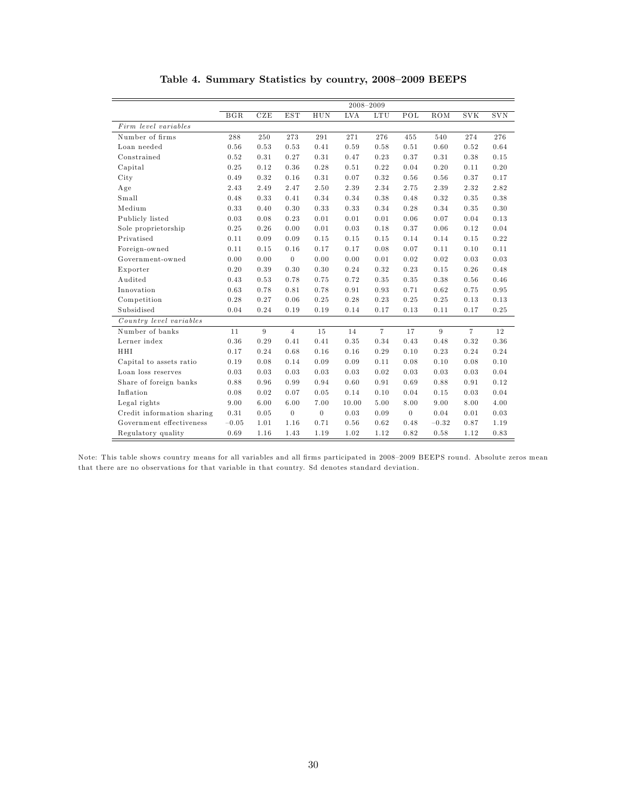|                            |         |      |                |          |            | 2008-2009      |                      |         |                |            |
|----------------------------|---------|------|----------------|----------|------------|----------------|----------------------|---------|----------------|------------|
|                            | BGR     | CZE  | <b>EST</b>     | HUN      | <b>LVA</b> | <b>LTU</b>     | $\operatorname{POL}$ | ROM     | <b>SVK</b>     | <b>SVN</b> |
| Firm level variables       |         |      |                |          |            |                |                      |         |                |            |
| Number of firms            | 288     | 250  | 273            | 291      | 271        | 276            | 455                  | 540     | 274            | 276        |
| Loan needed                | 0.56    | 0.53 | 0.53           | 0.41     | 0.59       | 0.58           | 0.51                 | 0.60    | 0.52           | 0.64       |
| Constrained                | 0.52    | 0.31 | 0.27           | 0.31     | 0.47       | 0.23           | 0.37                 | 0.31    | 0.38           | 0.15       |
| Capital                    | 0.25    | 0.12 | 0.36           | 0.28     | 0.51       | 0.22           | 0.04                 | 0.20    | 0.11           | 0.20       |
| City                       | 0.49    | 0.32 | 0.16           | 0.31     | 0.07       | 0.32           | 0.56                 | 0.56    | 0.37           | 0.17       |
| Age                        | 2.43    | 2.49 | 2.47           | 2.50     | 2.39       | 2.34           | 2.75                 | 2.39    | 2.32           | 2.82       |
| Small                      | 0.48    | 0.33 | 0.41           | 0.34     | 0.34       | 0.38           | 0.48                 | 0.32    | 0.35           | 0.38       |
| Medium                     | 0.33    | 0.40 | 0.30           | 0.33     | 0.33       | 0.34           | 0.28                 | 0.34    | 0.35           | 0.30       |
| Publicly listed            | 0.03    | 0.08 | 0.23           | 0.01     | 0.01       | 0.01           | 0.06                 | 0.07    | 0.04           | 0.13       |
| Sole proprietorship        | 0.25    | 0.26 | 0.00           | 0.01     | 0.03       | 0.18           | 0.37                 | 0.06    | 0.12           | 0.04       |
| Privatised                 | 0.11    | 0.09 | 0.09           | 0.15     | 0.15       | 0.15           | 0.14                 | 0.14    | 0.15           | 0.22       |
| Foreign-owned              | 0.11    | 0.15 | 0.16           | 0.17     | 0.17       | 0.08           | 0.07                 | 0.11    | 0.10           | 0.11       |
| Government-owned           | 0.00    | 0.00 | $\theta$       | 0.00     | 0.00       | 0.01           | 0.02                 | 0.02    | 0.03           | 0.03       |
| Exporter                   | 0.20    | 0.39 | 0.30           | 0.30     | 0.24       | 0.32           | 0.23                 | 0.15    | 0.26           | 0.48       |
| Audited                    | 0.43    | 0.53 | 0.78           | 0.75     | 0.72       | 0.35           | 0.35                 | 0.38    | 0.56           | 0.46       |
| Innovation                 | 0.63    | 0.78 | 0.81           | 0.78     | 0.91       | 0.93           | 0.71                 | 0.62    | 0.75           | 0.95       |
| Competition                | 0.28    | 0.27 | 0.06           | 0.25     | 0.28       | 0.23           | 0.25                 | 0.25    | 0.13           | 0.13       |
| Subsidised                 | 0.04    | 0.24 | 0.19           | 0.19     | 0.14       | 0.17           | 0.13                 | 0.11    | 0.17           | 0.25       |
| Country level variables    |         |      |                |          |            |                |                      |         |                |            |
| Number of banks            | 11      | 9    | $\overline{4}$ | 15       | 14         | $\overline{7}$ | 17                   | 9       | $\overline{7}$ | 12         |
| Lerner index               | 0.36    | 0.29 | 0.41           | 0.41     | 0.35       | 0.34           | 0.43                 | 0.48    | 0.32           | 0.36       |
| HHI                        | 0.17    | 0.24 | 0.68           | 0.16     | 0.16       | 0.29           | 0.10                 | 0.23    | 0.24           | 0.24       |
| Capital to assets ratio    | 0.19    | 0.08 | 0.14           | 0.09     | 0.09       | 0.11           | 0.08                 | 0.10    | 0.08           | 0.10       |
| Loan loss reserves         | 0.03    | 0.03 | 0.03           | 0.03     | 0.03       | 0.02           | 0.03                 | 0.03    | 0.03           | 0.04       |
| Share of foreign banks     | 0.88    | 0.96 | 0.99           | 0.94     | 0.60       | 0.91           | 0.69                 | 0.88    | 0.91           | 0.12       |
| Inflation                  | 0.08    | 0.02 | 0.07           | 0.05     | 0.14       | 0.10           | 0.04                 | 0.15    | 0.03           | 0.04       |
| Legal rights               | 9.00    | 6.00 | 6.00           | 7.00     | 10.00      | 5.00           | 8.00                 | 9.00    | 8.00           | 4.00       |
| Credit information sharing | 0.31    | 0.05 | $\theta$       | $\theta$ | 0.03       | 0.09           | $\theta$             | 0.04    | 0.01           | 0.03       |
| Government effectiveness   | $-0.05$ | 1.01 | 1.16           | 0.71     | 0.56       | 0.62           | 0.48                 | $-0.32$ | 0.87           | 1.19       |
| Regulatory quality         | 0.69    | 1.16 | 1.43           | 1.19     | 1.02       | 1.12           | 0.82                 | 0.58    | 1.12           | 0.83       |

Table 4. Summary Statistics by country, 2008-2009 BEEPS

Note: This table shows country means for all variables and all firms participated in 2008-2009 BEEPS round. Absolute zeros mean that there are no observations for that variable in that country. Sd denotes standard deviation.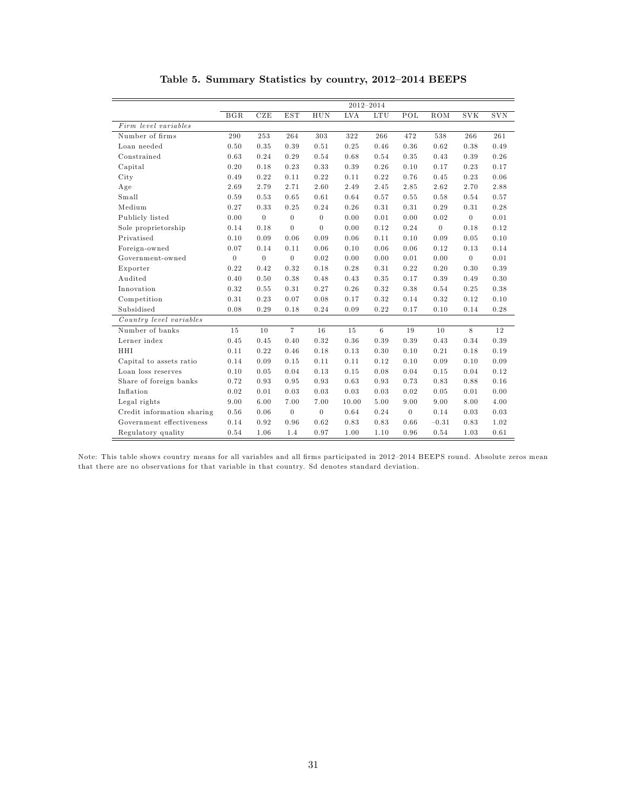|                            |                |                |                  |                  |            | 2012-2014      |                  |              |                  |            |
|----------------------------|----------------|----------------|------------------|------------------|------------|----------------|------------------|--------------|------------------|------------|
|                            | BGR            | CZE            | <b>EST</b>       | HUN              | <b>LVA</b> | $_{\rm{LTU}}$  | POL              | ROM          | <b>SVK</b>       | <b>SVN</b> |
| Firm level variables       |                |                |                  |                  |            |                |                  |              |                  |            |
| Number of firms            | 290            | 253            | 264              | 303              | 322        | 266            | 472              | 538          | 266              | 261        |
| Loan needed                | 0.50           | 0.35           | 0.39             | 0.51             | 0.25       | 0.46           | 0.36             | 0.62         | 0.38             | 0.49       |
| Constrained                | 0.63           | 0.24           | 0.29             | 0.54             | 0.68       | 0.54           | 0.35             | 0.43         | 0.39             | 0.26       |
| Capital                    | 0.20           | 0.18           | 0.23             | 0.33             | 0.39       | 0.26           | 0.10             | 0.17         | 0.23             | 0.17       |
| City                       | 0.49           | 0.22           | 0.11             | 0.22             | 0.11       | 0.22           | 0.76             | 0.45         | 0.23             | 0.06       |
| Age                        | 2.69           | 2.79           | 2.71             | 2.60             | 2.49       | 2.45           | 2.85             | 2.62         | 2.70             | 2.88       |
| Small                      | 0.59           | 0.53           | 0.65             | 0.61             | 0.64       | 0.57           | 0.55             | 0.58         | 0.54             | 0.57       |
| Medium                     | 0.27           | 0.33           | 0.25             | 0.24             | 0.26       | 0.31           | 0.31             | 0.29         | 0.31             | 0.28       |
| Publicly listed            | 0.00           | $\overline{0}$ | $\overline{0}$   | $\overline{0}$   | 0.00       | 0.01           | 0.00             | 0.02         | $\boldsymbol{0}$ | 0.01       |
| Sole proprietorship        | 0.14           | 0.18           | $\theta$         | $\overline{0}$   | 0.00       | 0.12           | 0.24             | $\mathbf{0}$ | 0.18             | 0.12       |
| Privatised                 | 0.10           | 0.09           | 0.06             | 0.09             | 0.06       | 0.11           | 0.10             | 0.09         | 0.05             | 0.10       |
| Foreign-owned              | 0.07           | 0.14           | 0.11             | 0.06             | 0.10       | 0.06           | 0.06             | 0.12         | 0.13             | 0.14       |
| Government-owned           | $\overline{0}$ | $\overline{0}$ | $\overline{0}$   | 0.02             | 0.00       | 0.00           | 0.01             | 0.00         | $\overline{0}$   | 0.01       |
| Exporter                   | 0.22           | 0.42           | 0.32             | 0.18             | 0.28       | 0.31           | 0.22             | 0.20         | 0.30             | 0.39       |
| Audited                    | 0.40           | 0.50           | 0.38             | 0.48             | 0.43       | 0.35           | 0.17             | 0.39         | 0.49             | 0.30       |
| Innovation                 | 0.32           | 0.55           | 0.31             | 0.27             | 0.26       | 0.32           | 0.38             | 0.54         | 0.25             | 0.38       |
| Competition                | 0.31           | 0.23           | 0.07             | 0.08             | 0.17       | 0.32           | 0.14             | 0.32         | 0.12             | 0.10       |
| Subsidised                 | 0.08           | 0.29           | 0.18             | 0.24             | 0.09       | 0.22           | 0.17             | 0.10         | 0.14             | 0.28       |
| Country level variables    |                |                |                  |                  |            |                |                  |              |                  |            |
| Number of banks            | 15             | 10             | $\overline{7}$   | 16               | 15         | $6\phantom{a}$ | 19               | 10           | 8                | 12         |
| Lerner index               | 0.45           | 0.45           | 0.40             | 0.32             | 0.36       | 0.39           | 0.39             | 0.43         | 0.34             | 0.39       |
| HHI                        | 0.11           | 0.22           | 0.46             | 0.18             | 0.13       | 0.30           | 0.10             | 0.21         | 0.18             | 0.19       |
| Capital to assets ratio    | 0.14           | 0.09           | 0.15             | 0.11             | 0.11       | 0.12           | 0.10             | 0.09         | 0.10             | 0.09       |
| Loan loss reserves         | 0.10           | 0.05           | 0.04             | 0.13             | 0.15       | 0.08           | 0.04             | 0.15         | 0.04             | 0.12       |
| Share of foreign banks     | 0.72           | 0.93           | 0.95             | 0.93             | 0.63       | 0.93           | 0.73             | 0.83         | 0.88             | 0.16       |
| Inflation                  | 0.02           | 0.01           | 0.03             | 0.03             | 0.03       | 0.03           | 0.02             | 0.05         | 0.01             | 0.00       |
| Legal rights               | 9.00           | 6.00           | 7.00             | 7.00             | 10.00      | 5.00           | 9.00             | 9.00         | 8.00             | 4.00       |
| Credit information sharing | 0.56           | 0.06           | $\boldsymbol{0}$ | $\boldsymbol{0}$ | 0.64       | 0.24           | $\boldsymbol{0}$ | 0.14         | 0.03             | 0.03       |
| Government effectiveness   | 0.14           | 0.92           | 0.96             | 0.62             | 0.83       | 0.83           | 0.66             | $-0.31$      | 0.83             | 1.02       |
| Regulatory quality         | 0.54           | 1.06           | 1.4              | 0.97             | 1.00       | 1.10           | 0.96             | 0.54         | 1.03             | 0.61       |

Table 5. Summary Statistics by country, 2012-2014 BEEPS

Note: This table shows country means for all variables and all firms participated in 2012-2014 BEEPS round. Absolute zeros mean that there are no observations for that variable in that country. Sd denotes standard deviation.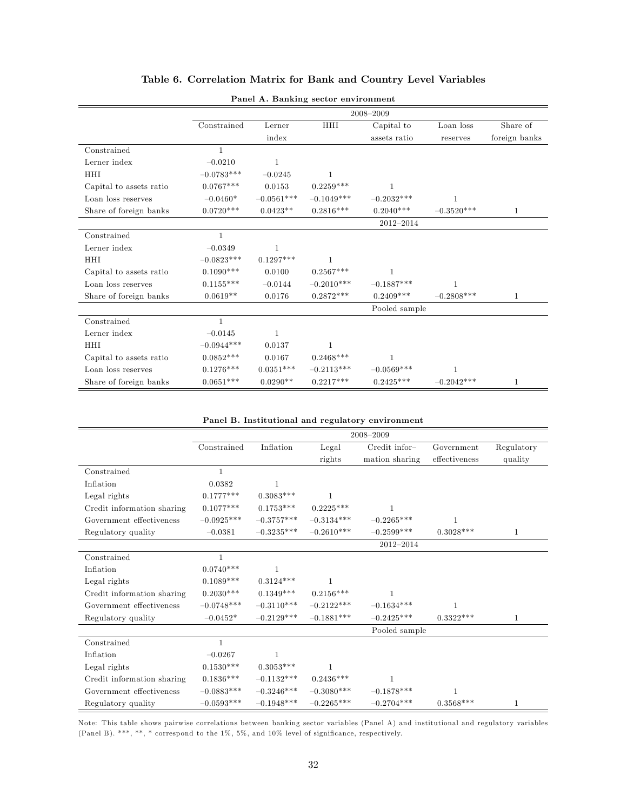|                         |              |              |              | 2008-2009     |              |               |
|-------------------------|--------------|--------------|--------------|---------------|--------------|---------------|
|                         | Constrained  | Lerner       | HHI          | Capital to    | Loan loss    | Share of      |
|                         |              | index        |              | assets ratio  | reserves     | foreign banks |
| Constrained             | $\mathbf{1}$ |              |              |               |              |               |
| Lerner index            | $-0.0210$    | $\mathbf{1}$ |              |               |              |               |
| HHI                     | $-0.0783***$ | $-0.0245$    | $\mathbf{1}$ |               |              |               |
| Capital to assets ratio | $0.0767***$  | 0.0153       | $0.2259***$  | $\mathbf{1}$  |              |               |
| Loan loss reserves      | $-0.0460*$   | $-0.0561***$ | $-0.1049***$ | $-0.2032***$  |              |               |
| Share of foreign banks  | $0.0720***$  | $0.0423**$   | $0.2816***$  | $0.2040***$   | $-0.3520***$ | $\mathbf{1}$  |
|                         |              |              |              | $2012 - 2014$ |              |               |
| Constrained             | $\mathbf{1}$ |              |              |               |              |               |
| Lerner index            | $-0.0349$    | $\mathbf{1}$ |              |               |              |               |
| HHI                     | $-0.0823***$ | $0.1297***$  | $\mathbf{1}$ |               |              |               |
| Capital to assets ratio | $0.1090***$  | 0.0100       | $0.2567***$  | 1             |              |               |
| Loan loss reserves      | $0.1155***$  | $-0.0144$    | $-0.2010***$ | $-0.1887***$  | $\mathbf{1}$ |               |
| Share of foreign banks  | $0.0619**$   | 0.0176       | $0.2872***$  | $0.2409***$   | $-0.2808***$ | $\mathbf{1}$  |
|                         |              |              |              | Pooled sample |              |               |
| Constrained             | $\mathbf{1}$ |              |              |               |              |               |
| Lerner index            | $-0.0145$    | $\mathbf{1}$ |              |               |              |               |
| HHI                     | $-0.0944***$ | 0.0137       | 1            |               |              |               |
| Capital to assets ratio | $0.0852***$  | 0.0167       | $0.2468***$  | 1             |              |               |
| Loan loss reserves      | $0.1276***$  | $0.0351***$  | $-0.2113***$ | $-0.0569***$  | $\mathbf{1}$ |               |
| Share of foreign banks  | $0.0651***$  | $0.0290**$   | $0.2217***$  | $0.2425***$   | $-0.2042***$ | $\mathbf{1}$  |

#### Table 6. Correlation Matrix for Bank and Country Level Variables

|--|

#### Panel B. Institutional and regulatory environment

|                            |              |              |               | 2008-2009                 |               |              |
|----------------------------|--------------|--------------|---------------|---------------------------|---------------|--------------|
|                            | Constrained  | Inflation    | Legal         | $C_{\text{redit}}$ infor- | Government    | Regulatory   |
|                            |              |              | rights        | mation sharing            | effectiveness | quality      |
| Constrained                | $\mathbf{1}$ |              |               |                           |               |              |
| Inflation                  | 0.0382       | $\mathbf{1}$ |               |                           |               |              |
| Legal rights               | $0.1777***$  | $0.3083***$  | 1             |                           |               |              |
| Credit information sharing | $0.1077***$  | $0.1753***$  | $0.2225***$   | 1                         |               |              |
| Government effectiveness   | $-0.0925***$ | $-0.3757***$ | $-0.3134***$  | $-0.2265***$              | $\mathbf{1}$  |              |
| Regulatory quality         | $-0.0381$    | $-0.3235***$ | $-0.2610***$  | $-0.2599***$              | $0.3028***$   | $\mathbf{1}$ |
|                            |              |              |               | $2012 - 2014$             |               |              |
| Constrained                | $\mathbf{1}$ |              |               |                           |               |              |
| Inflation                  | $0.0740***$  | $\mathbf{1}$ |               |                           |               |              |
| Legal rights               | $0.1089***$  | $0.3124***$  | $\mathbf{1}$  |                           |               |              |
| Credit information sharing | $0.2030***$  | $0.1349***$  | $0.2156***$   |                           |               |              |
| Government effectiveness   | $-0.0748***$ | $-0.3110***$ | $-0.2122***$  | $-0.1634***$              | 1             |              |
| Regulatory quality         | $-0.0452*$   | $-0.2129***$ | $-0.1881***$  | $-0.2425***$              | $0.3322***$   | $\mathbf{1}$ |
|                            |              |              |               | Pooled sample             |               |              |
| Constrained                | $\mathbf{1}$ |              |               |                           |               |              |
| Inflation                  | $-0.0267$    | 1            |               |                           |               |              |
| Legal rights               | $0.1530***$  | $0.3053***$  | 1             |                           |               |              |
| Credit information sharing | $0.1836***$  | $-0.1132***$ | $0.2436***$   | $\mathbf{1}$              |               |              |
| Government effectiveness   | $-0.0883***$ | $-0.3246***$ | $-0.3080$ *** | $-0.1878***$              |               |              |
| Regulatory quality         | $-0.0593***$ | $-0.1948***$ | $-0.2265***$  | $-0.2704***$              | $0.3568***$   | 1            |

Note: This table shows pairwise correlations between banking sector variables (Panel A) and institutional and regulatory variables (Panel B). \*\*\*, \*\*, \* correspond to the 1%, 5%, and 10% level of significance, respectively.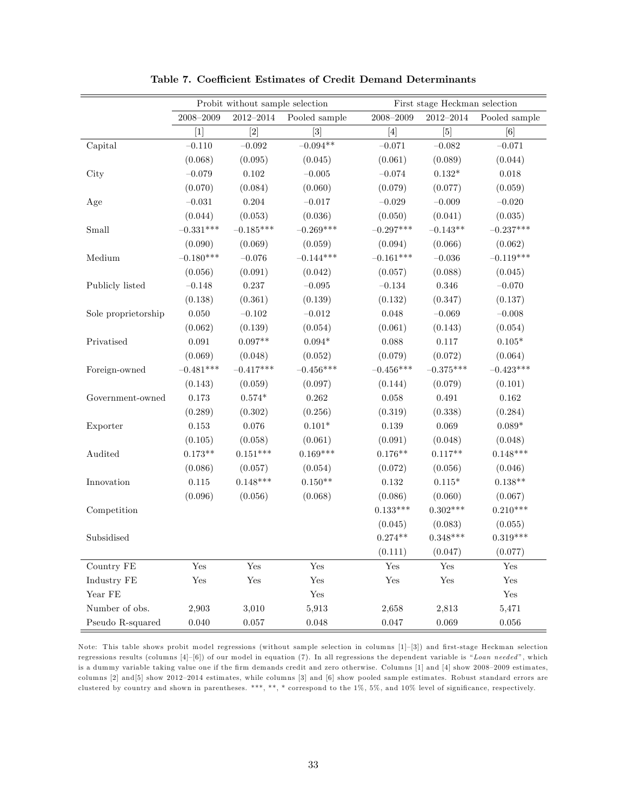|                     |                      | Probit without sample selection |               |                                                                                                                                                                                                                                                                                                                                                                                                                                                                                                                                                                                                                                                                            | First stage Heckman selection |                      |
|---------------------|----------------------|---------------------------------|---------------|----------------------------------------------------------------------------------------------------------------------------------------------------------------------------------------------------------------------------------------------------------------------------------------------------------------------------------------------------------------------------------------------------------------------------------------------------------------------------------------------------------------------------------------------------------------------------------------------------------------------------------------------------------------------------|-------------------------------|----------------------|
|                     | $2008 - 2009$        | $2012 - 2014$                   | Pooled sample | $2008 - 2009$                                                                                                                                                                                                                                                                                                                                                                                                                                                                                                                                                                                                                                                              | $2012 - 2014$                 | Pooled sample        |
|                     | $[1]$                | $[2]$                           | $[3]$         | $[4] % \includegraphics[width=0.9\columnwidth]{figures/fig_4} \caption{A graph shows a function of the parameter M and the parameter M in the interval M and the parameter M is the number of parameters. The number of parameters are shown in Fig. \ref{fig:10}. The number of parameters are shown in Fig. \ref{fig:10}. The number of parameters are shown in Fig. \ref{fig:11}. The number of parameters are shown in Fig. \ref{fig:11}. The number of parameters are shown in Fig. \ref{fig:11}. The number of parameters are shown in Fig. \ref{fig:12}. The number of parameters are shown in Fig. \ref{fig:13}. The number of parameters are shown in Fig. \ref{$ | $[5]$                         | [6]                  |
| Capital             | $-0.110$             | $-0.092$                        | $-0.094**$    | $-0.071$                                                                                                                                                                                                                                                                                                                                                                                                                                                                                                                                                                                                                                                                   | $-0.082$                      | $-0.071$             |
|                     | (0.068)              | (0.095)                         | (0.045)       | (0.061)                                                                                                                                                                                                                                                                                                                                                                                                                                                                                                                                                                                                                                                                    | (0.089)                       | (0.044)              |
| City                | $-0.079$             | $0.102\,$                       | $-0.005\,$    | $-0.074$                                                                                                                                                                                                                                                                                                                                                                                                                                                                                                                                                                                                                                                                   | $0.132*$                      | $0.018\,$            |
|                     | (0.070)              | (0.084)                         | (0.060)       | (0.079)                                                                                                                                                                                                                                                                                                                                                                                                                                                                                                                                                                                                                                                                    | (0.077)                       | (0.059)              |
| Age                 | $-0.031$             | 0.204                           | $-0.017$      | $-0.029$                                                                                                                                                                                                                                                                                                                                                                                                                                                                                                                                                                                                                                                                   | $-0.009$                      | $-0.020$             |
|                     | (0.044)              | (0.053)                         | (0.036)       | (0.050)                                                                                                                                                                                                                                                                                                                                                                                                                                                                                                                                                                                                                                                                    | (0.041)                       | (0.035)              |
| Small               | $-0.331***$          | $-0.185***$                     | $-0.269***$   | $-0.297***$                                                                                                                                                                                                                                                                                                                                                                                                                                                                                                                                                                                                                                                                | $-0.143**$                    | $-0.237***$          |
|                     | (0.090)              | (0.069)                         | (0.059)       | (0.094)                                                                                                                                                                                                                                                                                                                                                                                                                                                                                                                                                                                                                                                                    | (0.066)                       | (0.062)              |
| Medium              | $-0.180***$          | $-0.076$                        | $-0.144***$   | $-0.161***$                                                                                                                                                                                                                                                                                                                                                                                                                                                                                                                                                                                                                                                                | $-0.036$                      | $-0.119***$          |
|                     | (0.056)              | (0.091)                         | (0.042)       | (0.057)                                                                                                                                                                                                                                                                                                                                                                                                                                                                                                                                                                                                                                                                    | (0.088)                       | (0.045)              |
| Publicly listed     | $-0.148$             | 0.237                           | $-0.095$      | $-0.134$                                                                                                                                                                                                                                                                                                                                                                                                                                                                                                                                                                                                                                                                   | 0.346                         | $-0.070$             |
|                     | (0.138)              | (0.361)                         | (0.139)       | (0.132)                                                                                                                                                                                                                                                                                                                                                                                                                                                                                                                                                                                                                                                                    | (0.347)                       | (0.137)              |
| Sole proprietorship | $0.050\,$            | $-0.102$                        | $-0.012$      | 0.048                                                                                                                                                                                                                                                                                                                                                                                                                                                                                                                                                                                                                                                                      | $-0.069$                      | $-0.008$             |
|                     | (0.062)              | (0.139)                         | (0.054)       | (0.061)                                                                                                                                                                                                                                                                                                                                                                                                                                                                                                                                                                                                                                                                    | (0.143)                       | (0.054)              |
| Privatised          | 0.091                | $0.097**$                       | $0.094*$      | 0.088                                                                                                                                                                                                                                                                                                                                                                                                                                                                                                                                                                                                                                                                      | 0.117                         | $0.105*$             |
|                     | (0.069)              | (0.048)                         | (0.052)       | (0.079)                                                                                                                                                                                                                                                                                                                                                                                                                                                                                                                                                                                                                                                                    | (0.072)                       | (0.064)              |
| Foreign-owned       | $-0.481***$          | $-0.417***$                     | $-0.456***$   | $-0.456***$                                                                                                                                                                                                                                                                                                                                                                                                                                                                                                                                                                                                                                                                | $-0.375***$                   | $-0.423***$          |
|                     | (0.143)              | (0.059)                         | (0.097)       | (0.144)                                                                                                                                                                                                                                                                                                                                                                                                                                                                                                                                                                                                                                                                    | (0.079)                       | (0.101)              |
| Government-owned    | $0.173\,$            | $0.574*$                        | 0.262         | 0.058                                                                                                                                                                                                                                                                                                                                                                                                                                                                                                                                                                                                                                                                      | 0.491                         | 0.162                |
|                     | (0.289)              | (0.302)                         | (0.256)       | (0.319)                                                                                                                                                                                                                                                                                                                                                                                                                                                                                                                                                                                                                                                                    | (0.338)                       | (0.284)              |
| Exporter            | $\rm 0.153$          | 0.076                           | $0.101*$      | 0.139                                                                                                                                                                                                                                                                                                                                                                                                                                                                                                                                                                                                                                                                      | 0.069                         | $0.089*$             |
|                     | (0.105)              | (0.058)                         | (0.061)       | (0.091)                                                                                                                                                                                                                                                                                                                                                                                                                                                                                                                                                                                                                                                                    | (0.048)                       | (0.048)              |
| Audited             | $0.173**$            | $0.151***$                      | $0.169***$    | $0.176**$                                                                                                                                                                                                                                                                                                                                                                                                                                                                                                                                                                                                                                                                  | $0.117**$                     | $0.148***$           |
|                     | (0.086)              | (0.057)                         | (0.054)       | (0.072)                                                                                                                                                                                                                                                                                                                                                                                                                                                                                                                                                                                                                                                                    | (0.056)                       | (0.046)              |
| Innovation          | $0.115\,$            | $0.148***$                      | $0.150**$     | 0.132                                                                                                                                                                                                                                                                                                                                                                                                                                                                                                                                                                                                                                                                      | $0.115*$                      | $0.138**$            |
|                     | (0.096)              | (0.056)                         | (0.068)       | (0.086)                                                                                                                                                                                                                                                                                                                                                                                                                                                                                                                                                                                                                                                                    | (0.060)                       | (0.067)              |
| Competition         |                      |                                 |               | $0.133***$                                                                                                                                                                                                                                                                                                                                                                                                                                                                                                                                                                                                                                                                 | $0.302***$                    | $0.210***$           |
|                     |                      |                                 |               | (0.045)                                                                                                                                                                                                                                                                                                                                                                                                                                                                                                                                                                                                                                                                    | (0.083)                       | (0.055)              |
| Subsidised          |                      |                                 |               | $0.274**$                                                                                                                                                                                                                                                                                                                                                                                                                                                                                                                                                                                                                                                                  | $0.348***$                    | $0.319***$           |
|                     |                      |                                 |               | (0.111)                                                                                                                                                                                                                                                                                                                                                                                                                                                                                                                                                                                                                                                                    | (0.047)                       | (0.077)              |
| Country FE          | Yes                  | Yes                             | Yes           | Yes                                                                                                                                                                                                                                                                                                                                                                                                                                                                                                                                                                                                                                                                        | Yes                           | Yes                  |
| Industry FE         | $\operatorname{Yes}$ | Yes                             | Yes           | $\operatorname{Yes}$                                                                                                                                                                                                                                                                                                                                                                                                                                                                                                                                                                                                                                                       | $\operatorname{Yes}$          | $\operatorname{Yes}$ |
| Year FE             |                      |                                 | Yes           |                                                                                                                                                                                                                                                                                                                                                                                                                                                                                                                                                                                                                                                                            |                               | $\operatorname{Yes}$ |
| Number of obs.      | 2,903                | 3,010                           | 5,913         | 2,658                                                                                                                                                                                                                                                                                                                                                                                                                                                                                                                                                                                                                                                                      | 2,813                         | 5,471                |
| Pseudo R-squared    | 0.040                | 0.057                           | $0.048\,$     | $0.047\,$                                                                                                                                                                                                                                                                                                                                                                                                                                                                                                                                                                                                                                                                  | 0.069                         | $0.056\,$            |

Table 7. Coefficient Estimates of Credit Demand Determinants

Note: This table shows probit model regressions (without sample selection in columns [1]-[3]) and first-stage Heckman selection regressions results (columns  $[4]-[6]$ ) of our model in equation (7). In all regressions the dependent variable is "Loan needed", which is a dummy variable taking value one if the firm demands credit and zero otherwise. Columns [1] and [4] show 2008-2009 estimates, columns  $[2]$  and  $[5]$  show 2012-2014 estimates, while columns  $[3]$  and  $[6]$  show pooled sample estimates. Robust standard errors are clustered by country and shown in parentheses. \*\*\*, \*\*, \* correspond to the 1%, 5%, and 10% level of significance, respectively.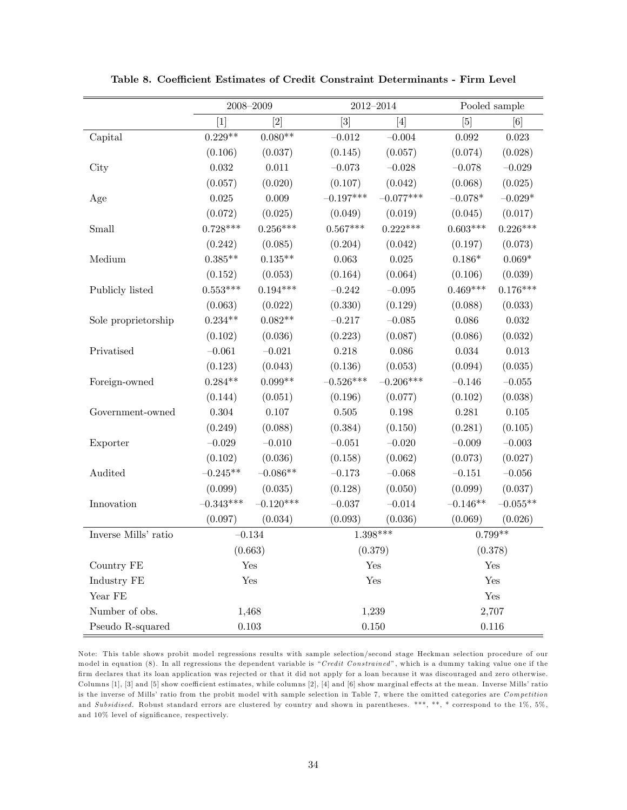|                      |             | $2008 - 2009$ | $2012 - 2014$                |             |             | Pooled sample |
|----------------------|-------------|---------------|------------------------------|-------------|-------------|---------------|
|                      | $[1]$       | [2]           | $\left\lceil 3 \right\rceil$ | [4]         | [5]         | [6]           |
| Capital              | $0.229**$   | $0.080**$     | $-0.012$                     | $-0.004$    | 0.092       | $\,0.023\,$   |
|                      | (0.106)     | (0.037)       | (0.145)                      | (0.057)     | (0.074)     | (0.028)       |
| City                 | $\,0.032\,$ | 0.011         | $-0.073$                     | $-0.028$    | $-0.078$    | $-0.029$      |
|                      | (0.057)     | (0.020)       | (0.107)                      | (0.042)     | (0.068)     | (0.025)       |
| Age                  | $0.025\,$   | $0.009\,$     | $-0.197***$                  | $-0.077***$ | $-0.078*$   | $-0.029*$     |
|                      | (0.072)     | (0.025)       | (0.049)                      | (0.019)     | (0.045)     | (0.017)       |
| Small                | $0.728***$  | $0.256***$    | $0.567***$                   | $0.222***$  | $0.603***$  | $0.226***$    |
|                      | (0.242)     | (0.085)       | (0.204)                      | (0.042)     | (0.197)     | (0.073)       |
| Medium               | $0.385**$   | $0.135**$     | 0.063                        | $0.025\,$   | $0.186*$    | $0.069*$      |
|                      | (0.152)     | (0.053)       | (0.164)                      | (0.064)     | (0.106)     | (0.039)       |
| Publicly listed      | $0.553***$  | $0.194***$    | $-0.242$                     | $-0.095$    | $0.469***$  | $0.176***$    |
|                      | (0.063)     | (0.022)       | (0.330)                      | (0.129)     | (0.088)     | (0.033)       |
| Sole proprietorship  | $0.234**$   | $0.082**$     | $-0.217$                     | $-0.085$    | 0.086       | 0.032         |
|                      | (0.102)     | (0.036)       | (0.223)                      | (0.087)     | (0.086)     | (0.032)       |
| Privatised           | $-0.061$    | $-0.021$      | 0.218                        | $0.086\,$   | $\,0.034\,$ | $\,0.013\,$   |
|                      | (0.123)     | (0.043)       | (0.136)                      | (0.053)     | (0.094)     | (0.035)       |
| Foreign-owned        | $0.284**$   | $0.099**$     | $-0.526***$                  | $-0.206***$ | $-0.146$    | $-0.055$      |
|                      | (0.144)     | (0.051)       | (0.196)                      | (0.077)     | (0.102)     | (0.038)       |
| Government-owned     | $0.304\,$   | $0.107\,$     | $0.505\,$                    | $0.198\,$   | 0.281       | $0.105\,$     |
|                      | (0.249)     | (0.088)       | (0.384)                      | (0.150)     | (0.281)     | (0.105)       |
| Exporter             | $-0.029$    | $-0.010$      | $-0.051$                     | $-0.020$    | $-0.009$    | $-0.003$      |
|                      | (0.102)     | (0.036)       | (0.158)                      | (0.062)     | (0.073)     | (0.027)       |
| Audited              | $-0.245**$  | $-0.086**$    | $-0.173$                     | $-0.068$    | $-0.151$    | $-0.056$      |
|                      | (0.099)     | (0.035)       | (0.128)                      | (0.050)     | (0.099)     | (0.037)       |
| Innovation           | $-0.343***$ | $-0.120***$   | $-0.037$                     | $-0.014$    | $-0.146**$  | $-0.055**$    |
|                      | (0.097)     | (0.034)       | (0.093)                      | (0.036)     | (0.069)     | (0.026)       |
| Inverse Mills' ratio |             | $-0.134$      | $1.398***$                   |             |             | $0.799**$     |
|                      |             | (0.663)       | (0.379)                      |             |             | (0.378)       |
| Country FE           |             | Yes           | Yes                          |             |             | Yes           |
| Industry FE          |             | Yes           | Yes                          |             |             | Yes           |
| Year FE              |             |               |                              |             |             | Yes           |
| Number of obs.       |             | 1,468         | 1,239                        |             |             | 2,707         |
| Pseudo R-squared     |             | $0.103\,$     | 0.150                        |             |             | 0.116         |

Table 8. Coefficient Estimates of Credit Constraint Determinants - Firm Level

Note: This table shows probit model regressions results with sample selection/second stage Heckman selection procedure of our model in equation (8). In all regressions the dependent variable is "Credit Constrained", which is a dummy taking value one if the Örm declares that its loan application was rejected or that it did not apply for a loan because it was discouraged and zero otherwise. Columns  $[1]$ ,  $[3]$  and  $[5]$  show coefficient estimates, while columns  $[2]$ ,  $[4]$  and  $[6]$  show marginal effects at the mean. Inverse Mills' ratio is the inverse of Mills' ratio from the probit model with sample selection in Table 7, where the omitted categories are Competition and Subsidised. Robust standard errors are clustered by country and shown in parentheses. \*\*\*, \*\*, \* correspond to the 1%, 5%, and  $10\%$  level of significance, respectively.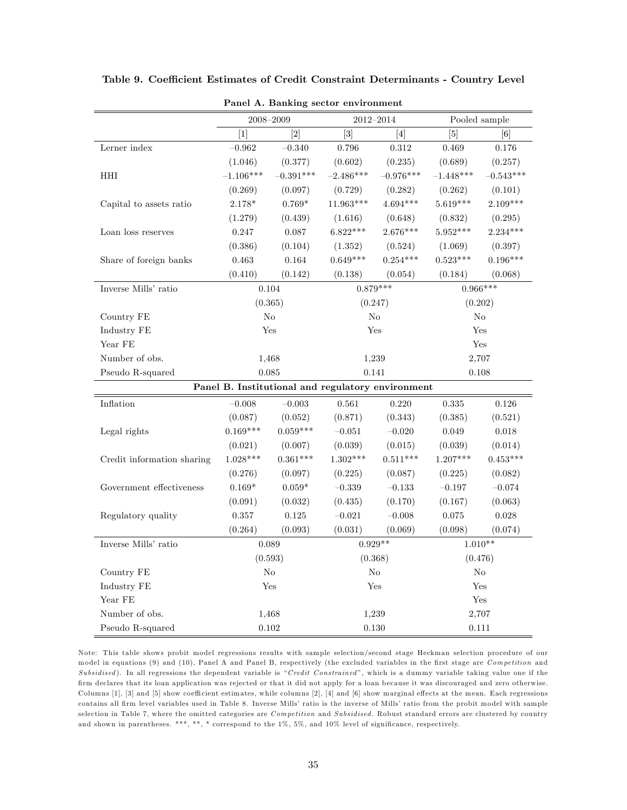|                            |                | 2008-2009   |                  | 2012-2014                                         | Pooled sample |             |
|----------------------------|----------------|-------------|------------------|---------------------------------------------------|---------------|-------------|
|                            | $[1]$          | $[2]$       | $\left[3\right]$ | [4]                                               | [5]           | [6]         |
| Lerner index               | $-0.962$       | $-0.340$    | 0.796            | $0.312\,$                                         | 0.469         | $0.176\,$   |
|                            | (1.046)        | (0.377)     | (0.602)          | (0.235)                                           | (0.689)       | (0.257)     |
| HHI                        | $-1.106***$    | $-0.391***$ | $-2.486***$      | $-0.976***$                                       | $-1.448***$   | $-0.543***$ |
|                            | (0.269)        | (0.097)     | (0.729)          | (0.282)                                           | (0.262)       | (0.101)     |
| Capital to assets ratio    | $2.178*$       | $0.769*$    | $11.963***$      | $4.694***$                                        | $5.619***$    | $2.109***$  |
|                            | (1.279)        | (0.439)     | (1.616)          | (0.648)                                           | (0.832)       | (0.295)     |
| Loan loss reserves         | 0.247          | 0.087       | $6.822***$       | 2.676***                                          | 5.952***      | $2.234***$  |
|                            | (0.386)        | (0.104)     | (1.352)          | (0.524)                                           | (1.069)       | (0.397)     |
| Share of foreign banks     | 0.463          | 0.164       | $0.649***$       | $0.254***$                                        | $0.523***$    | $0.196***$  |
|                            | (0.410)        | (0.142)     | (0.138)          | (0.054)                                           | (0.184)       | (0.068)     |
| Inverse Mills' ratio       |                | 0.104       |                  | $0.879***$                                        | $0.966***$    |             |
|                            | (0.365)        |             |                  | (0.247)                                           |               | (0.202)     |
| Country FE                 |                | No          |                  | No                                                |               | No          |
| Industry FE                |                | Yes         |                  | Yes                                               |               | Yes         |
| Year FE                    |                |             |                  |                                                   |               | Yes         |
| Number of obs.             | 1,468<br>1,239 |             |                  |                                                   | 2,707         |             |
| Pseudo R-squared           |                | 0.085       | 0.141            |                                                   | 0.108         |             |
|                            |                |             |                  | Panel B. Institutional and regulatory environment |               |             |
| Inflation                  | $-0.008$       | $-0.003$    | 0.561            | 0.220                                             | 0.335         | $0.126\,$   |
|                            | (0.087)        | (0.052)     | (0.871)          | (0.343)                                           | (0.385)       | (0.521)     |
| Legal rights               | $0.169***$     | $0.059***$  | $-0.051$         | $-0.020$                                          | 0.049         | $0.018\,$   |
|                            | (0.021)        | (0.007)     | (0.039)          | (0.015)                                           | (0.039)       | (0.014)     |
| Credit information sharing | $1.028***$     | $0.361***$  | $1.302***$       | $0.511***$                                        | $1.207***$    | $0.453***$  |
|                            | (0.276)        | (0.097)     | (0.225)          | (0.087)                                           | (0.225)       | (0.082)     |
| Government effectiveness   | $0.169*$       | $0.059*$    | $-0.339$         | $-0.133$                                          | $-0.197$      | $-0.074$    |
|                            | (0.091)        | (0.032)     | (0.435)          | (0.170)                                           | (0.167)       | (0.063)     |
| Regulatory quality         | 0.357          | 0.125       | $-0.021$         | $-0.008$                                          | 0.075         | 0.028       |
|                            | (0.264)        | (0.093)     | (0.031)          | (0.069)                                           | (0.098)       | (0.074)     |
| Inverse Mills' ratio       |                | 0.089       |                  | $0.929**$                                         |               | $1.010**$   |
|                            |                | (0.593)     |                  | (0.368)                                           |               | (0.476)     |
| Country FE                 |                | No          |                  | $\rm No$                                          |               | No          |
| Industry FE                |                | Yes         |                  | Yes                                               |               | Yes         |
| Year FE                    |                |             |                  |                                                   |               | Yes         |
| Number of obs.             |                | 1,468       |                  | 1,239                                             |               | 2,707       |
| Pseudo R-squared           |                | 0.102       |                  | 0.130                                             |               | 0.111       |

Table 9. Coefficient Estimates of Credit Constraint Determinants - Country Level

Panel A. Banking sector environment

Note: This table shows probit model regressions results with sample selection/second stage Heckman selection procedure of our model in equations (9) and (10), Panel A and Panel B, respectively (the excluded variables in the first stage are Competition and Subsidised). In all regressions the dependent variable is "Credit Constrained", which is a dummy variable taking value one if the Örm declares that its loan application was rejected or that it did not apply for a loan because it was discouraged and zero otherwise. Columns [1], [3] and [5] show coefficient estimates, while columns [2], [4] and [6] show marginal effects at the mean. Each regressions contains all firm level variables used in Table 8. Inverse Mills' ratio is the inverse of Mills' ratio from the probit model with sample selection in Table 7, where the omitted categories are Competition and Subsidised. Robust standard errors are clustered by country and shown in parentheses. \*\*\*, \*\*, \* correspond to the  $1\%$ , 5%, and  $10\%$  level of significance, respectively.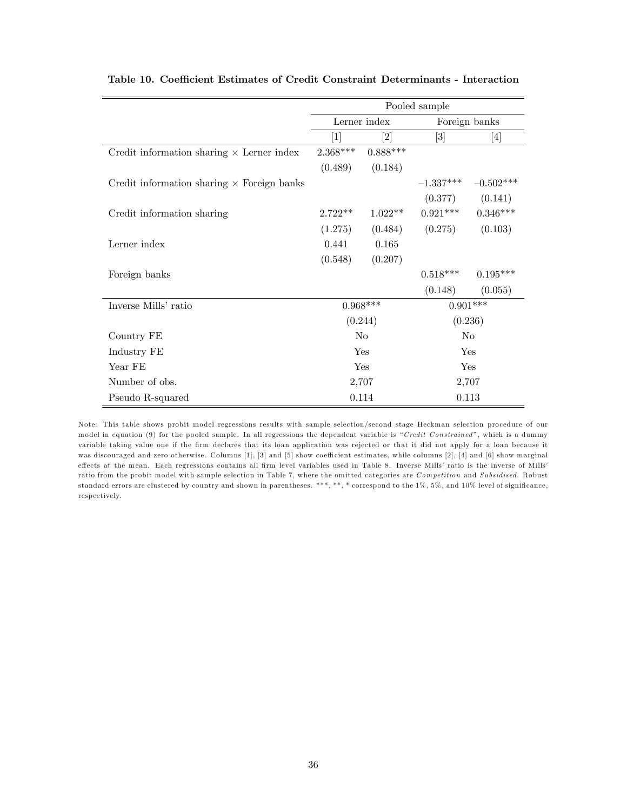|                                                   | Pooled sample |                              |                                                                                                                                                                          |                     |
|---------------------------------------------------|---------------|------------------------------|--------------------------------------------------------------------------------------------------------------------------------------------------------------------------|---------------------|
|                                                   |               | Lerner index                 |                                                                                                                                                                          | Foreign banks       |
|                                                   | 1             | $\left\lceil 2 \right\rceil$ | $[3] % \includegraphics[width=1\textwidth]{images/TrDiM-Architecture.png} \caption{The figure shows the number of three different ways.} \label{fig:TrDiM-Architecture}$ | $[4]$               |
| Credit information sharing $\times$ Lerner index  | $2.368***$    | $0.888***$                   |                                                                                                                                                                          |                     |
|                                                   | (0.489)       | (0.184)                      |                                                                                                                                                                          |                     |
| Credit information sharing $\times$ Foreign banks |               |                              | $-1.337***$                                                                                                                                                              | $-0.502***$         |
|                                                   |               |                              |                                                                                                                                                                          | $(0.377)$ $(0.141)$ |
| Credit information sharing                        | $2.722**$     | $1.022**$                    | $0.921***$                                                                                                                                                               | $0.346***$          |
|                                                   | (1.275)       | (0.484)                      | (0.275)                                                                                                                                                                  | (0.103)             |
| Lerner index                                      | 0.441         | 0.165                        |                                                                                                                                                                          |                     |
|                                                   | (0.548)       | (0.207)                      |                                                                                                                                                                          |                     |
| Foreign banks                                     |               |                              | $0.518***$                                                                                                                                                               | $0.195***$          |
|                                                   |               |                              | (0.148)                                                                                                                                                                  | (0.055)             |
| Inverse Mills' ratio                              |               | $0.968***$                   |                                                                                                                                                                          | $0.901***$          |
|                                                   |               | (0.244)                      |                                                                                                                                                                          | (0.236)             |
| Country FE                                        |               | N <sub>0</sub>               |                                                                                                                                                                          | No                  |
| Industry FE                                       |               | Yes                          |                                                                                                                                                                          | Yes                 |
| Year FE                                           |               | Yes                          |                                                                                                                                                                          | Yes                 |
| Number of obs.                                    |               | 2,707                        |                                                                                                                                                                          | 2,707               |
| Pseudo R-squared                                  |               | 0.114                        |                                                                                                                                                                          | 0.113               |

|  |  |  |  |  |  | Table 10. Coefficient Estimates of Credit Constraint Determinants - Interaction |  |  |
|--|--|--|--|--|--|---------------------------------------------------------------------------------|--|--|
|--|--|--|--|--|--|---------------------------------------------------------------------------------|--|--|

Note: This table shows probit model regressions results with sample selection/second stage Heckman selection procedure of our model in equation (9) for the pooled sample. In all regressions the dependent variable is "Credit Constrained", which is a dummy variable taking value one if the Örm declares that its loan application was rejected or that it did not apply for a loan because it was discouraged and zero otherwise. Columns [1], [3] and [5] show coefficient estimates, while columns [2], [4] and [6] show marginal effects at the mean. Each regressions contains all firm level variables used in Table 8. Inverse Mills' ratio is the inverse of Mills' ratio from the probit model with sample selection in Table 7, where the omitted categories are Competition and Subsidised. Robust standard errors are clustered by country and shown in parentheses. \*\*\*, \*\*, \* correspond to the 1%, 5%, and 10% level of significance, respectively.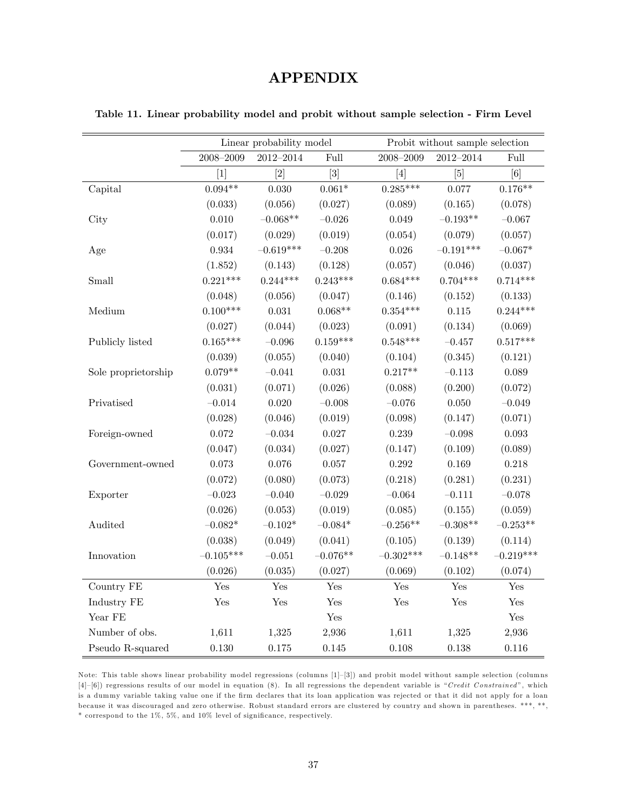## APPENDIX

|                                   |               | Linear probability model |                  |                                                                                                                                                                                                                                                                                                                                                                                                                                                                                                                                                                                                                                                                            | Probit without sample selection |             |  |  |
|-----------------------------------|---------------|--------------------------|------------------|----------------------------------------------------------------------------------------------------------------------------------------------------------------------------------------------------------------------------------------------------------------------------------------------------------------------------------------------------------------------------------------------------------------------------------------------------------------------------------------------------------------------------------------------------------------------------------------------------------------------------------------------------------------------------|---------------------------------|-------------|--|--|
|                                   | $2008 - 2009$ | $2012 - 2014$            | Full             | $2008 - 2009$                                                                                                                                                                                                                                                                                                                                                                                                                                                                                                                                                                                                                                                              | $2012 - 2014$                   | Full        |  |  |
|                                   | $[1]$         | $[2]$                    | $\left[3\right]$ | $[4] % \includegraphics[width=0.9\columnwidth]{figures/fig_4} \caption{A graph shows a function of the parameter M and the parameter M in the interval M and the parameter M is the number of parameters. The number of parameters are shown in Fig. \ref{fig:10}. The number of parameters are shown in Fig. \ref{fig:10}. The number of parameters are shown in Fig. \ref{fig:11}. The number of parameters are shown in Fig. \ref{fig:11}. The number of parameters are shown in Fig. \ref{fig:11}. The number of parameters are shown in Fig. \ref{fig:12}. The number of parameters are shown in Fig. \ref{fig:12}. The number of parameters are shown in Fig. \ref{$ | [5]                             | [6]         |  |  |
| Capital                           | $0.094**$     | 0.030                    | $0.061*$         | $0.285***$                                                                                                                                                                                                                                                                                                                                                                                                                                                                                                                                                                                                                                                                 | 0.077                           | $0.176**$   |  |  |
|                                   | (0.033)       | (0.056)                  | (0.027)          | (0.089)                                                                                                                                                                                                                                                                                                                                                                                                                                                                                                                                                                                                                                                                    | (0.165)                         | (0.078)     |  |  |
| City                              | $0.010\,$     | $-0.068**$               | $-0.026$         | 0.049                                                                                                                                                                                                                                                                                                                                                                                                                                                                                                                                                                                                                                                                      | $-0.193**$                      | $-0.067$    |  |  |
|                                   | (0.017)       | (0.029)                  | (0.019)          | (0.054)                                                                                                                                                                                                                                                                                                                                                                                                                                                                                                                                                                                                                                                                    | (0.079)                         | (0.057)     |  |  |
| Age                               | $\,0.934\,$   | $-0.619***$              | $-0.208$         | $0.026\,$                                                                                                                                                                                                                                                                                                                                                                                                                                                                                                                                                                                                                                                                  | $-0.191***$                     | $-0.067*$   |  |  |
|                                   | (1.852)       | (0.143)                  | (0.128)          | (0.057)                                                                                                                                                                                                                                                                                                                                                                                                                                                                                                                                                                                                                                                                    | (0.046)                         | (0.037)     |  |  |
| Small                             | $0.221***$    | $0.244***$               | $0.243***$       | $0.684***$                                                                                                                                                                                                                                                                                                                                                                                                                                                                                                                                                                                                                                                                 | $0.704***$                      | $0.714***$  |  |  |
|                                   | (0.048)       | (0.056)                  | (0.047)          | (0.146)                                                                                                                                                                                                                                                                                                                                                                                                                                                                                                                                                                                                                                                                    | (0.152)                         | (0.133)     |  |  |
| Medium                            | $0.100***$    | 0.031                    | $0.068**$        | $0.354***$                                                                                                                                                                                                                                                                                                                                                                                                                                                                                                                                                                                                                                                                 | 0.115                           | $0.244***$  |  |  |
|                                   | (0.027)       | (0.044)                  | (0.023)          | (0.091)                                                                                                                                                                                                                                                                                                                                                                                                                                                                                                                                                                                                                                                                    | (0.134)                         | (0.069)     |  |  |
| Publicly listed                   | $0.165***$    | $-0.096$                 | $0.159***$       | $0.548***$                                                                                                                                                                                                                                                                                                                                                                                                                                                                                                                                                                                                                                                                 | $-0.457$                        | $0.517***$  |  |  |
|                                   | (0.039)       | (0.055)                  | (0.040)          | (0.104)                                                                                                                                                                                                                                                                                                                                                                                                                                                                                                                                                                                                                                                                    | (0.345)                         | (0.121)     |  |  |
| Sole proprietorship               | $0.079**$     | $-0.041$                 | 0.031            | $0.217**$                                                                                                                                                                                                                                                                                                                                                                                                                                                                                                                                                                                                                                                                  | $-0.113$                        | 0.089       |  |  |
|                                   | (0.031)       | (0.071)                  | (0.026)          | (0.088)                                                                                                                                                                                                                                                                                                                                                                                                                                                                                                                                                                                                                                                                    | (0.200)                         | (0.072)     |  |  |
| Privatised                        | $-0.014$      | 0.020                    | $-0.008$         | $-0.076$                                                                                                                                                                                                                                                                                                                                                                                                                                                                                                                                                                                                                                                                   | 0.050                           | $-0.049$    |  |  |
|                                   | (0.028)       | (0.046)                  | (0.019)          | (0.098)                                                                                                                                                                                                                                                                                                                                                                                                                                                                                                                                                                                                                                                                    | (0.147)                         | (0.071)     |  |  |
| Foreign-owned                     | $0.072\,$     | $-0.034$                 | $0.027\,$        | $0.239\,$                                                                                                                                                                                                                                                                                                                                                                                                                                                                                                                                                                                                                                                                  | $-0.098$                        | $\,0.093\,$ |  |  |
|                                   | (0.047)       | (0.034)                  | (0.027)          | (0.147)                                                                                                                                                                                                                                                                                                                                                                                                                                                                                                                                                                                                                                                                    | (0.109)                         | (0.089)     |  |  |
| Government-owned                  | 0.073         | 0.076                    | 0.057            | $0.292\,$                                                                                                                                                                                                                                                                                                                                                                                                                                                                                                                                                                                                                                                                  | 0.169                           | $0.218\,$   |  |  |
|                                   | (0.072)       | (0.080)                  | (0.073)          | (0.218)                                                                                                                                                                                                                                                                                                                                                                                                                                                                                                                                                                                                                                                                    | (0.281)                         | (0.231)     |  |  |
| Exporter                          | $-0.023$      | $-0.040$                 | $-0.029$         | $-0.064$                                                                                                                                                                                                                                                                                                                                                                                                                                                                                                                                                                                                                                                                   | $-0.111$                        | $-0.078$    |  |  |
|                                   | (0.026)       | (0.053)                  | (0.019)          | (0.085)                                                                                                                                                                                                                                                                                                                                                                                                                                                                                                                                                                                                                                                                    | (0.155)                         | (0.059)     |  |  |
| Audited                           | $-0.082*$     | $-0.102*$                | $-0.084*$        | $-0.256**$                                                                                                                                                                                                                                                                                                                                                                                                                                                                                                                                                                                                                                                                 | $-0.308**$                      | $-0.253**$  |  |  |
|                                   | (0.038)       | (0.049)                  | (0.041)          | (0.105)                                                                                                                                                                                                                                                                                                                                                                                                                                                                                                                                                                                                                                                                    | (0.139)                         | (0.114)     |  |  |
| Innovation                        | $-0.105***$   | $-0.051$                 | $-0.076**$       | $-0.302***$                                                                                                                                                                                                                                                                                                                                                                                                                                                                                                                                                                                                                                                                | $-0.148**$                      | $-0.219***$ |  |  |
|                                   | (0.026)       | (0.035)                  | (0.027)          | (0.069)                                                                                                                                                                                                                                                                                                                                                                                                                                                                                                                                                                                                                                                                    | (0.102)                         | (0.074)     |  |  |
| Country FE                        | Yes           | Yes                      | Yes              | Yes                                                                                                                                                                                                                                                                                                                                                                                                                                                                                                                                                                                                                                                                        | Yes                             | Yes         |  |  |
| Industry FE                       | Yes           | $\operatorname{Yes}$     | Yes              | $\operatorname{Yes}$                                                                                                                                                                                                                                                                                                                                                                                                                                                                                                                                                                                                                                                       | Yes                             | Yes         |  |  |
| Year FE                           |               |                          | Yes              |                                                                                                                                                                                                                                                                                                                                                                                                                                                                                                                                                                                                                                                                            |                                 | Yes         |  |  |
| Number of obs.                    | 1,611         | 1,325                    | 2,936            | 1,611                                                                                                                                                                                                                                                                                                                                                                                                                                                                                                                                                                                                                                                                      | 1,325                           | 2,936       |  |  |
| Pseudo $\operatorname{R-squared}$ | 0.130         | 0.175                    | 0.145            | 0.108                                                                                                                                                                                                                                                                                                                                                                                                                                                                                                                                                                                                                                                                      | 0.138                           | 0.116       |  |  |

Table 11. Linear probability model and probit without sample selection - Firm Level

Note: This table shows linear probability model regressions (columns [1]-[3]) and probit model without sample selection (columns  $[4]-[6]$ ) regressions results of our model in equation (8). In all regressions the dependent variable is "Credit Constrained", which is a dummy variable taking value one if the firm declares that its loan application was rejected or that it did not apply for a loan because it was discouraged and zero otherwise. Robust standard errors are clustered by country and shown in parentheses. \*\*\*, \*\*, \* correspond to the  $1\%$ ,  $5\%$ , and  $10\%$  level of significance, respectively.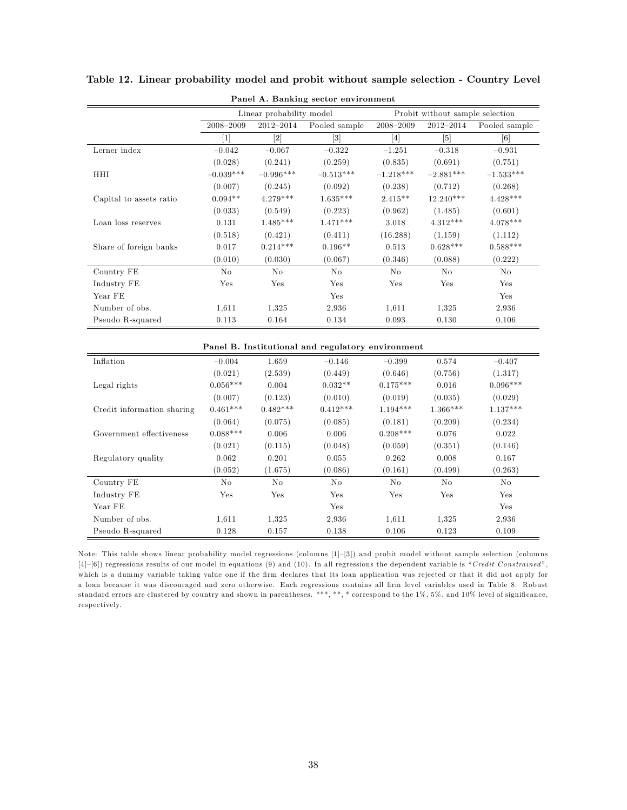|                            |               | Linear probability model |                                                   |                   | Probit without sample selection |               |
|----------------------------|---------------|--------------------------|---------------------------------------------------|-------------------|---------------------------------|---------------|
|                            | $2008 - 2009$ | 2012-2014                | Pooled sample                                     | $2008 - 2009$     | $2012 - 2014$                   | Pooled sample |
|                            | $[1]$         | $[2]$                    | $\lceil 3 \rceil$                                 | $\lceil 4 \rceil$ | [5]                             | [6]           |
| Lerner index               | $-0.042$      | $-0.067$                 | $-0.322$                                          | $-1.251$          | $-0.318$                        | $-0.931$      |
|                            | (0.028)       | (0.241)                  | (0.259)                                           | (0.835)           | (0.691)                         | (0.751)       |
| HHI                        | $-0.039***$   | $-0.996***$              | $-0.513***$                                       | $-1.218***$       | $-2.881***$                     | $-1.533***$   |
|                            | (0.007)       | (0.245)                  | (0.092)                                           | (0.238)           | (0.712)                         | (0.268)       |
| Capital to assets ratio    | $0.094**$     | $4.279***$               | $1.635***$                                        | $2.415**$         | $12.240***$                     | $4.428***$    |
|                            | (0.033)       | (0.549)                  | (0.223)                                           | (0.962)           | (1.485)                         | (0.601)       |
| Loan loss reserves         | 0.131         | $1.485***$               | $1.471***$                                        | 3.018             | $4.312***$                      | $4.078***$    |
|                            | (0.518)       | (0.421)                  | (0.411)                                           | (16.288)          | (1.159)                         | (1.112)       |
| Share of foreign banks     | $0.017\,$     | $0.214***$               | $0.196**$                                         | 0.513             | $0.628***$                      | $0.588***$    |
|                            | (0.010)       | (0.030)                  | (0.067)                                           | (0.346)           | (0.088)                         | (0.222)       |
| Country FE                 | No            | No                       | No                                                | No                | No                              | No            |
| Industry FE                | Yes           | Yes                      | Yes                                               | Yes               | Yes                             | Yes           |
| Year FE                    |               |                          | Yes                                               |                   |                                 | Yes           |
| Number of obs.             | 1,611         | 1.325                    | 2,936                                             | 1,611             | 1.325                           | 2,936         |
| Pseudo R-squared           | 0.113         | 0.164                    | 0.134                                             | 0.093             | 0.130                           | $0.106\,$     |
|                            |               |                          |                                                   |                   |                                 |               |
|                            |               |                          | Panel B. Institutional and regulatory environment |                   |                                 |               |
| Inflation                  | $-0.004$      | 1.659                    | $-0.146$                                          | $-0.399$          | 0.574                           | $-0.407$      |
|                            | (0.021)       | (2.539)                  | (0.449)                                           | (0.646)           | (0.756)                         | (1.317)       |
| Legal rights               | $0.056***$    | 0.004                    | $0.032**$                                         | $0.175***$        | 0.016                           | $0.096***$    |
|                            | (0.007)       | (0.123)                  | (0.010)                                           | (0.019)           | (0.035)                         | (0.029)       |
| Credit information sharing | $0.461***$    | $0.482***$               | $0.412***$                                        | $1.194***$        | $1.366***$                      | $1.137***$    |
|                            | (0.064)       | (0.075)                  | (0.085)                                           | (0.181)           | (0.209)                         | (0.234)       |
| Government effectiveness   | $0.088***$    | 0.006                    | 0.006                                             | $0.208***$        | 0.076                           | 0.022         |
|                            | (0.021)       | (0.115)                  | (0.048)                                           | (0.059)           | (0.351)                         | (0.146)       |
| Regulatory quality         | 0.062         | 0.201                    | 0.055                                             | 0.262             | 0.008                           | 0.167         |
|                            | (0.052)       | (1.675)                  | (0.086)                                           | (0.161)           | (0.499)                         | (0.263)       |
| Country FE                 | $\rm No$      | No                       | $\rm No$                                          | $\rm No$          | No                              | No            |
| Industry FE                | Yes           | Yes                      | Yes                                               | Yes               | Yes                             | Yes           |

Table 12. Linear probability model and probit without sample selection - Country Level

|  |  |  | Panel A. Banking sector environment |
|--|--|--|-------------------------------------|
|--|--|--|-------------------------------------|

Note: This table shows linear probability model regressions (columns [1]-[3]) and probit model without sample selection (columns  $[4]-[6]$ ) regressions results of our model in equations (9) and (10). In all regressions the dependent variable is "Credit Constrained", which is a dummy variable taking value one if the firm declares that its loan application was rejected or that it did not apply for a loan because it was discouraged and zero otherwise. Each regressions contains all firm level variables used in Table 8. Robust standard errors are clustered by country and shown in parentheses. \*\*\*, \*\*, \* correspond to the 1%, 5%, and 10% level of significance, respectively.

Year FE Yes Yes Number of obs. 1,611 1,325 2,936 1,611 1,325 2,936 Pseudo R-squared 0.128 0.157 0.138 0.106 0.123 0.109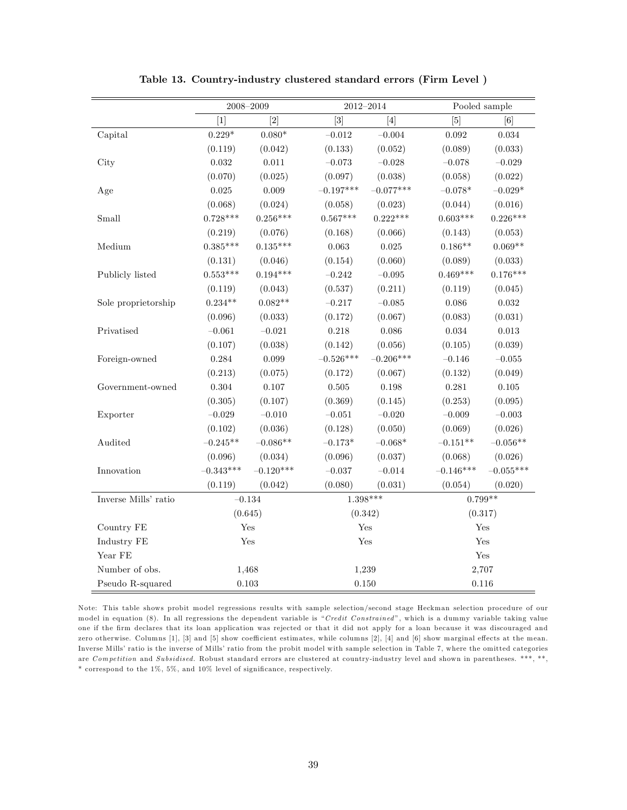|                      | 2008-2009   |                                                                                                                                                                                                                                                                                                                                                                                                                                                                                                                                                                                                                                                                                                                                                                                                                                                                                                                                                                             |             | $2012 - 2014$ |             | Pooled sample |
|----------------------|-------------|-----------------------------------------------------------------------------------------------------------------------------------------------------------------------------------------------------------------------------------------------------------------------------------------------------------------------------------------------------------------------------------------------------------------------------------------------------------------------------------------------------------------------------------------------------------------------------------------------------------------------------------------------------------------------------------------------------------------------------------------------------------------------------------------------------------------------------------------------------------------------------------------------------------------------------------------------------------------------------|-------------|---------------|-------------|---------------|
|                      | $[1]$       | $[2] % \centering \includegraphics[width=0.9\columnwidth]{figures/fig_10.pdf} \caption{The graph $\mathcal{N}_1$ is a function of the number of times, and the number of times, and the number of times, are indicated with the number of times, and the number of times, are indicated with the number of times, and the number of times, are indicated with the number of times, and the number of times, are indicated with the number of times, and the number of times, are indicated with the number of times, and the number of times, are indicated with the number of times, and the number of times, are indicated with the number of times, and the number of times, are indicated with the number of times, and the number of times, are indicated with the number of times, and the number of times, are indicated with the number of times, and the number of times, are indicated with the number of times, and the number of times, are indicated with the$ | $[3]$       | $[4]$         | $[5]$       | [6]           |
| Capital              | $0.229*$    | $0.080*$                                                                                                                                                                                                                                                                                                                                                                                                                                                                                                                                                                                                                                                                                                                                                                                                                                                                                                                                                                    | $-0.012$    | $-0.004$      | $\,0.092\,$ | $\,0.034\,$   |
|                      | (0.119)     | (0.042)                                                                                                                                                                                                                                                                                                                                                                                                                                                                                                                                                                                                                                                                                                                                                                                                                                                                                                                                                                     | (0.133)     | (0.052)       | (0.089)     | (0.033)       |
| City                 | 0.032       | 0.011                                                                                                                                                                                                                                                                                                                                                                                                                                                                                                                                                                                                                                                                                                                                                                                                                                                                                                                                                                       | $-0.073$    | $-0.028$      | $-0.078$    | $-0.029$      |
|                      | (0.070)     | (0.025)                                                                                                                                                                                                                                                                                                                                                                                                                                                                                                                                                                                                                                                                                                                                                                                                                                                                                                                                                                     | (0.097)     | (0.038)       | (0.058)     | (0.022)       |
| Age                  | 0.025       | 0.009                                                                                                                                                                                                                                                                                                                                                                                                                                                                                                                                                                                                                                                                                                                                                                                                                                                                                                                                                                       | $-0.197***$ | $-0.077***$   | $-0.078*$   | $-0.029^*$    |
|                      | (0.068)     | (0.024)                                                                                                                                                                                                                                                                                                                                                                                                                                                                                                                                                                                                                                                                                                                                                                                                                                                                                                                                                                     | (0.058)     | (0.023)       | (0.044)     | (0.016)       |
| Small                | $0.728***$  | $0.256***$                                                                                                                                                                                                                                                                                                                                                                                                                                                                                                                                                                                                                                                                                                                                                                                                                                                                                                                                                                  | $0.567***$  | $0.222***$    | $0.603***$  | $0.226***$    |
|                      | (0.219)     | (0.076)                                                                                                                                                                                                                                                                                                                                                                                                                                                                                                                                                                                                                                                                                                                                                                                                                                                                                                                                                                     | (0.168)     | (0.066)       | (0.143)     | (0.053)       |
| $M$ edium            | $0.385***$  | $0.135***$                                                                                                                                                                                                                                                                                                                                                                                                                                                                                                                                                                                                                                                                                                                                                                                                                                                                                                                                                                  | 0.063       | 0.025         | $0.186**$   | $0.069**$     |
|                      | (0.131)     | (0.046)                                                                                                                                                                                                                                                                                                                                                                                                                                                                                                                                                                                                                                                                                                                                                                                                                                                                                                                                                                     | (0.154)     | (0.060)       | (0.089)     | (0.033)       |
| Publicly listed      | $0.553***$  | $0.194***$                                                                                                                                                                                                                                                                                                                                                                                                                                                                                                                                                                                                                                                                                                                                                                                                                                                                                                                                                                  | $-0.242$    | $-0.095$      | $0.469***$  | $0.176***$    |
|                      | (0.119)     | (0.043)                                                                                                                                                                                                                                                                                                                                                                                                                                                                                                                                                                                                                                                                                                                                                                                                                                                                                                                                                                     | (0.537)     | (0.211)       | (0.119)     | (0.045)       |
| Sole proprietorship  | $0.234**$   | $0.082**$                                                                                                                                                                                                                                                                                                                                                                                                                                                                                                                                                                                                                                                                                                                                                                                                                                                                                                                                                                   | $-0.217$    | $-0.085$      | 0.086       | 0.032         |
|                      | (0.096)     | (0.033)                                                                                                                                                                                                                                                                                                                                                                                                                                                                                                                                                                                                                                                                                                                                                                                                                                                                                                                                                                     | (0.172)     | (0.067)       | (0.083)     | (0.031)       |
| Privatised           | $-0.061$    | $-0.021$                                                                                                                                                                                                                                                                                                                                                                                                                                                                                                                                                                                                                                                                                                                                                                                                                                                                                                                                                                    | $0.218\,$   | 0.086         | $\,0.034\,$ | $0.013\,$     |
|                      | (0.107)     | (0.038)                                                                                                                                                                                                                                                                                                                                                                                                                                                                                                                                                                                                                                                                                                                                                                                                                                                                                                                                                                     | (0.142)     | (0.056)       | (0.105)     | (0.039)       |
| Foreign-owned        | 0.284       | 0.099                                                                                                                                                                                                                                                                                                                                                                                                                                                                                                                                                                                                                                                                                                                                                                                                                                                                                                                                                                       | $-0.526***$ | $-0.206***$   | $-0.146$    | $-0.055$      |
|                      | (0.213)     | (0.075)                                                                                                                                                                                                                                                                                                                                                                                                                                                                                                                                                                                                                                                                                                                                                                                                                                                                                                                                                                     | (0.172)     | (0.067)       | (0.132)     | (0.049)       |
| Government-owned     | 0.304       | 0.107                                                                                                                                                                                                                                                                                                                                                                                                                                                                                                                                                                                                                                                                                                                                                                                                                                                                                                                                                                       | 0.505       | 0.198         | 0.281       | $0.105\,$     |
|                      | (0.305)     | (0.107)                                                                                                                                                                                                                                                                                                                                                                                                                                                                                                                                                                                                                                                                                                                                                                                                                                                                                                                                                                     | (0.369)     | (0.145)       | (0.253)     | (0.095)       |
| Exporter             | $-0.029$    | $-0.010$                                                                                                                                                                                                                                                                                                                                                                                                                                                                                                                                                                                                                                                                                                                                                                                                                                                                                                                                                                    | $-0.051$    | $-0.020$      | $-0.009$    | $-0.003$      |
|                      | (0.102)     | (0.036)                                                                                                                                                                                                                                                                                                                                                                                                                                                                                                                                                                                                                                                                                                                                                                                                                                                                                                                                                                     | (0.128)     | (0.050)       | (0.069)     | (0.026)       |
| Audited              | $-0.245**$  | $-0.086**$                                                                                                                                                                                                                                                                                                                                                                                                                                                                                                                                                                                                                                                                                                                                                                                                                                                                                                                                                                  | $-0.173*$   | $-0.068*$     | $-0.151**$  | $-0.056**$    |
|                      | (0.096)     | (0.034)                                                                                                                                                                                                                                                                                                                                                                                                                                                                                                                                                                                                                                                                                                                                                                                                                                                                                                                                                                     | (0.096)     | (0.037)       | (0.068)     | (0.026)       |
| Innovation           | $-0.343***$ | $-0.120***$                                                                                                                                                                                                                                                                                                                                                                                                                                                                                                                                                                                                                                                                                                                                                                                                                                                                                                                                                                 | $-0.037$    | $-0.014$      | $-0.146***$ | $-0.055***$   |
|                      | (0.119)     | (0.042)                                                                                                                                                                                                                                                                                                                                                                                                                                                                                                                                                                                                                                                                                                                                                                                                                                                                                                                                                                     | (0.080)     | (0.031)       | (0.054)     | (0.020)       |
| Inverse Mills' ratio | $-0.134$    |                                                                                                                                                                                                                                                                                                                                                                                                                                                                                                                                                                                                                                                                                                                                                                                                                                                                                                                                                                             | $1.398***$  |               |             | $0.799**$     |
|                      | (0.645)     |                                                                                                                                                                                                                                                                                                                                                                                                                                                                                                                                                                                                                                                                                                                                                                                                                                                                                                                                                                             | (0.342)     |               | (0.317)     |               |
| Country FE           |             | Yes                                                                                                                                                                                                                                                                                                                                                                                                                                                                                                                                                                                                                                                                                                                                                                                                                                                                                                                                                                         |             | Yes           |             | Yes           |
| Industry FE          | Yes         |                                                                                                                                                                                                                                                                                                                                                                                                                                                                                                                                                                                                                                                                                                                                                                                                                                                                                                                                                                             |             | Yes           |             | Yes           |
| Year $\rm FE$        |             |                                                                                                                                                                                                                                                                                                                                                                                                                                                                                                                                                                                                                                                                                                                                                                                                                                                                                                                                                                             |             |               |             | Yes           |
| Number of obs.       | 1,468       |                                                                                                                                                                                                                                                                                                                                                                                                                                                                                                                                                                                                                                                                                                                                                                                                                                                                                                                                                                             | 1,239       |               |             | 2,707         |
| Pseudo R-squared     | $0.103\,$   |                                                                                                                                                                                                                                                                                                                                                                                                                                                                                                                                                                                                                                                                                                                                                                                                                                                                                                                                                                             | 0.150       |               |             | $0.116\,$     |

Table 13. Country-industry clustered standard errors (Firm Level )

Note: This table shows probit model regressions results with sample selection/second stage Heckman selection procedure of our model in equation (8). In all regressions the dependent variable is "Credit Constrained", which is a dummy variable taking value one if the Örm declares that its loan application was rejected or that it did not apply for a loan because it was discouraged and zero otherwise. Columns [1], [3] and [5] show coefficient estimates, while columns [2], [4] and [6] show marginal effects at the mean. Inverse Mills' ratio is the inverse of Mills' ratio from the probit model with sample selection in Table 7, where the omitted categories are Competition and Subsidised. Robust standard errors are clustered at country-industry level and shown in parentheses. \*\*\*, \*\*,  $*$  correspond to the 1%, 5%, and 10% level of significance, respectively.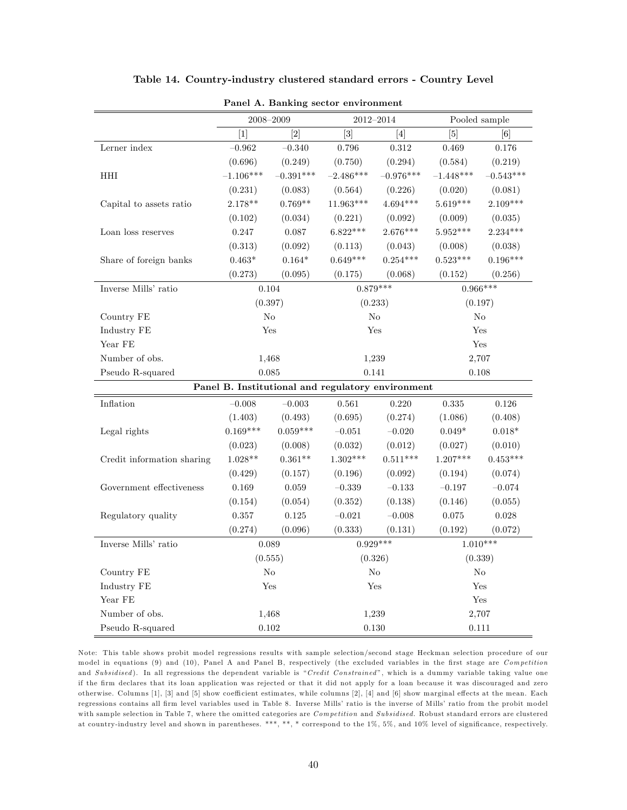|                            | 2008-2009<br>2012-2014 |             |                   | Pooled sample                                     |             |             |
|----------------------------|------------------------|-------------|-------------------|---------------------------------------------------|-------------|-------------|
|                            | $[1]$                  | $[2]$       | $\lceil 3 \rceil$ | [4]                                               | [5]         | [6]         |
| Lerner index               | $-0.962$               | $-0.340$    | 0.796             | $0.312\,$                                         | 0.469       | $0.176\,$   |
|                            | (0.696)                | (0.249)     | (0.750)           | (0.294)                                           | (0.584)     | (0.219)     |
| HHI                        | $-1.106***$            | $-0.391***$ | $-2.486***$       | $-0.976***$                                       | $-1.448***$ | $-0.543***$ |
|                            | (0.231)                | (0.083)     | (0.564)           | (0.226)                                           | (0.020)     | (0.081)     |
| Capital to assets ratio    | 2.178**                | $0.769**$   | $11.963***$       | $4.694***$                                        | $5.619***$  | $2.109***$  |
|                            | (0.102)                | (0.034)     | (0.221)           | (0.092)                                           | (0.009)     | (0.035)     |
| Loan loss reserves         | 0.247                  | 0.087       | $6.822***$        | 2.676***                                          | $5.952***$  | $2.234***$  |
|                            | (0.313)                | (0.092)     | (0.113)           | (0.043)                                           | (0.008)     | (0.038)     |
| Share of foreign banks     | $0.463*$               | $0.164*$    | $0.649***$        | $0.254***$                                        | $0.523***$  | $0.196***$  |
|                            | (0.273)                | (0.095)     | (0.175)           | (0.068)                                           | (0.152)     | (0.256)     |
| Inverse Mills' ratio       | 0.104                  |             |                   | $0.879***$                                        |             | $0.966***$  |
|                            | (0.397)                |             |                   | (0.233)                                           |             | (0.197)     |
| Country FE                 |                        | $\rm No$    |                   | No                                                |             | No          |
| Industry FE                | Yes                    |             |                   | Yes                                               |             | Yes         |
| Year FE                    |                        |             |                   |                                                   |             | Yes         |
| Number of obs.             | 1,468                  |             |                   | 1,239                                             | 2,707       |             |
| Pseudo R-squared           | 0.085                  |             |                   | 0.141                                             |             | 0.108       |
|                            |                        |             |                   | Panel B. Institutional and regulatory environment |             |             |
| Inflation                  | $-0.008$               | $-0.003$    | 0.561             | 0.220                                             | 0.335       | 0.126       |
|                            | (1.403)                | (0.493)     | (0.695)           | (0.274)                                           | (1.086)     | (0.408)     |
| Legal rights               | $0.169***$             | $0.059***$  | $-0.051$          | $-0.020$                                          | $0.049*$    | $0.018*$    |
|                            | (0.023)                | (0.008)     | (0.032)           | (0.012)                                           | (0.027)     | (0.010)     |
| Credit information sharing | $1.028**$              | $0.361**$   | $1.302***$        | $0.511***$                                        | $1.207***$  | $0.453***$  |
|                            | (0.429)                | (0.157)     | (0.196)           | (0.092)                                           | (0.194)     | (0.074)     |
| Government effectiveness   | 0.169                  | 0.059       | $-0.339$          | $-0.133$                                          | $-0.197$    | $-0.074$    |
|                            | (0.154)                | (0.054)     | (0.352)           | (0.138)                                           | (0.146)     | (0.055)     |
| Regulatory quality         | 0.357                  | 0.125       | $-0.021$          | $-0.008$                                          | 0.075       | 0.028       |
|                            | (0.274)                | (0.096)     | (0.333)           | (0.131)                                           | (0.192)     | (0.072)     |
| Inverse Mills' ratio       | 0.089                  |             |                   | $0.929***$                                        |             | $1.010***$  |
|                            | (0.555)                |             |                   | (0.326)                                           |             | (0.339)     |
| Country FE                 |                        | $\rm No$    |                   | No                                                |             | No          |
| Industry FE                |                        | Yes         |                   | Yes                                               |             | Yes         |
| Year FE                    |                        |             |                   |                                                   |             | Yes         |
| Number of obs.             |                        | 1,468       |                   | 1,239                                             |             | 2,707       |
| Pseudo R-squared           | 0.102                  |             |                   | 0.130                                             |             | 0.111       |

#### Table 14. Country-industry clustered standard errors - Country Level

Panel A. Banking sector environment

Note: This table shows probit model regressions results with sample selection/second stage Heckman selection procedure of our model in equations (9) and (10), Panel A and Panel B, respectively (the excluded variables in the first stage are Competition and Subsidised). In all regressions the dependent variable is "Credit Constrained", which is a dummy variable taking value one if the Örm declares that its loan application was rejected or that it did not apply for a loan because it was discouraged and zero otherwise. Columns [1], [3] and [5] show coefficient estimates, while columns [2], [4] and [6] show marginal effects at the mean. Each regressions contains all firm level variables used in Table 8. Inverse Mills' ratio is the inverse of Mills' ratio from the probit model with sample selection in Table 7, where the omitted categories are  $Competition$  and  $Subsidised$ . Robust standard errors are clustered at country-industry level and shown in parentheses. \*\*\*, \*\*, \* correspond to the 1%, 5%, and 10% level of significance, respectively.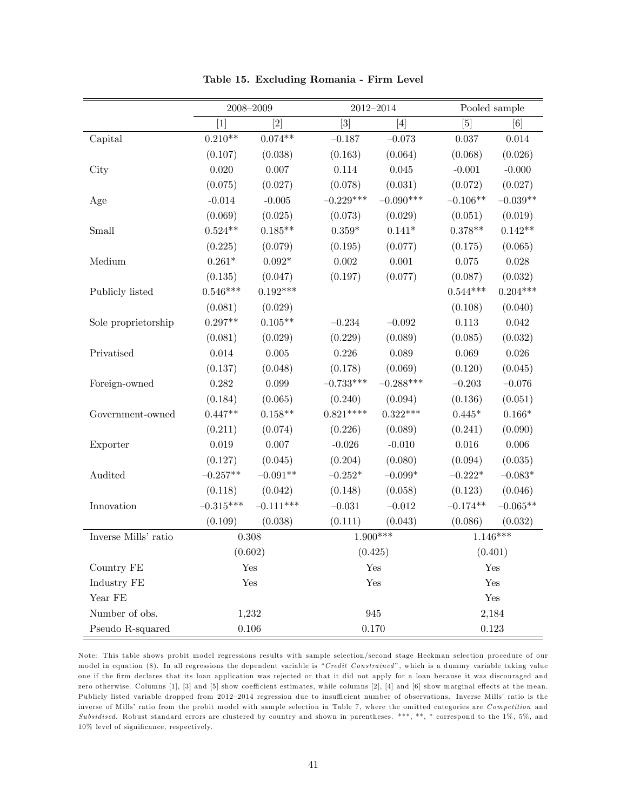|                      |             | $2008 - 2009$ |                  | $2012 - 2014$   |            | Pooled sample |
|----------------------|-------------|---------------|------------------|-----------------|------------|---------------|
|                      | $[1]$       | [2]           | $\left[3\right]$ | [4]             |            | [6]           |
| Capital              | $0.210**$   | $0.074**$     | $-0.187$         | $-0.073$        | 0.037      | 0.014         |
|                      | (0.107)     | (0.038)       | (0.163)          | (0.064)         | (0.068)    | (0.026)       |
| City                 | 0.020       | 0.007         | 0.114            | $0.045\,$       | $-0.001$   | $-0.000$      |
|                      | (0.075)     | (0.027)       | (0.078)          | (0.031)         | (0.072)    | (0.027)       |
| Age                  | $-0.014$    | $-0.005$      | $-0.229***$      | $-0.090***$     | $-0.106**$ | $-0.039**$    |
|                      | (0.069)     | (0.025)       | (0.073)          | (0.029)         | (0.051)    | (0.019)       |
| Small                | $0.524**$   | $0.185**$     | $0.359*$         | $0.141*$        | $0.378**$  | $0.142**$     |
|                      | (0.225)     | (0.079)       | (0.195)          | (0.077)         | (0.175)    | (0.065)       |
| Medium               | $0.261*$    | $0.092*$      | 0.002            | 0.001           | 0.075      | 0.028         |
|                      | (0.135)     | (0.047)       | (0.197)          | (0.077)         | (0.087)    | (0.032)       |
| Publicly listed      | $0.546***$  | $0.192***$    |                  |                 | $0.544***$ | $0.204***$    |
|                      | (0.081)     | (0.029)       |                  |                 | (0.108)    | (0.040)       |
| Sole proprietorship  | $0.297**$   | $0.105**$     | $-0.234$         | $-0.092$        | 0.113      | 0.042         |
|                      | (0.081)     | (0.029)       | (0.229)          | (0.089)         | (0.085)    | (0.032)       |
| Privatised           | $0.014\,$   | $0.005\,$     | 0.226            | 0.089           | 0.069      | 0.026         |
|                      | (0.137)     | (0.048)       | (0.178)          | (0.069)         | (0.120)    | (0.045)       |
| Foreign-owned        | 0.282       | 0.099         | $-0.733***$      | $-0.288***$     | $-0.203$   | $-0.076$      |
|                      | (0.184)     | (0.065)       | (0.240)          | (0.094)         | (0.136)    | (0.051)       |
| Government-owned     | $0.447**$   | $0.158**$     | $0.821***$       | $0.322***$      | $0.445*$   | $0.166*$      |
|                      | (0.211)     | (0.074)       | (0.226)          | (0.089)         | (0.241)    | (0.090)       |
| Exporter             | $\,0.019\,$ | 0.007         | $-0.026$         | $-0.010$        | 0.016      | 0.006         |
|                      | (0.127)     | (0.045)       | (0.204)          | (0.080)         | (0.094)    | (0.035)       |
| Audited              | $-0.257**$  | $-0.091**$    | $-0.252^{\ast}$  | $-0.099^{\ast}$ | $-0.222*$  | $-0.083*$     |
|                      | (0.118)     | (0.042)       | (0.148)          | (0.058)         | (0.123)    | (0.046)       |
| Innovation           | $-0.315***$ | $-0.111***$   | $-0.031$         | $-0.012$        | $-0.174**$ | $-0.065**$    |
|                      | (0.109)     | (0.038)       | (0.111)          | (0.043)         | (0.086)    | (0.032)       |
| Inverse Mills' ratio |             | 0.308         | $1.900***$       |                 |            | $1.146***$    |
|                      |             | (0.602)       | (0.425)          |                 |            | (0.401)       |
| Country FE           |             | Yes           |                  | Yes             |            | Yes           |
| Industry FE          |             | Yes           |                  | Yes             |            | Yes           |
| Year FE              |             |               |                  |                 |            | Yes           |
| Number of obs.       |             | 1,232         |                  | 945             |            | 2,184         |
| Pseudo R-squared     |             | $0.106\,$     |                  | 0.170           |            | 0.123         |

Table 15. Excluding Romania - Firm Level

Note: This table shows probit model regressions results with sample selection/second stage Heckman selection procedure of our model in equation (8). In all regressions the dependent variable is "Credit Constrained", which is a dummy variable taking value one if the Örm declares that its loan application was rejected or that it did not apply for a loan because it was discouraged and zero otherwise. Columns [1], [3] and [5] show coefficient estimates, while columns [2], [4] and [6] show marginal effects at the mean. Publicly listed variable dropped from 2012-2014 regression due to insufficient number of observations. Inverse Mills' ratio is the inverse of Mills' ratio from the probit model with sample selection in Table 7, where the omitted categories are Competition and Subsidised. Robust standard errors are clustered by country and shown in parentheses. \*\*\*, \*\*, \*\* correspond to the  $1\%$ ,  $5\%$ , and 10% level of significance, respectively.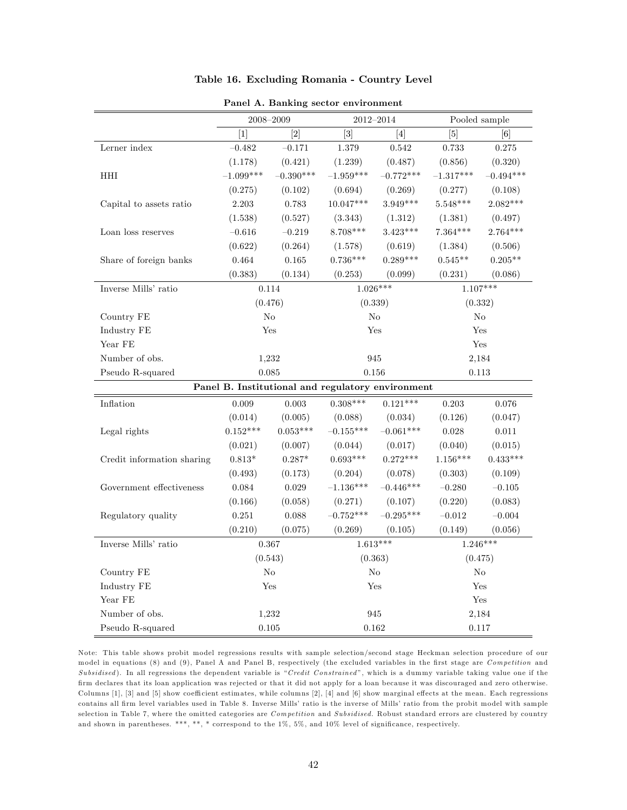|                            | 2008-2009   |             |                                                   | 2012-2014   | Pooled sample |             |
|----------------------------|-------------|-------------|---------------------------------------------------|-------------|---------------|-------------|
|                            | $[1]$       | $[2]$       | $\lceil 3 \rceil$                                 | [4]         | [5]           | [6]         |
| Lerner index               | $-0.482$    | $-0.171$    | 1.379                                             | 0.542       | 0.733         | 0.275       |
|                            | (1.178)     | (0.421)     | (1.239)                                           | (0.487)     | (0.856)       | (0.320)     |
| HHI                        | $-1.099***$ | $-0.390***$ | $-1.959***$                                       | $-0.772***$ | $-1.317***$   | $-0.494***$ |
|                            | (0.275)     | (0.102)     | (0.694)                                           | (0.269)     | (0.277)       | (0.108)     |
| Capital to assets ratio    | 2.203       | 0.783       | $10.047***$                                       | $3.949***$  | $5.548***$    | $2.082***$  |
|                            | (1.538)     | (0.527)     | (3.343)                                           | (1.312)     | (1.381)       | (0.497)     |
| Loan loss reserves         | $-0.616$    | $-0.219$    | $8.708***$                                        | $3.423***$  | $7.364***$    | $2.764***$  |
|                            | (0.622)     | (0.264)     | (1.578)                                           | (0.619)     | (1.384)       | (0.506)     |
| Share of foreign banks     | 0.464       | 0.165       | $0.736***$                                        | $0.289***$  | $0.545**$     | $0.205**$   |
|                            | (0.383)     | (0.134)     | (0.253)                                           | (0.099)     | (0.231)       | (0.086)     |
| Inverse Mills' ratio       | 0.114       |             | $1.026***$                                        |             | $1.107***$    |             |
|                            | (0.476)     |             | (0.339)                                           |             | (0.332)       |             |
| Country FE                 | No          |             |                                                   | No          | No            |             |
| Industry FE                | Yes         |             |                                                   | Yes         |               | Yes         |
| Year FE                    |             |             |                                                   |             |               | Yes         |
| Number of obs.             | 1,232       |             |                                                   | 945         | 2,184         |             |
| Pseudo R-squared           | 0.085       |             | 0.156                                             |             | 0.113         |             |
|                            |             |             | Panel B. Institutional and regulatory environment |             |               |             |
| Inflation                  | 0.009       | 0.003       | $0.308***$                                        | $0.121***$  | 0.203         | 0.076       |
|                            | (0.014)     | (0.005)     | (0.088)                                           | (0.034)     | (0.126)       | (0.047)     |
| Legal rights               | $0.152***$  | $0.053***$  | $-0.155***$                                       | $-0.061***$ | $0.028\,$     | $0.011\,$   |
|                            | (0.021)     | (0.007)     | (0.044)                                           | (0.017)     | (0.040)       | (0.015)     |
| Credit information sharing | $0.813*$    | $0.287*$    | $0.693***$                                        | $0.272***$  | $1.156***$    | $0.433***$  |
|                            | (0.493)     | (0.173)     | (0.204)                                           | (0.078)     | (0.303)       | (0.109)     |
| Government effectiveness   | 0.084       | $\,0.029\,$ | $-1.136***$                                       | $-0.446***$ | $-0.280$      | $-0.105$    |
|                            | (0.166)     | (0.058)     | (0.271)                                           | (0.107)     | (0.220)       | (0.083)     |
| Regulatory quality         | 0.251       | 0.088       | $-0.752***$                                       | $-0.295***$ | $-0.012$      | $-0.004$    |
|                            | (0.210)     | (0.075)     | (0.269)                                           | (0.105)     | (0.149)       | (0.056)     |
| Inverse Mills' ratio       | 0.367       |             | $1.613***$                                        |             | $1.246***$    |             |
|                            | (0.543)     |             | (0.363)                                           |             | (0.475)       |             |
| Country FE                 | No          |             |                                                   | $\rm No$    | $\rm No$      |             |
| Industry FE                | Yes         |             |                                                   | Yes         |               | Yes         |
| Year FE                    |             |             |                                                   |             |               | Yes         |
| Number of obs.             | 1,232       |             |                                                   | 945         | 2,184         |             |
| Pseudo R-squared           | 0.105       |             | 0.162                                             |             | 0.117         |             |

| Table 16. Excluding Romania - Country Level |  |  |  |
|---------------------------------------------|--|--|--|
|---------------------------------------------|--|--|--|

Panel A. Banking sector environment

Note: This table shows probit model regressions results with sample selection/second stage Heckman selection procedure of our model in equations (8) and (9), Panel A and Panel B, respectively (the excluded variables in the first stage are Competition and Subsidised). In all regressions the dependent variable is "Credit Constrained", which is a dummy variable taking value one if the Örm declares that its loan application was rejected or that it did not apply for a loan because it was discouraged and zero otherwise. Columns [1], [3] and [5] show coefficient estimates, while columns [2], [4] and [6] show marginal effects at the mean. Each regressions contains all firm level variables used in Table 8. Inverse Mills' ratio is the inverse of Mills' ratio from the probit model with sample selection in Table 7, where the omitted categories are Competition and Subsidised. Robust standard errors are clustered by country and shown in parentheses. \*\*\*, \*\*, \* correspond to the  $1\%$ , 5%, and  $10\%$  level of significance, respectively.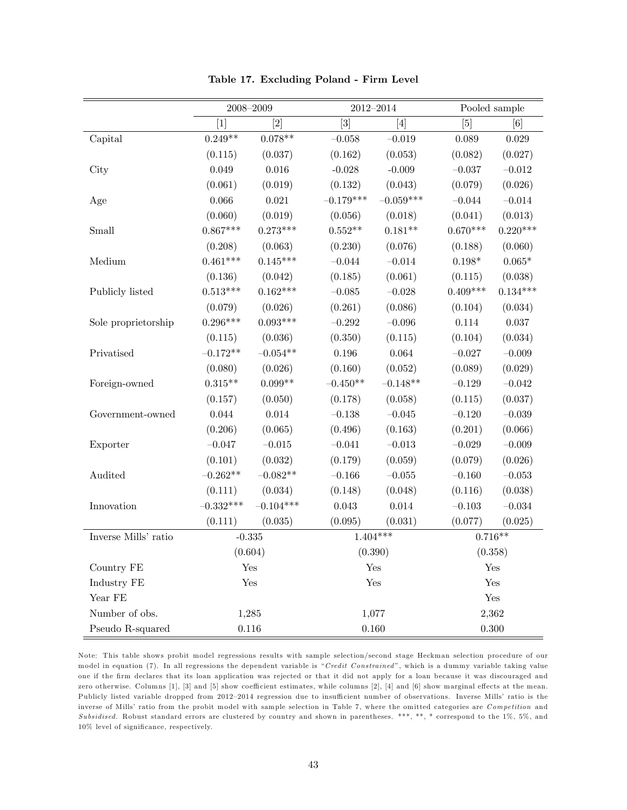|                      |                   | $2008 - 2009$ |                   | $2012 - 2014$ |            | Pooled sample |
|----------------------|-------------------|---------------|-------------------|---------------|------------|---------------|
|                      | $\lceil 1 \rceil$ | [2]           | $\lceil 3 \rceil$ | [4]           | [5]        | [6]           |
| Capital              | $0.249**$         | $0.078**$     | $-0.058$          | $-0.019$      | 0.089      | 0.029         |
|                      | (0.115)           | (0.037)       | (0.162)           | (0.053)       | (0.082)    | (0.027)       |
| City                 | 0.049             | 0.016         | $-0.028$          | $-0.009$      | $-0.037$   | $-0.012$      |
|                      | (0.061)           | (0.019)       | (0.132)           | (0.043)       | (0.079)    | (0.026)       |
| Age                  | 0.066             | 0.021         | $-0.179***$       | $-0.059***$   | $-0.044$   | $-0.014$      |
|                      | (0.060)           | (0.019)       | (0.056)           | (0.018)       | (0.041)    | (0.013)       |
| Small                | $0.867***$        | $0.273***$    | $0.552**$         | $0.181**$     | $0.670***$ | $0.220***$    |
|                      | (0.208)           | (0.063)       | (0.230)           | (0.076)       | (0.188)    | (0.060)       |
| Medium               | $0.461***$        | $0.145***$    | $-0.044$          | $-0.014$      | $0.198*$   | $0.065*$      |
|                      | (0.136)           | (0.042)       | (0.185)           | (0.061)       | (0.115)    | (0.038)       |
| Publicly listed      | $0.513***$        | $0.162***$    | $-0.085\,$        | $-0.028\,$    | $0.409***$ | $0.134***$    |
|                      | (0.079)           | (0.026)       | (0.261)           | (0.086)       | (0.104)    | (0.034)       |
| Sole proprietorship  | $0.296***$        | $0.093***$    | $-0.292$          | $-0.096$      | $0.114\,$  | $0.037\,$     |
|                      | (0.115)           | (0.036)       | (0.350)           | (0.115)       | (0.104)    | (0.034)       |
| Privatised           | $-0.172**$        | $-0.054**$    | 0.196             | 0.064         | $-0.027$   | $-0.009$      |
|                      | (0.080)           | (0.026)       | (0.160)           | (0.052)       | (0.089)    | (0.029)       |
| Foreign-owned        | $0.315**$         | $0.099**$     | $-0.450**$        | $-0.148**$    | $-0.129$   | $-0.042$      |
|                      | (0.157)           | (0.050)       | (0.178)           | (0.058)       | (0.115)    | (0.037)       |
| Government-owned     | 0.044             | 0.014         | $-0.138$          | $-0.045$      | $-0.120$   | $-0.039$      |
|                      | (0.206)           | (0.065)       | (0.496)           | (0.163)       | (0.201)    | (0.066)       |
| Exporter             | $-0.047$          | $-0.015$      | $-0.041$          | $-0.013$      | $-0.029$   | $-0.009$      |
|                      | (0.101)           | (0.032)       | (0.179)           | (0.059)       | (0.079)    | (0.026)       |
| Audited              | $-0.262**$        | $-0.082**$    | $-0.166$          | $-0.055\,$    | $-0.160\,$ | $-0.053\,$    |
|                      | (0.111)           | (0.034)       | (0.148)           | (0.048)       | (0.116)    | (0.038)       |
| Innovation           | $-0.332***$       | $-0.104***$   | $\,0.043\,$       | 0.014         | $-0.103$   | $-0.034$      |
|                      | (0.111)           | (0.035)       | (0.095)           | (0.031)       | (0.077)    | (0.025)       |
| Inverse Mills' ratio | $-0.335$          |               | $1.404***$        |               | $0.716**$  |               |
|                      |                   | (0.604)       | (0.390)           |               | (0.358)    |               |
| Country FE           |                   | Yes           |                   | Yes           |            | Yes           |
| Industry FE          |                   | Yes           |                   | Yes           | Yes        |               |
| Year FE              |                   |               |                   |               | Yes        |               |
| Number of obs.       |                   | 1,285         |                   | 1,077         |            | 2,362         |
| Pseudo R-squared     | 0.116             |               |                   | 0.160         | 0.300      |               |

Table 17. Excluding Poland - Firm Level

Note: This table shows probit model regressions results with sample selection/second stage Heckman selection procedure of our model in equation (7). In all regressions the dependent variable is "Credit Constrained", which is a dummy variable taking value one if the Örm declares that its loan application was rejected or that it did not apply for a loan because it was discouraged and zero otherwise. Columns [1], [3] and [5] show coefficient estimates, while columns [2], [4] and [6] show marginal effects at the mean. Publicly listed variable dropped from 2012-2014 regression due to insufficient number of observations. Inverse Mills' ratio is the inverse of Mills' ratio from the probit model with sample selection in Table 7, where the omitted categories are Competition and Subsidised. Robust standard errors are clustered by country and shown in parentheses. \*\*\*, \*\*, \*\* correspond to the  $1\%$ ,  $5\%$ , and 10% level of significance, respectively.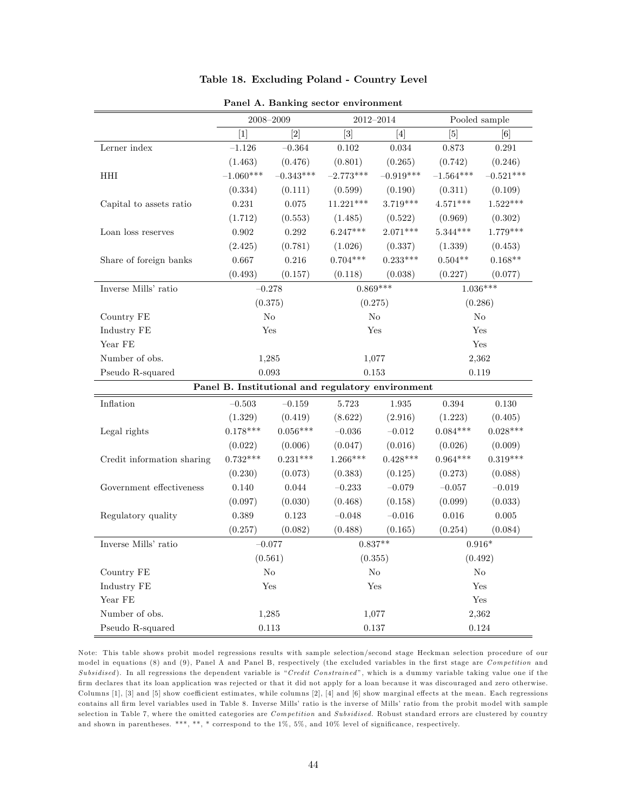|                                                   | 2008-2009      |                   | $2012 - 2014$     |             | Pooled sample  |             |
|---------------------------------------------------|----------------|-------------------|-------------------|-------------|----------------|-------------|
|                                                   | $[1]$          | $\lceil 2 \rceil$ | $\lceil 3 \rceil$ | [4]         | [5]            | [6]         |
| Lerner index                                      | $-1.126$       | $-0.364$          | 0.102             | $\,0.034\,$ | 0.873          | $\rm 0.291$ |
|                                                   | (1.463)        | (0.476)           | (0.801)           | (0.265)     | (0.742)        | (0.246)     |
| HHI                                               | $-1.060***$    | $-0.343***$       | $-2.773***$       | $-0.919***$ | $-1.564***$    | $-0.521***$ |
|                                                   | (0.334)        | (0.111)           | (0.599)           | (0.190)     | (0.311)        | (0.109)     |
| Capital to assets ratio                           | 0.231          | 0.075             | $11.221***$       | 3.719***    | $4.571***$     | $1.522***$  |
|                                                   | (1.712)        | (0.553)           | (1.485)           | (0.522)     | (0.969)        | (0.302)     |
| Loan loss reserves                                | 0.902          | 0.292             | $6.247***$        | $2.071***$  | $5.344***$     | $1.779***$  |
|                                                   | (2.425)        | (0.781)           | (1.026)           | (0.337)     | (1.339)        | (0.453)     |
| Share of foreign banks                            | 0.667          | 0.216             | $0.704***$        | $0.233***$  | $0.504**$      | $0.168**$   |
|                                                   | (0.493)        | (0.157)           | (0.118)           | (0.038)     | (0.227)        | (0.077)     |
| Inverse Mills' ratio                              | $-0.278$       |                   | $0.869***$        |             | $1.036***$     |             |
|                                                   | (0.375)        |                   | (0.275)           |             | (0.286)        |             |
| Country FE                                        | N <sub>o</sub> |                   | N <sub>o</sub>    |             | N <sub>o</sub> |             |
| Industry FE                                       | Yes            |                   | Yes               |             | Yes            |             |
| Year FE                                           |                |                   |                   |             | Yes            |             |
| Number of obs.                                    | 1,285          |                   | 1,077             |             | 2,362          |             |
| Pseudo R-squared                                  | 0.093          |                   | 0.153             |             | 0.119          |             |
| Panel B. Institutional and regulatory environment |                |                   |                   |             |                |             |
| Inflation                                         | $-0.503$       | $-0.159$          | 5.723             | 1.935       | 0.394          | $0.130\,$   |
|                                                   | (1.329)        | (0.419)           | (8.622)           | (2.916)     | (1.223)        | (0.405)     |
| Legal rights                                      | $0.178***$     | $0.056***$        | $-0.036\,$        | $-0.012$    | $0.084***$     | $0.028***$  |
|                                                   | (0.022)        | (0.006)           | (0.047)           | (0.016)     | (0.026)        | (0.009)     |
| Credit information sharing                        | $0.732***$     | $0.231***$        | $1.266***$        | $0.428***$  | $0.964***$     | $0.319***$  |
|                                                   | (0.230)        | (0.073)           | (0.383)           | (0.125)     | (0.273)        | (0.088)     |
| Government effectiveness                          | 0.140          | 0.044             | $-0.233$          | $-0.079$    | $-0.057$       | $-0.019$    |
|                                                   | (0.097)        | (0.030)           | (0.468)           | (0.158)     | (0.099)        | (0.033)     |
| Regulatory quality                                | $\,0.389\,$    | 0.123             | $-0.048$          | $-0.016$    | $0.016\,$      | $\rm 0.005$ |
|                                                   | (0.257)        | (0.082)           | (0.488)           | (0.165)     | (0.254)        | (0.084)     |
| Inverse Mills' ratio                              | $-0.077$       |                   | $0.837**$         |             | $0.916*$       |             |
|                                                   | (0.561)        |                   | (0.355)           |             | (0.492)        |             |
| Country FE                                        | No             |                   | $\rm No$          |             | $\rm No$       |             |
| Industry FE                                       | Yes            |                   | Yes               |             | Yes            |             |
| Year FE                                           |                |                   |                   |             | Yes            |             |
| Number of obs.                                    | 1,285          |                   | 1,077             |             | 2,362          |             |
| Pseudo R-squared                                  | 0.113          |                   | 0.137             |             | 0.124          |             |

#### Table 18. Excluding Poland - Country Level

Panel A. Banking sector environment

Note: This table shows probit model regressions results with sample selection/second stage Heckman selection procedure of our model in equations (8) and (9), Panel A and Panel B, respectively (the excluded variables in the first stage are Competition and Subsidised). In all regressions the dependent variable is "Credit Constrained", which is a dummy variable taking value one if the Örm declares that its loan application was rejected or that it did not apply for a loan because it was discouraged and zero otherwise. Columns [1], [3] and [5] show coefficient estimates, while columns [2], [4] and [6] show marginal effects at the mean. Each regressions contains all firm level variables used in Table 8. Inverse Mills' ratio is the inverse of Mills' ratio from the probit model with sample selection in Table 7, where the omitted categories are Competition and Subsidised. Robust standard errors are clustered by country and shown in parentheses. \*\*\*, \*\*, \* correspond to the  $1\%$ ,  $5\%$ , and  $10\%$  level of significance, respectively.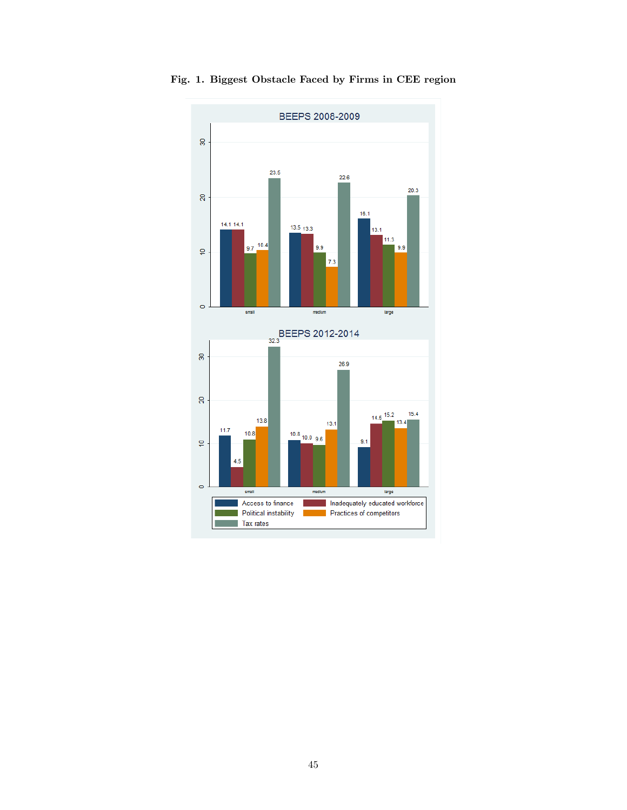

Fig. 1. Biggest Obstacle Faced by Firms in CEE region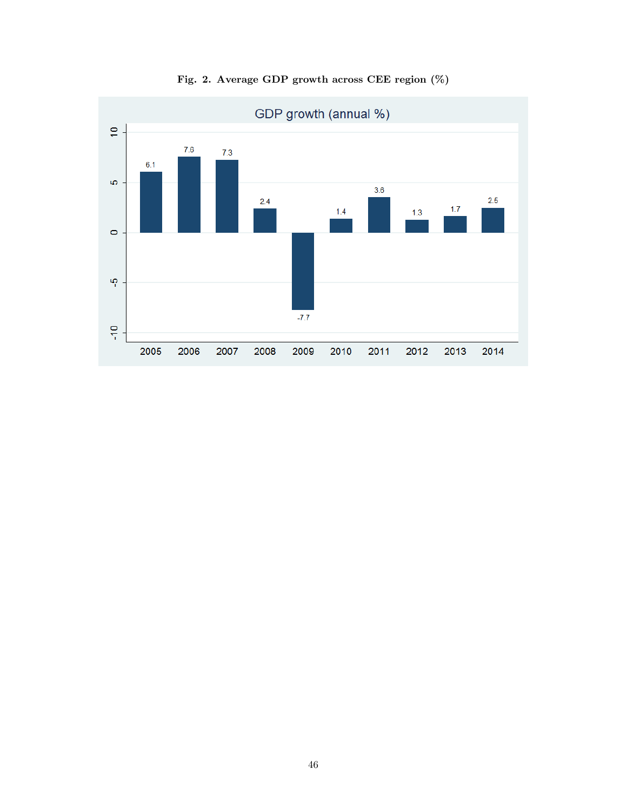

Fig. 2. Average GDP growth across CEE region (%)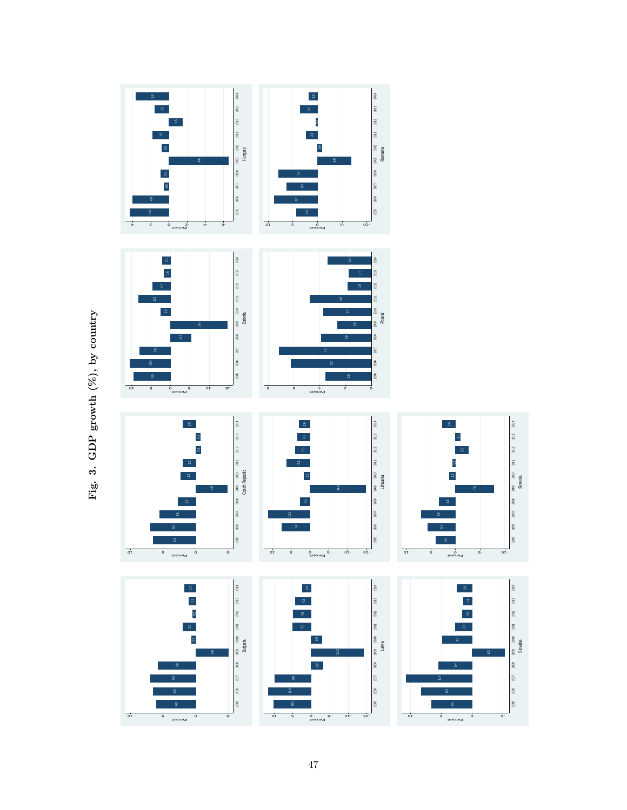

Fig. 3. GDP growth  $(\%)$ , by country Fig. 3. GDP growth  $(\%)$ , by country

10 -10 -5 -10 -5 -10 -10 -5 -10<br>Percent -10 -5 -10 -5 -10 -5 -10 -5 -10 -5 -10 -

10 5 0 -5 Percent

8

 $\approx$ 

2007

2006

 $2005\,$ 

 $20\%$ 

 $2013$ 

 $_{\rm 207}$ 

 $\frac{1}{2}$ 

2010

 $2008\,$ 

 $\overline{\phantom{0}}$ 

 $2006\,$ 

 $2005\,$ 

 $20\%$ 

2013

 $2012$ 

10 5 0 -5 Percent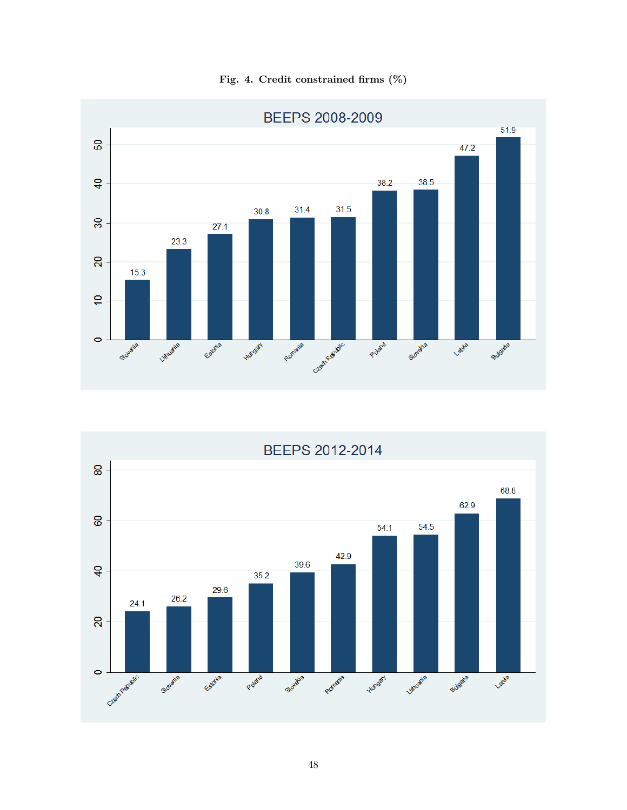